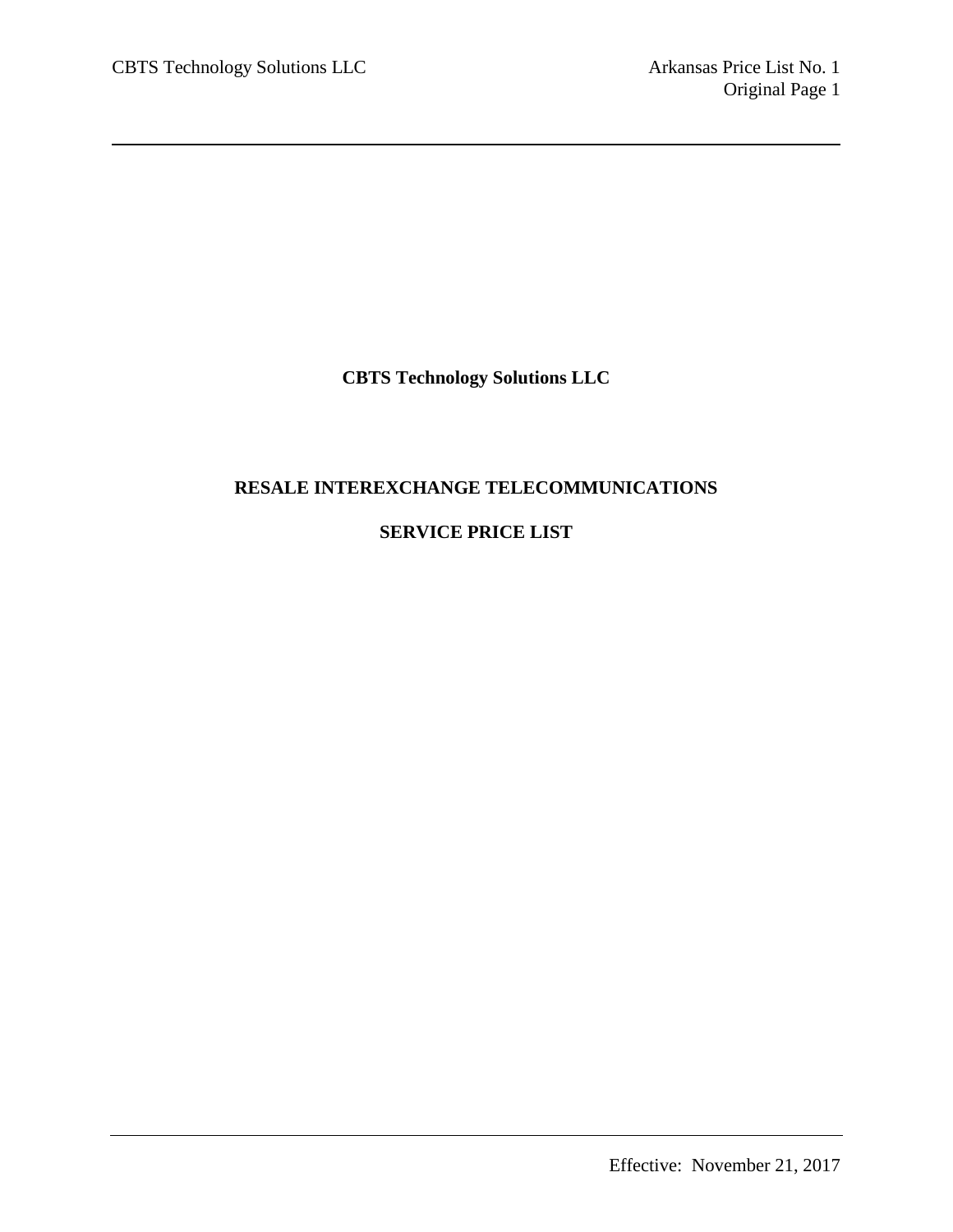**CBTS Technology Solutions LLC**

# **RESALE INTEREXCHANGE TELECOMMUNICATIONS**

# **SERVICE PRICE LIST**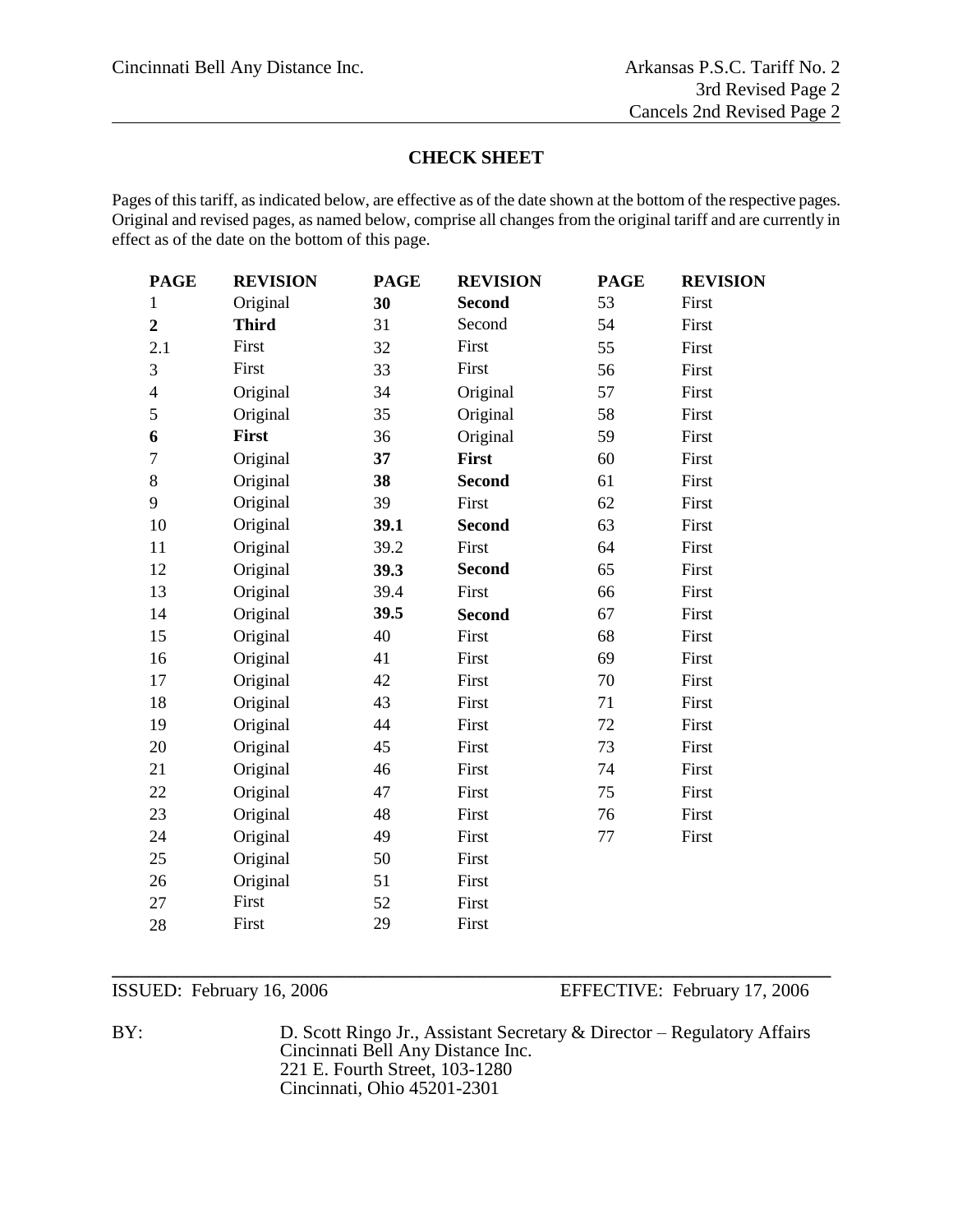#### **CHECK SHEET**

Pages of this tariff, as indicated below, are effective as of the date shown at the bottom of the respective pages. Original and revised pages, as named below, comprise all changes from the original tariff and are currently in effect as of the date on the bottom of this page.

| <b>PAGE</b>              | <b>REVISION</b> | <b>PAGE</b> | <b>REVISION</b> | <b>PAGE</b> | <b>REVISION</b> |
|--------------------------|-----------------|-------------|-----------------|-------------|-----------------|
| $\mathbf 1$              | Original        | 30          | <b>Second</b>   | 53          | First           |
| $\overline{2}$           | <b>Third</b>    | 31          | Second          | 54          | First           |
| 2.1                      | First           | 32          | First           | 55          | First           |
| 3                        | First           | 33          | First           | 56          | First           |
| $\overline{\mathcal{L}}$ | Original        | 34          | Original        | 57          | First           |
| 5                        | Original        | 35          | Original        | 58          | First           |
| 6                        | <b>First</b>    | 36          | Original        | 59          | First           |
| $\tau$                   | Original        | 37          | <b>First</b>    | 60          | First           |
| 8                        | Original        | 38          | <b>Second</b>   | 61          | First           |
| 9                        | Original        | 39          | First           | 62          | First           |
| 10                       | Original        | 39.1        | <b>Second</b>   | 63          | First           |
| 11                       | Original        | 39.2        | First           | 64          | First           |
| 12                       | Original        | 39.3        | <b>Second</b>   | 65          | First           |
| 13                       | Original        | 39.4        | First           | 66          | First           |
| 14                       | Original        | 39.5        | <b>Second</b>   | 67          | First           |
| 15                       | Original        | 40          | First           | 68          | First           |
| 16                       | Original        | 41          | First           | 69          | First           |
| 17                       | Original        | 42          | First           | 70          | First           |
| 18                       | Original        | 43          | First           | 71          | First           |
| 19                       | Original        | 44          | First           | 72          | First           |
| 20                       | Original        | 45          | First           | 73          | First           |
| 21                       | Original        | 46          | First           | 74          | First           |
| 22                       | Original        | 47          | First           | 75          | First           |
| 23                       | Original        | 48          | First           | 76          | First           |
| 24                       | Original        | 49          | First           | 77          | First           |
| 25                       | Original        | 50          | First           |             |                 |
| 26                       | Original        | 51          | First           |             |                 |
| 27                       | First           | 52          | First           |             |                 |
| 28                       | First           | 29          | First           |             |                 |
|                          |                 |             |                 |             |                 |

ISSUED: February 16, 2006 EFFECTIVE: February 17, 2006

BY: D. Scott Ringo Jr., Assistant Secretary & Director – Regulatory Affairs Cincinnati Bell Any Distance Inc. 221 E. Fourth Street, 103-1280 Cincinnati, Ohio 45201-2301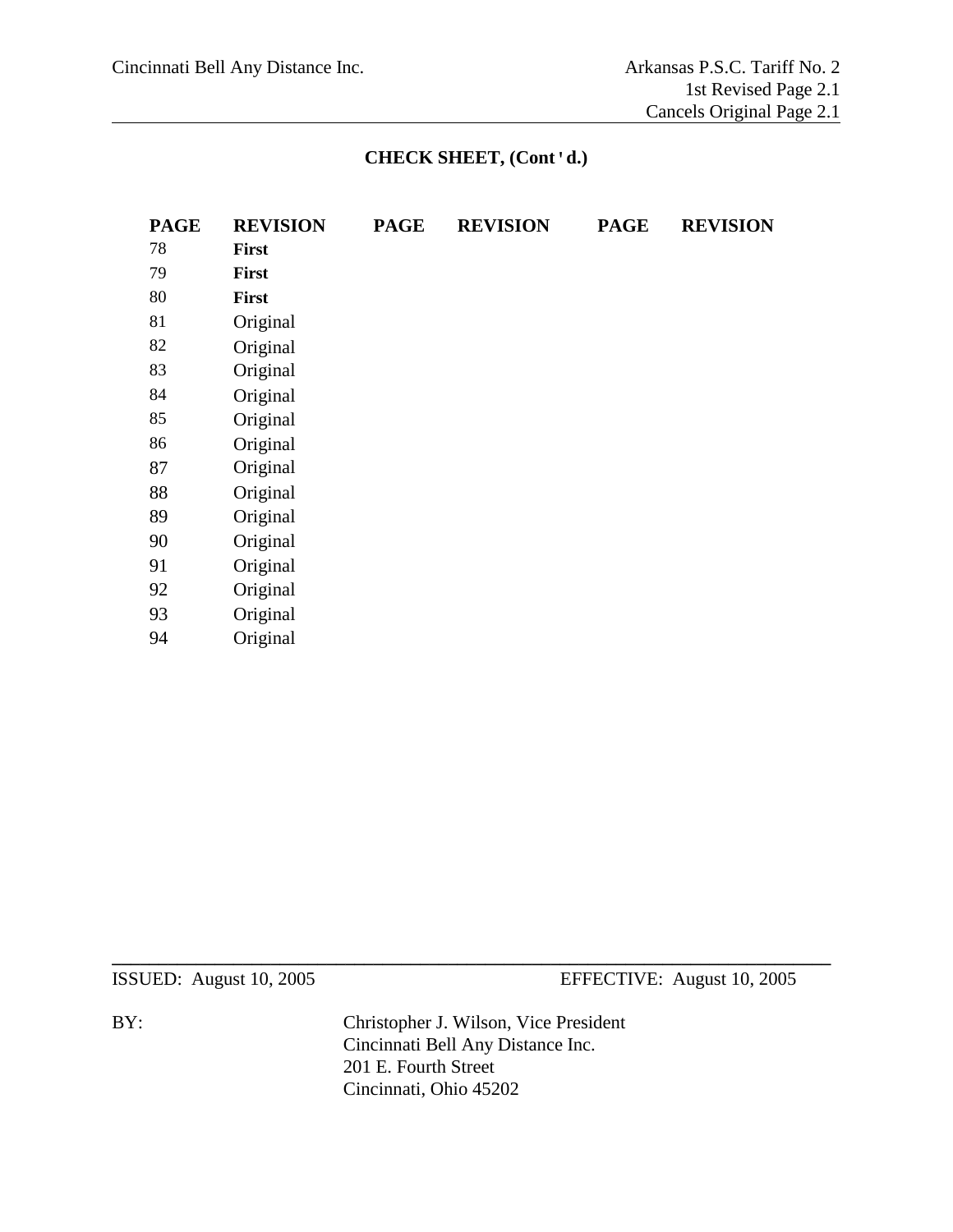# **CHECK SHEET, (Cont'd.)**

| <b>PAGE</b> | <b>REVISION</b> | <b>PAGE</b> | <b>REVISION</b> | <b>PAGE</b> | <b>REVISION</b> |
|-------------|-----------------|-------------|-----------------|-------------|-----------------|
| 78          | <b>First</b>    |             |                 |             |                 |
| 79          | <b>First</b>    |             |                 |             |                 |
| 80          | First           |             |                 |             |                 |
| 81          | Original        |             |                 |             |                 |
| 82          | Original        |             |                 |             |                 |
| 83          | Original        |             |                 |             |                 |
| 84          | Original        |             |                 |             |                 |
| 85          | Original        |             |                 |             |                 |
| 86          | Original        |             |                 |             |                 |
| 87          | Original        |             |                 |             |                 |
| 88          | Original        |             |                 |             |                 |
| 89          | Original        |             |                 |             |                 |
| 90          | Original        |             |                 |             |                 |
| 91          | Original        |             |                 |             |                 |
| 92          | Original        |             |                 |             |                 |
| 93          | Original        |             |                 |             |                 |
| 94          | Original        |             |                 |             |                 |

ISSUED: August 10, 2005 EFFECTIVE: August 10, 2005

BY: Christopher J. Wilson, Vice President Cincinnati Bell Any Distance Inc. 201 E. Fourth Street Cincinnati, Ohio 45202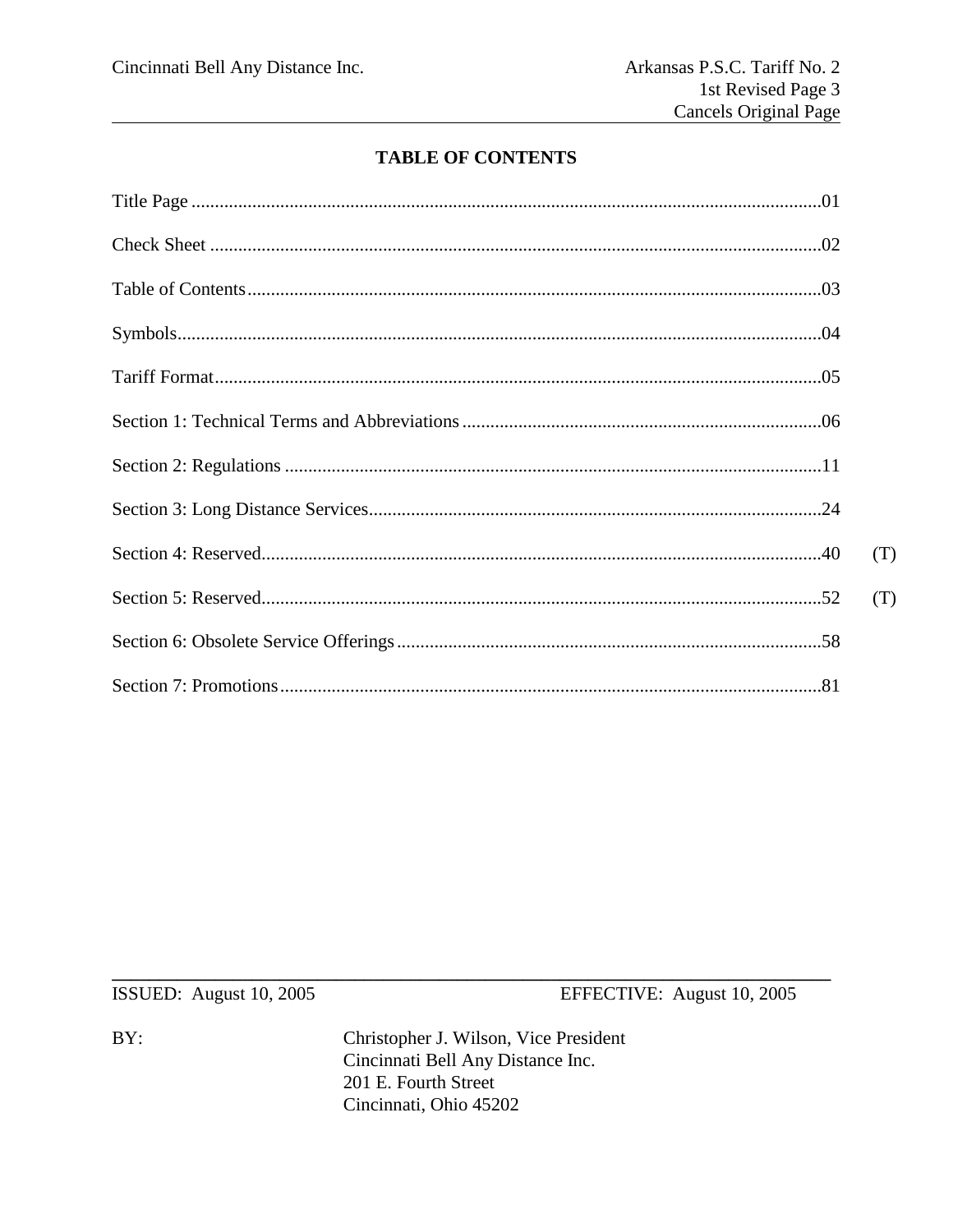# **TABLE OF CONTENTS**

| (T) |
|-----|
| (T) |
|     |
|     |

ISSUED: August 10, 2005

EFFECTIVE: August 10, 2005

 $BY:$ 

Christopher J. Wilson, Vice President Cincinnati Bell Any Distance Inc. 201 E. Fourth Street Cincinnati, Ohio 45202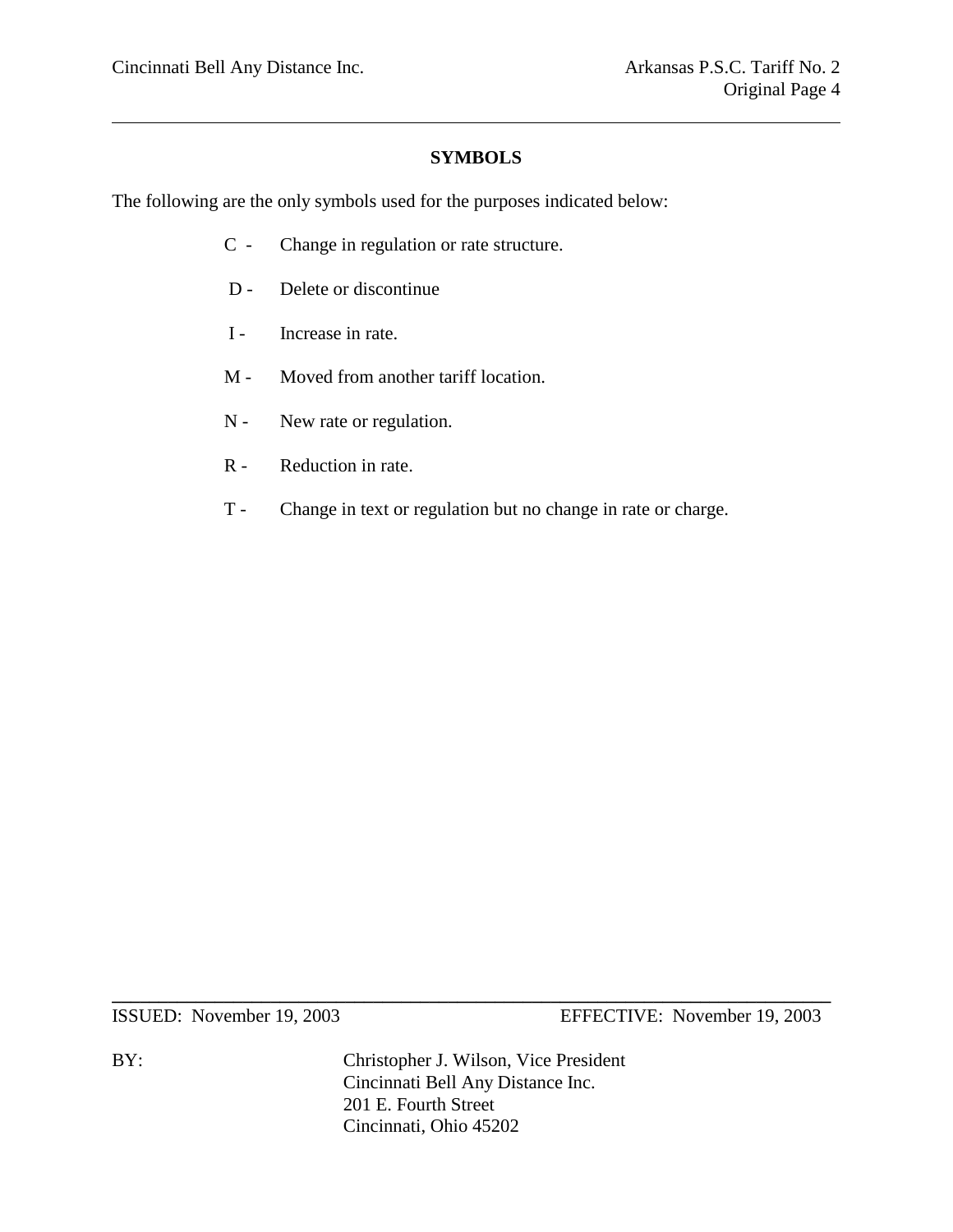#### **SYMBOLS**

The following are the only symbols used for the purposes indicated below:

- C Change in regulation or rate structure.
- D Delete or discontinue
- I Increase in rate.
- M Moved from another tariff location.
- N New rate or regulation.
- R Reduction in rate.
- T Change in text or regulation but no change in rate or charge.

ISSUED: November 19, 2003 EFFECTIVE: November 19, 2003

BY: Christopher J. Wilson, Vice President Cincinnati Bell Any Distance Inc. 201 E. Fourth Street Cincinnati, Ohio 45202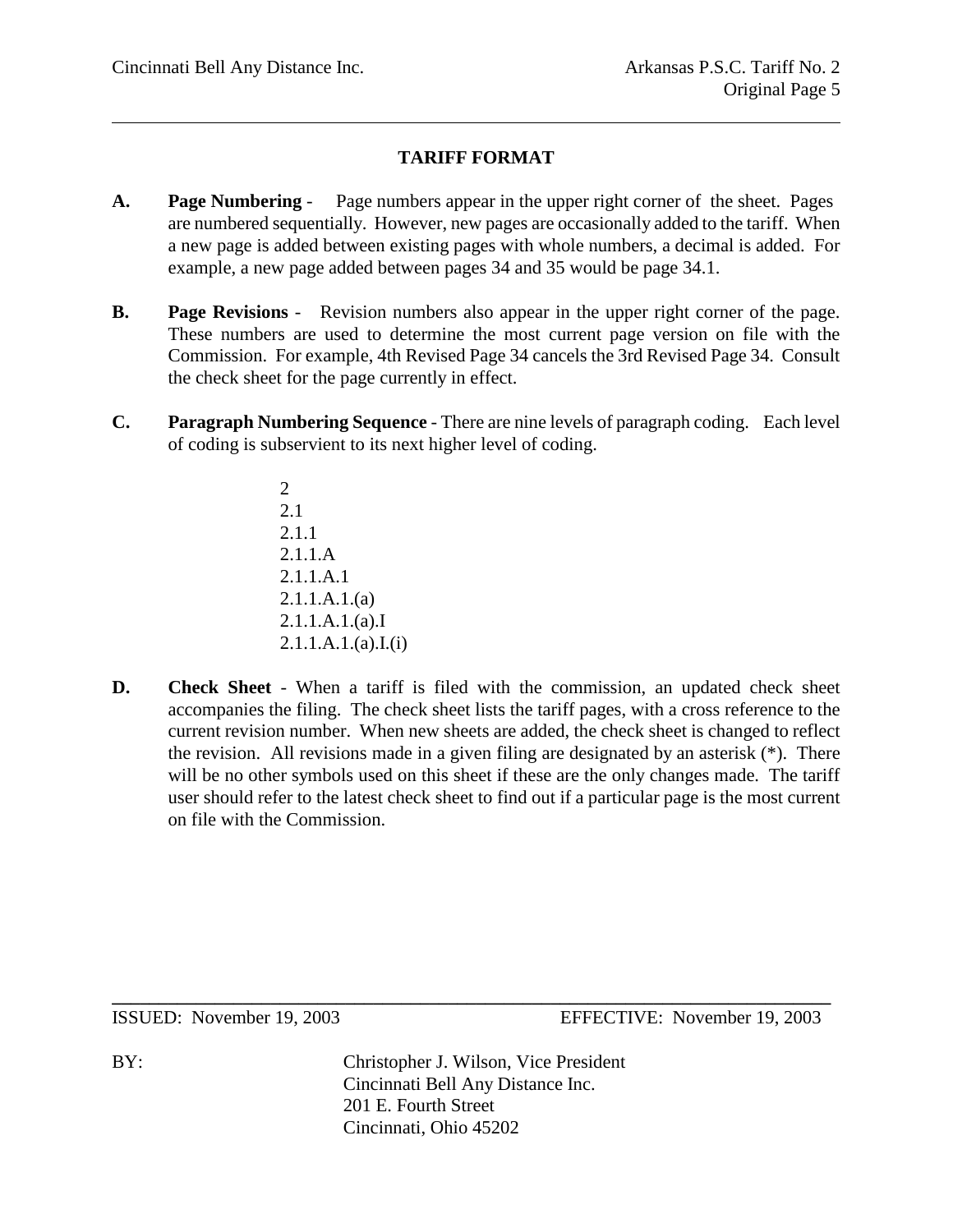# **TARIFF FORMAT**

- **A. Page Numbering** Page numbers appear in the upper right corner of the sheet. Pages are numbered sequentially. However, new pages are occasionally added to the tariff. When a new page is added between existing pages with whole numbers, a decimal is added. For example, a new page added between pages 34 and 35 would be page 34.1.
- **B. Page Revisions** Revision numbers also appear in the upper right corner of the page. These numbers are used to determine the most current page version on file with the Commission. For example, 4th Revised Page 34 cancels the 3rd Revised Page 34. Consult the check sheet for the page currently in effect.
- **C. Paragraph Numbering Sequence** There are nine levels of paragraph coding. Each level of coding is subservient to its next higher level of coding.
	- 2 2.1 2.1.1 2.1.1.A 2.1.1.A.1 2.1.1.A.1.(a) 2.1.1.A.1.(a).I  $2.1.1.A.1.(a).I.(i)$
- **D. Check Sheet** When a tariff is filed with the commission, an updated check sheet accompanies the filing. The check sheet lists the tariff pages, with a cross reference to the current revision number. When new sheets are added, the check sheet is changed to reflect the revision. All revisions made in a given filing are designated by an asterisk (\*). There will be no other symbols used on this sheet if these are the only changes made. The tariff user should refer to the latest check sheet to find out if a particular page is the most current on file with the Commission.

ISSUED: November 19, 2003 EFFECTIVE: November 19, 2003

BY: Christopher J. Wilson, Vice President Cincinnati Bell Any Distance Inc. 201 E. Fourth Street Cincinnati, Ohio 45202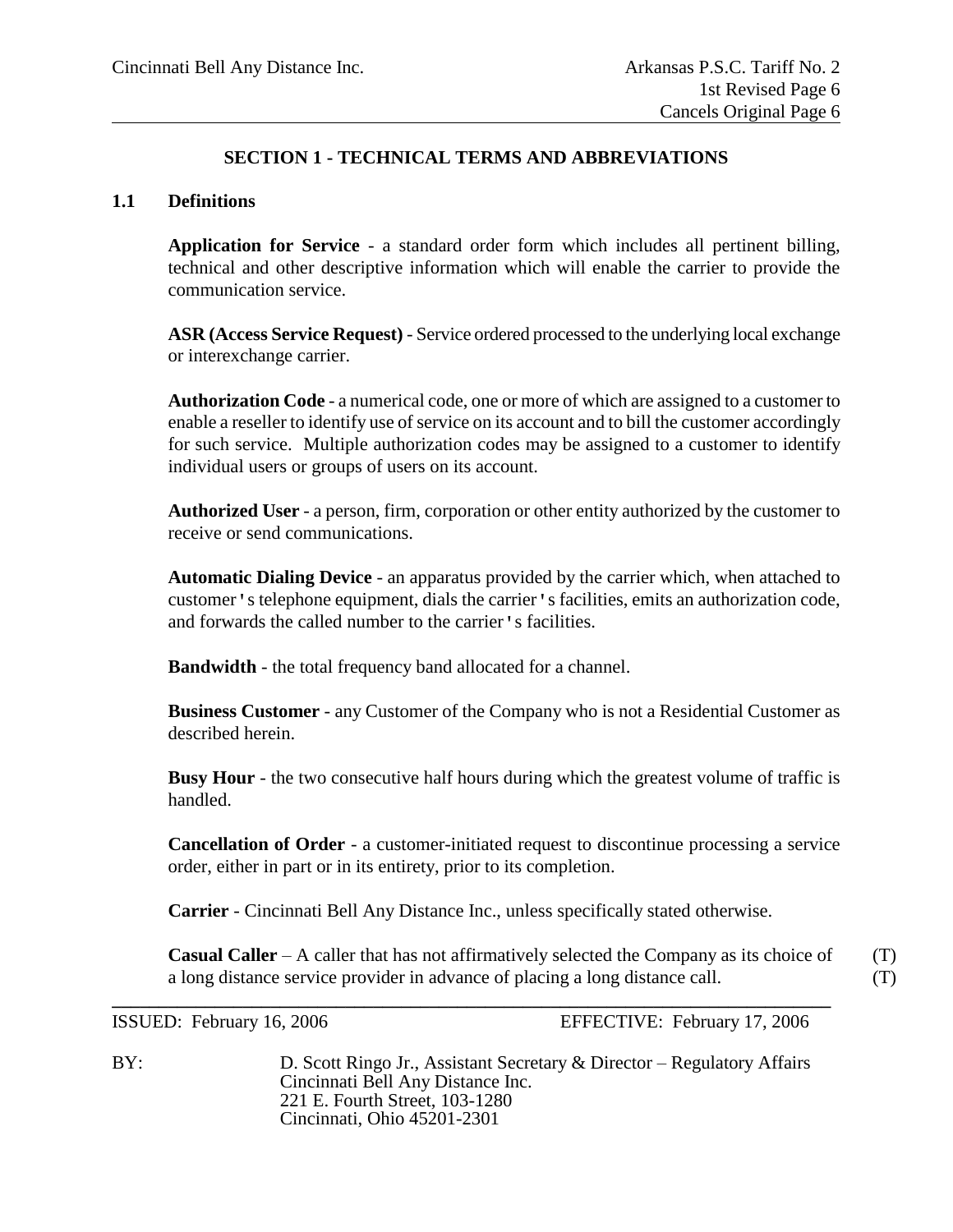# **SECTION 1 - TECHNICAL TERMS AND ABBREVIATIONS**

#### **1.1 Definitions**

**Application for Service** - a standard order form which includes all pertinent billing, technical and other descriptive information which will enable the carrier to provide the communication service.

**ASR (Access Service Request)** - Service ordered processed to the underlying local exchange or interexchange carrier.

**Authorization Code** - a numerical code, one or more of which are assigned to a customer to enable a reseller to identify use of service on its account and to bill the customer accordingly for such service. Multiple authorization codes may be assigned to a customer to identify individual users or groups of users on its account.

**Authorized User** - a person, firm, corporation or other entity authorized by the customer to receive or send communications.

**Automatic Dialing Device** - an apparatus provided by the carrier which, when attached to customer's telephone equipment, dials the carrier's facilities, emits an authorization code, and forwards the called number to the carrier's facilities.

**Bandwidth** - the total frequency band allocated for a channel.

**Business Customer** - any Customer of the Company who is not a Residential Customer as described herein.

**Busy Hour** - the two consecutive half hours during which the greatest volume of traffic is handled.

**Cancellation of Order** - a customer-initiated request to discontinue processing a service order, either in part or in its entirety, prior to its completion.

**Carrier** - Cincinnati Bell Any Distance Inc., unless specifically stated otherwise.

**\_\_\_\_\_\_\_\_\_\_\_\_\_\_\_\_\_\_\_\_\_\_\_\_\_\_\_\_\_\_\_\_\_\_\_\_\_\_\_\_\_\_\_\_\_\_\_\_\_\_\_\_\_\_\_\_\_\_\_\_\_\_\_\_\_\_\_\_\_\_\_\_\_\_\_\_\_**

**Casual Caller** – A caller that has not affirmatively selected the Company as its choice of (T) a long distance service provider in advance of placing a long distance call. (T)

ISSUED: February 16, 2006 EFFECTIVE: February 17, 2006

BY: D. Scott Ringo Jr., Assistant Secretary & Director – Regulatory Affairs Cincinnati Bell Any Distance Inc. 221 E. Fourth Street, 103-1280 Cincinnati, Ohio 45201-2301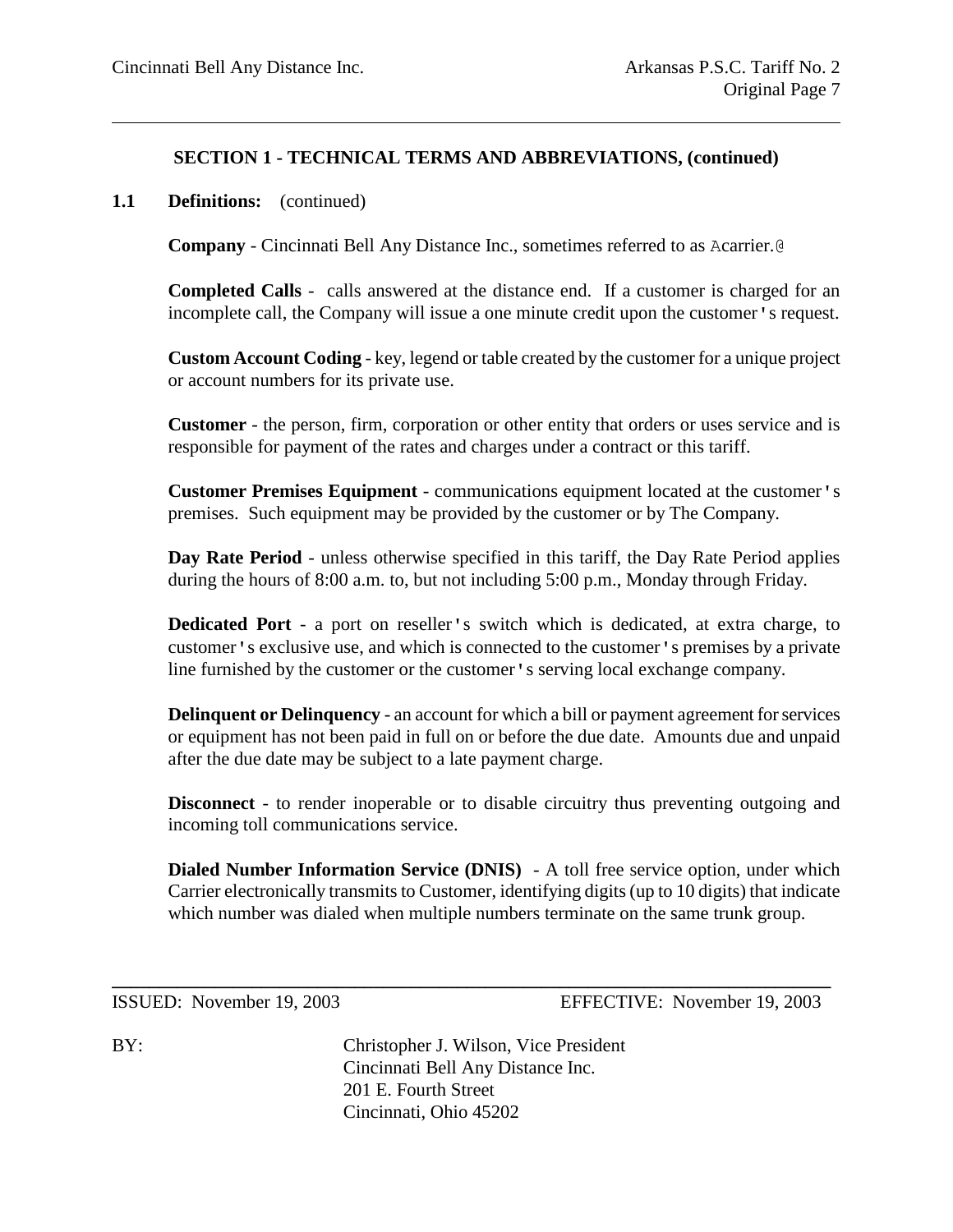#### **1.1 Definitions:** (continued)

**Company** - Cincinnati Bell Any Distance Inc., sometimes referred to as Acarrier.@

**Completed Calls** - calls answered at the distance end. If a customer is charged for an incomplete call, the Company will issue a one minute credit upon the customer's request.

**Custom Account Coding** - key, legend or table created by the customer for a unique project or account numbers for its private use.

**Customer** - the person, firm, corporation or other entity that orders or uses service and is responsible for payment of the rates and charges under a contract or this tariff.

**Customer Premises Equipment** - communications equipment located at the customer's premises. Such equipment may be provided by the customer or by The Company.

**Day Rate Period** - unless otherwise specified in this tariff, the Day Rate Period applies during the hours of 8:00 a.m. to, but not including 5:00 p.m., Monday through Friday.

**Dedicated Port** - a port on reseller's switch which is dedicated, at extra charge, to customer's exclusive use, and which is connected to the customer's premises by a private line furnished by the customer or the customer's serving local exchange company.

**Delinquent or Delinquency** - an account for which a bill or payment agreement for services or equipment has not been paid in full on or before the due date. Amounts due and unpaid after the due date may be subject to a late payment charge.

**Disconnect** - to render inoperable or to disable circuitry thus preventing outgoing and incoming toll communications service.

**Dialed Number Information Service (DNIS)** - A toll free service option, under which Carrier electronically transmits to Customer, identifying digits (up to 10 digits) that indicate which number was dialed when multiple numbers terminate on the same trunk group.

ISSUED: November 19, 2003 EFFECTIVE: November 19, 2003

BY: Christopher J. Wilson, Vice President Cincinnati Bell Any Distance Inc. 201 E. Fourth Street Cincinnati, Ohio 45202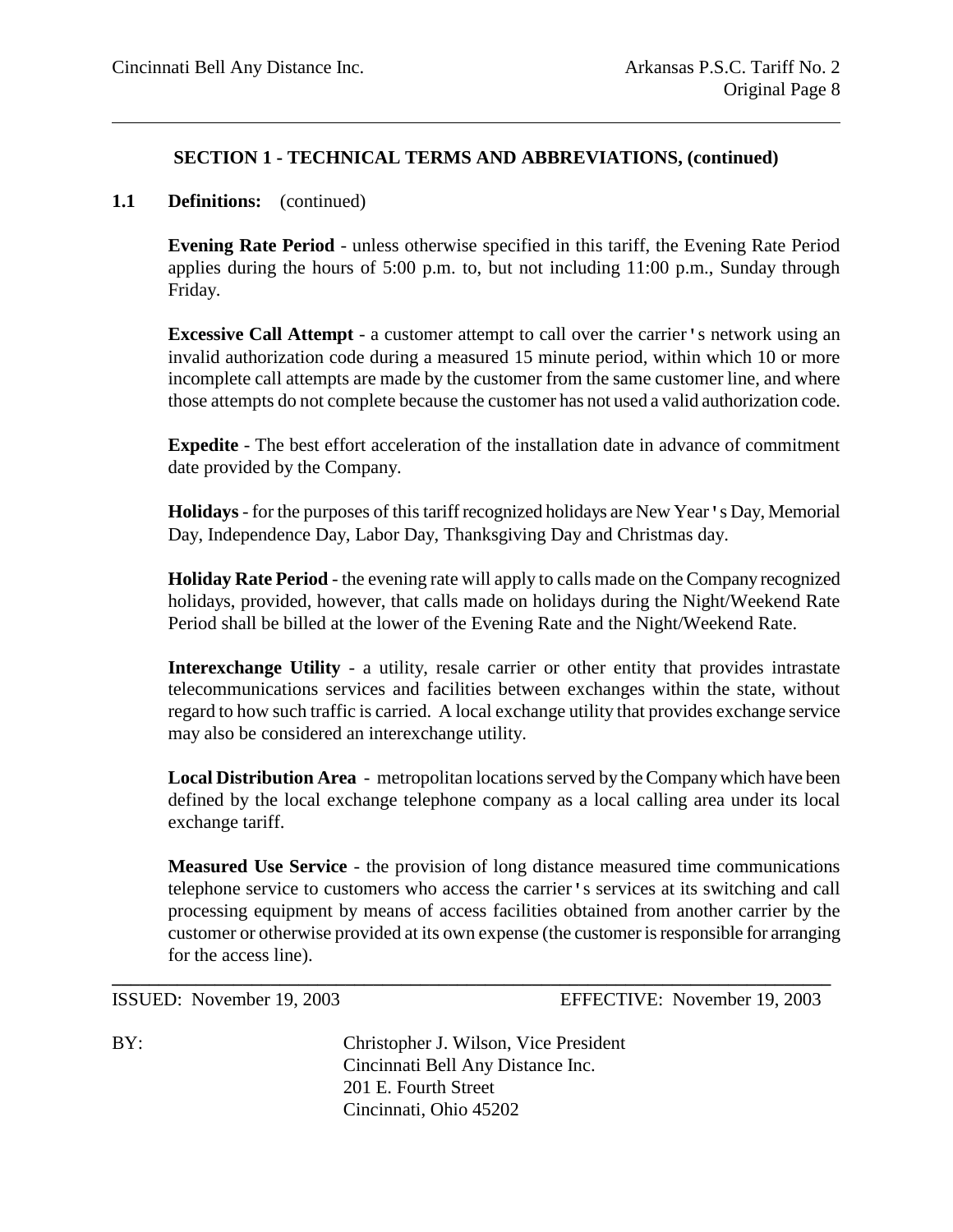#### **1.1 Definitions:** (continued)

**Evening Rate Period** - unless otherwise specified in this tariff, the Evening Rate Period applies during the hours of 5:00 p.m. to, but not including 11:00 p.m., Sunday through Friday.

**Excessive Call Attempt** - a customer attempt to call over the carrier's network using an invalid authorization code during a measured 15 minute period, within which 10 or more incomplete call attempts are made by the customer from the same customer line, and where those attempts do not complete because the customer has not used a valid authorization code.

**Expedite** - The best effort acceleration of the installation date in advance of commitment date provided by the Company.

**Holidays**- for the purposes of this tariff recognized holidays are New Year's Day, Memorial Day, Independence Day, Labor Day, Thanksgiving Day and Christmas day.

**Holiday Rate Period** - the evening rate will apply to calls made on the Company recognized holidays, provided, however, that calls made on holidays during the Night/Weekend Rate Period shall be billed at the lower of the Evening Rate and the Night/Weekend Rate.

**Interexchange Utility** - a utility, resale carrier or other entity that provides intrastate telecommunications services and facilities between exchanges within the state, without regard to how such traffic is carried. A local exchange utility that provides exchange service may also be considered an interexchange utility.

**Local Distribution Area** - metropolitan locations served by the Company which have been defined by the local exchange telephone company as a local calling area under its local exchange tariff.

**Measured Use Service** - the provision of long distance measured time communications telephone service to customers who access the carrier's services at its switching and call processing equipment by means of access facilities obtained from another carrier by the customer or otherwise provided at its own expense (the customer is responsible for arranging for the access line).

ISSUED: November 19, 2003 EFFECTIVE: November 19, 2003

BY: Christopher J. Wilson, Vice President Cincinnati Bell Any Distance Inc. 201 E. Fourth Street Cincinnati, Ohio 45202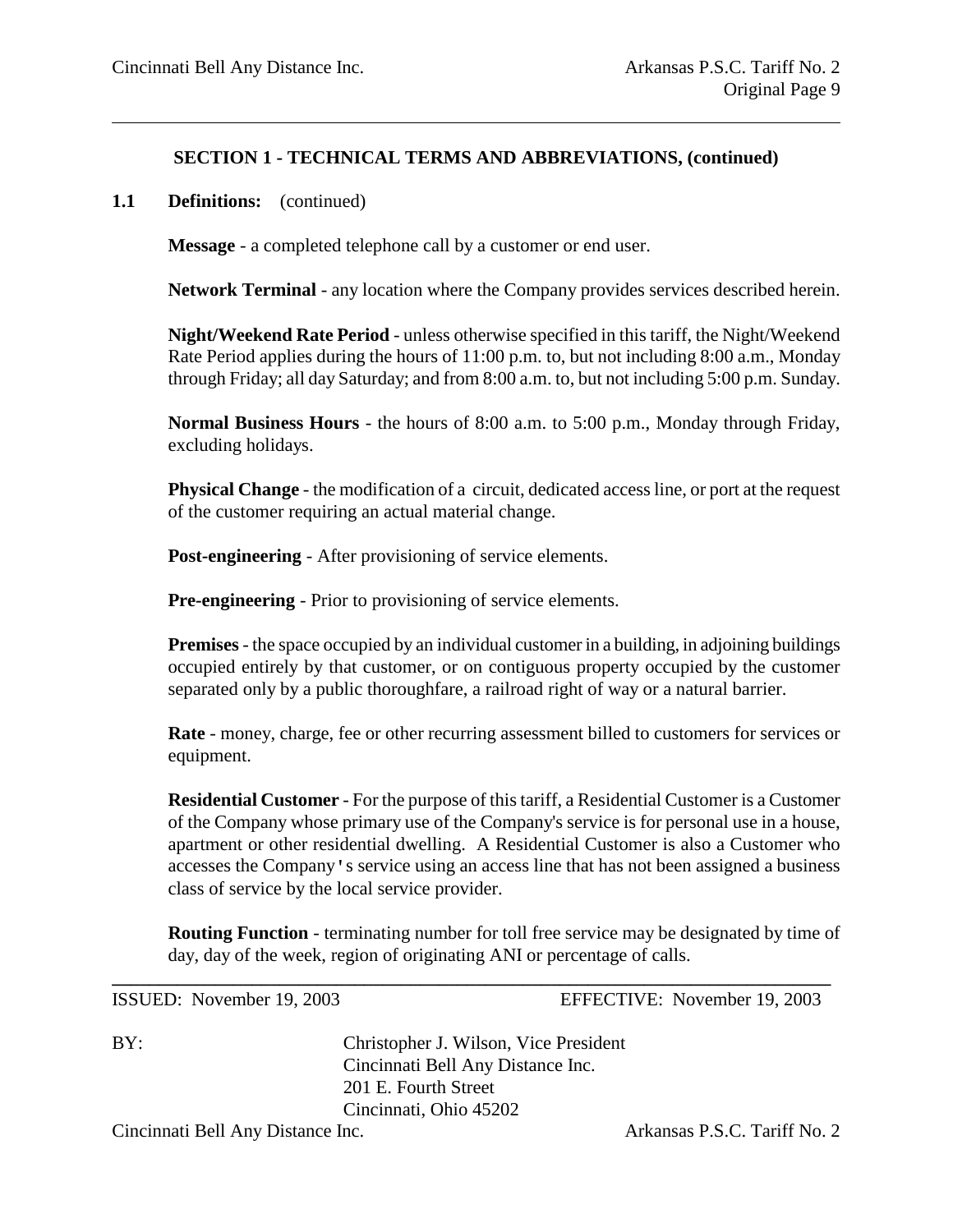#### **1.1 Definitions:** (continued)

**Message** - a completed telephone call by a customer or end user.

**Network Terminal** - any location where the Company provides services described herein.

**Night/Weekend Rate Period** - unless otherwise specified in this tariff, the Night/Weekend Rate Period applies during the hours of 11:00 p.m. to, but not including 8:00 a.m., Monday through Friday; all day Saturday; and from 8:00 a.m. to, but not including 5:00 p.m. Sunday.

**Normal Business Hours** - the hours of 8:00 a.m. to 5:00 p.m., Monday through Friday, excluding holidays.

**Physical Change** - the modification of a circuit, dedicated access line, or port at the request of the customer requiring an actual material change.

**Post-engineering** - After provisioning of service elements.

**Pre-engineering** - Prior to provisioning of service elements.

**Premises**- the space occupied by an individual customer in a building, in adjoining buildings occupied entirely by that customer, or on contiguous property occupied by the customer separated only by a public thoroughfare, a railroad right of way or a natural barrier.

**Rate** - money, charge, fee or other recurring assessment billed to customers for services or equipment.

**Residential Customer** - For the purpose of this tariff, a Residential Customer is a Customer of the Company whose primary use of the Company's service is for personal use in a house, apartment or other residential dwelling. A Residential Customer is also a Customer who accesses the Company's service using an access line that has not been assigned a business class of service by the local service provider.

**Routing Function** - terminating number for toll free service may be designated by time of day, day of the week, region of originating ANI or percentage of calls.

**\_\_\_\_\_\_\_\_\_\_\_\_\_\_\_\_\_\_\_\_\_\_\_\_\_\_\_\_\_\_\_\_\_\_\_\_\_\_\_\_\_\_\_\_\_\_\_\_\_\_\_\_\_\_\_\_\_\_\_\_\_\_\_\_\_\_\_\_\_\_\_\_\_\_\_\_\_**

ISSUED: November 19, 2003 EFFECTIVE: November 19, 2003

BY: Christopher J. Wilson, Vice President Cincinnati Bell Any Distance Inc. 201 E. Fourth Street Cincinnati, Ohio 45202

Cincinnati Bell Any Distance Inc. <br>
Arkansas P.S.C. Tariff No. 2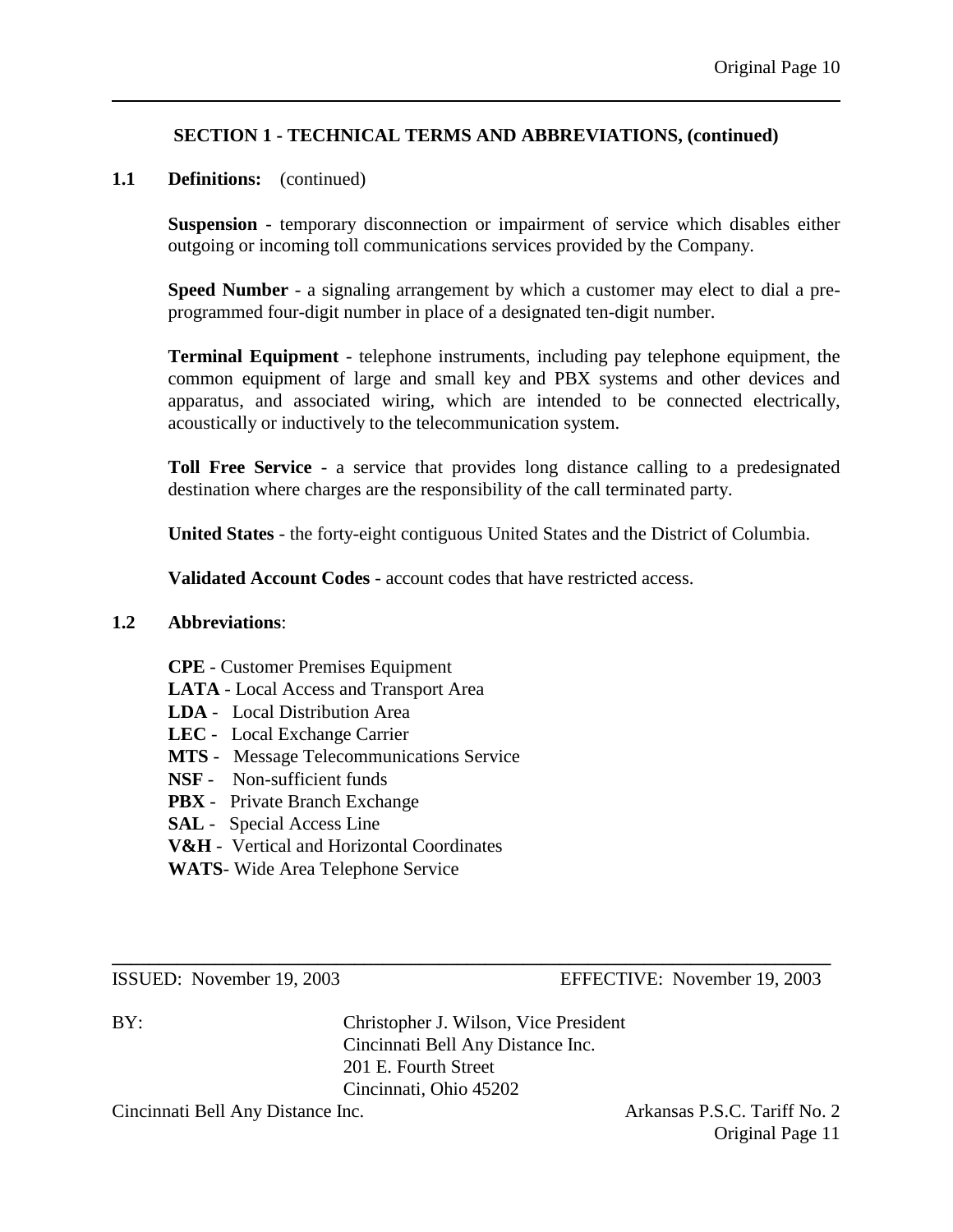# **1.1 Definitions:** (continued)

**Suspension** - temporary disconnection or impairment of service which disables either outgoing or incoming toll communications services provided by the Company.

**Speed Number** - a signaling arrangement by which a customer may elect to dial a preprogrammed four-digit number in place of a designated ten-digit number.

**Terminal Equipment** - telephone instruments, including pay telephone equipment, the common equipment of large and small key and PBX systems and other devices and apparatus, and associated wiring, which are intended to be connected electrically, acoustically or inductively to the telecommunication system.

**Toll Free Service** - a service that provides long distance calling to a predesignated destination where charges are the responsibility of the call terminated party.

**United States** - the forty-eight contiguous United States and the District of Columbia.

**Validated Account Codes** - account codes that have restricted access.

#### **1.2 Abbreviations**:

- **CPE** Customer Premises Equipment
- **LATA** Local Access and Transport Area
- **LDA** Local Distribution Area
- **LEC** Local Exchange Carrier
- **MTS** Message Telecommunications Service
- **NSF** Non-sufficient funds
- **PBX** Private Branch Exchange
- **SAL** Special Access Line
- **V&H** Vertical and Horizontal Coordinates
- **WATS** Wide Area Telephone Service

ISSUED: November 19, 2003 EFFECTIVE: November 19, 2003

BY: Christopher J. Wilson, Vice President Cincinnati Bell Any Distance Inc. 201 E. Fourth Street Cincinnati, Ohio 45202

**\_\_\_\_\_\_\_\_\_\_\_\_\_\_\_\_\_\_\_\_\_\_\_\_\_\_\_\_\_\_\_\_\_\_\_\_\_\_\_\_\_\_\_\_\_\_\_\_\_\_\_\_\_\_\_\_\_\_\_\_\_\_\_\_\_\_\_\_\_\_\_\_\_\_\_\_\_**

Cincinnati Bell Any Distance Inc. **Arkansas P.S.C. Tariff No. 2** 

Original Page 11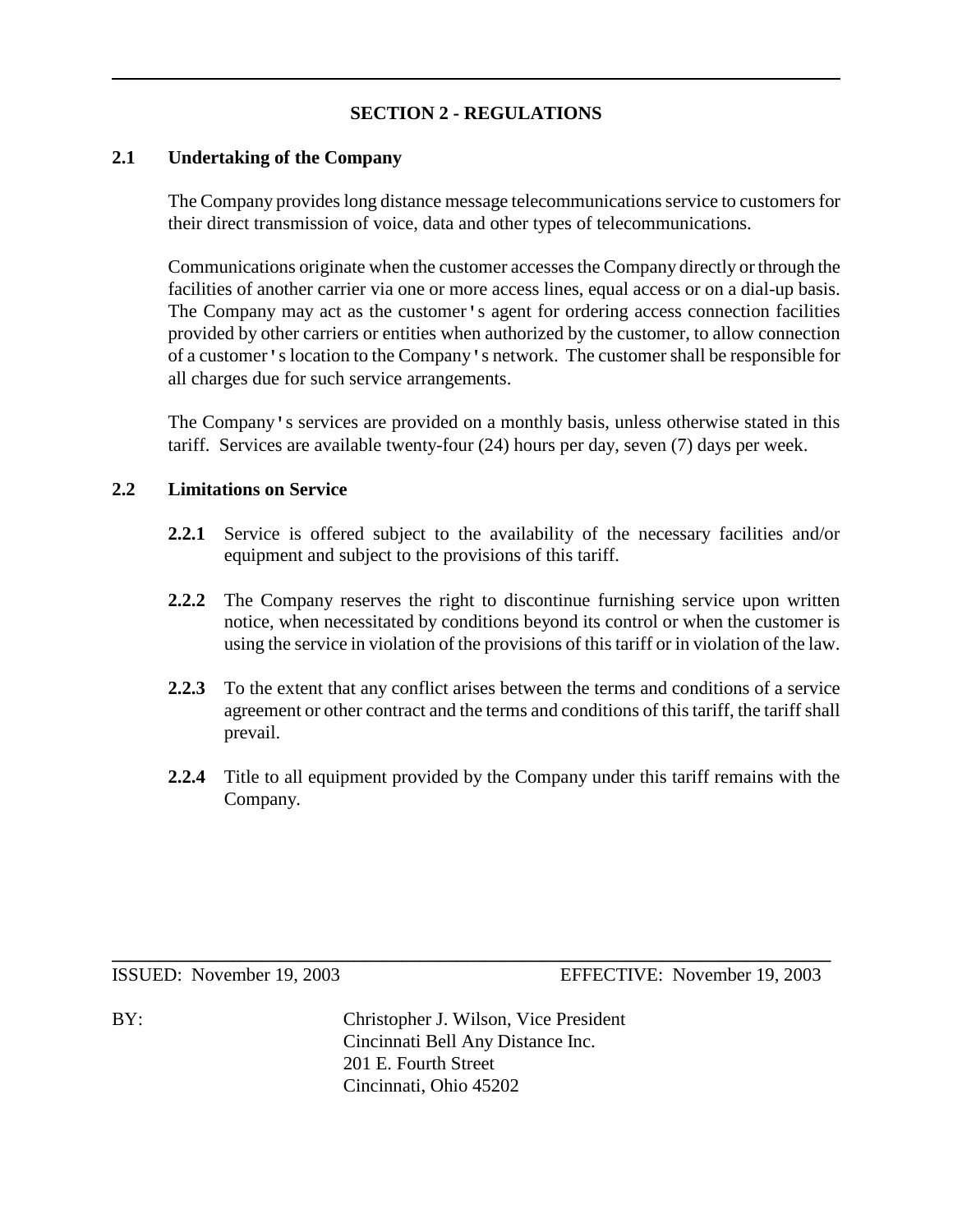# **SECTION 2 - REGULATIONS**

#### **2.1 Undertaking of the Company**

The Company provides long distance message telecommunications service to customers for their direct transmission of voice, data and other types of telecommunications.

Communications originate when the customer accesses the Company directly or through the facilities of another carrier via one or more access lines, equal access or on a dial-up basis. The Company may act as the customer's agent for ordering access connection facilities provided by other carriers or entities when authorized by the customer, to allow connection of a customer's location to the Company's network. The customer shall be responsible for all charges due for such service arrangements.

The Company's services are provided on a monthly basis, unless otherwise stated in this tariff. Services are available twenty-four (24) hours per day, seven (7) days per week.

#### **2.2 Limitations on Service**

- **2.2.1** Service is offered subject to the availability of the necessary facilities and/or equipment and subject to the provisions of this tariff.
- **2.2.2** The Company reserves the right to discontinue furnishing service upon written notice, when necessitated by conditions beyond its control or when the customer is using the service in violation of the provisions of this tariff or in violation of the law.
- **2.2.3** To the extent that any conflict arises between the terms and conditions of a service agreement or other contract and the terms and conditions of this tariff, the tariff shall prevail.
- **2.2.4** Title to all equipment provided by the Company under this tariff remains with the Company.

ISSUED: November 19, 2003 EFFECTIVE: November 19, 2003

BY: Christopher J. Wilson, Vice President Cincinnati Bell Any Distance Inc. 201 E. Fourth Street Cincinnati, Ohio 45202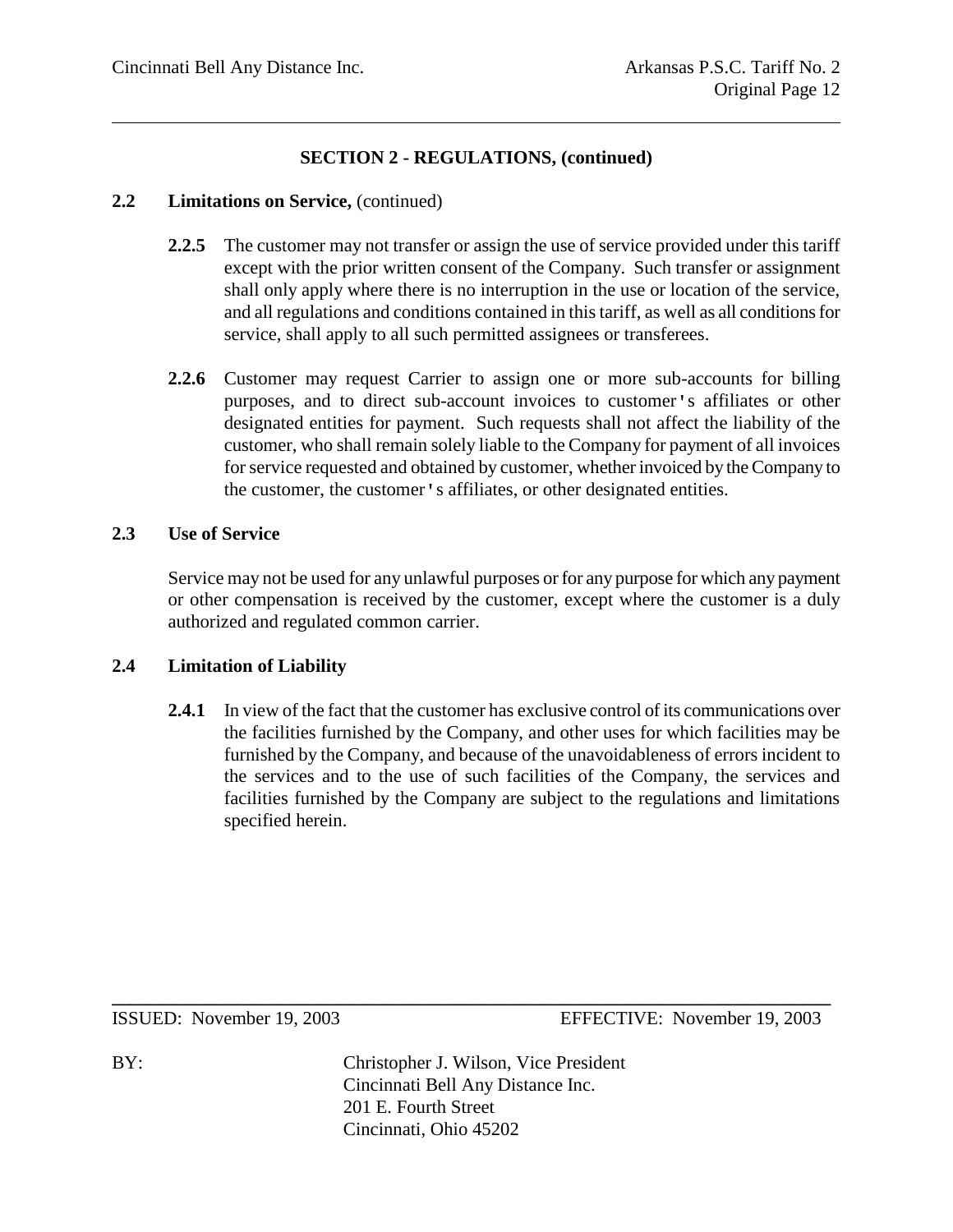#### **2.2 Limitations on Service,** (continued)

- **2.2.5** The customer may not transfer or assign the use of service provided under this tariff except with the prior written consent of the Company. Such transfer or assignment shall only apply where there is no interruption in the use or location of the service, and all regulations and conditions contained in this tariff, as well as all conditions for service, shall apply to all such permitted assignees or transferees.
- **2.2.6** Customer may request Carrier to assign one or more sub-accounts for billing purposes, and to direct sub-account invoices to customer's affiliates or other designated entities for payment. Such requests shall not affect the liability of the customer, who shall remain solely liable to the Company for payment of all invoices for service requested and obtained by customer, whether invoiced by the Company to the customer, the customer's affiliates, or other designated entities.

# **2.3 Use of Service**

Service may not be used for any unlawful purposes or for any purpose for which any payment or other compensation is received by the customer, except where the customer is a duly authorized and regulated common carrier.

# **2.4 Limitation of Liability**

2.4.1 In view of the fact that the customer has exclusive control of its communications over the facilities furnished by the Company, and other uses for which facilities may be furnished by the Company, and because of the unavoidableness of errors incident to the services and to the use of such facilities of the Company, the services and facilities furnished by the Company are subject to the regulations and limitations specified herein.

ISSUED: November 19, 2003 EFFECTIVE: November 19, 2003

BY: Christopher J. Wilson, Vice President Cincinnati Bell Any Distance Inc. 201 E. Fourth Street Cincinnati, Ohio 45202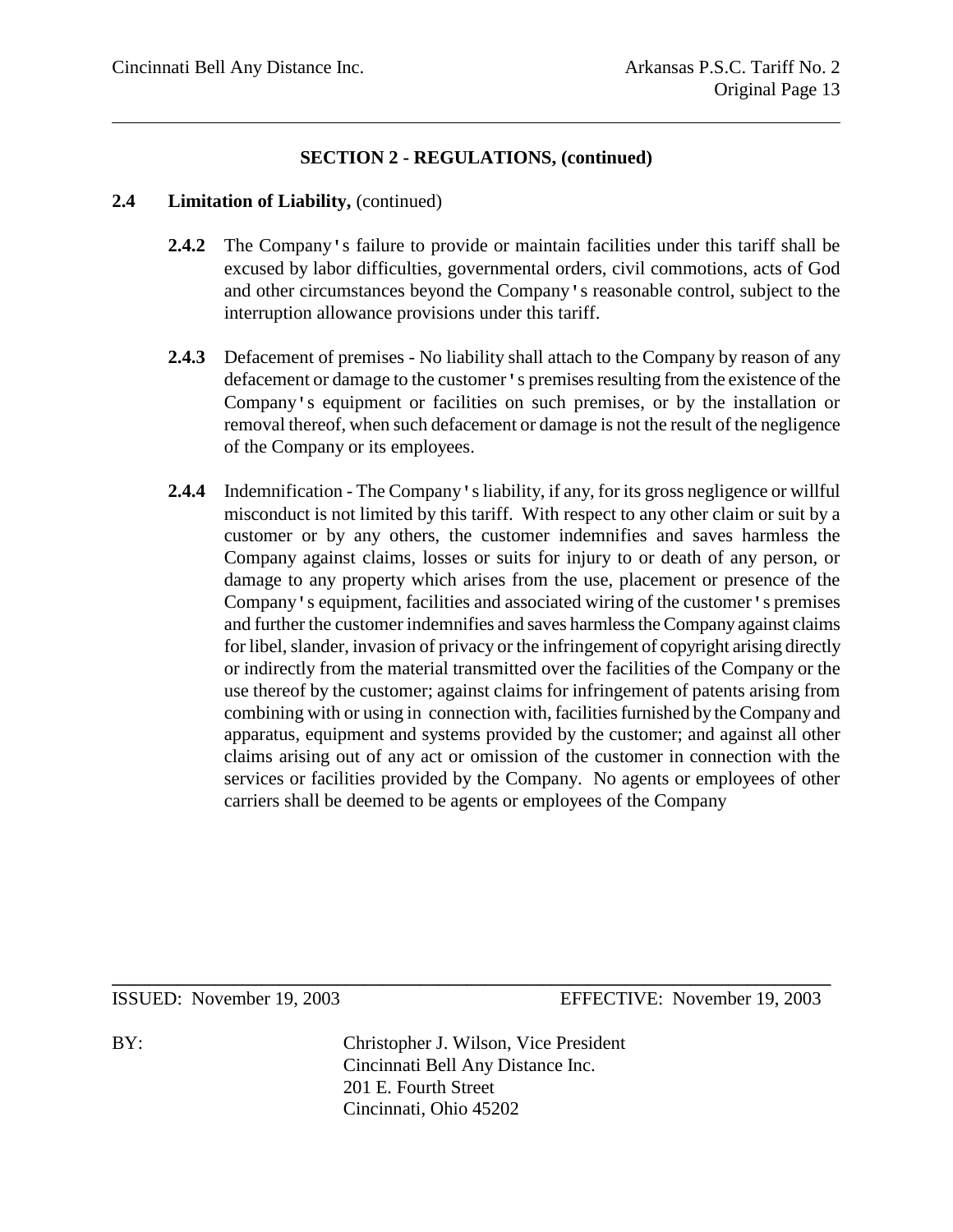#### **2.4 Limitation of Liability,** (continued)

- **2.4.2** The Company's failure to provide or maintain facilities under this tariff shall be excused by labor difficulties, governmental orders, civil commotions, acts of God and other circumstances beyond the Company's reasonable control, subject to the interruption allowance provisions under this tariff.
- **2.4.3** Defacement of premises No liability shall attach to the Company by reason of any defacement or damage to the customer's premises resulting from the existence of the Company's equipment or facilities on such premises, or by the installation or removal thereof, when such defacement or damage is not the result of the negligence of the Company or its employees.
- **2.4.4** Indemnification The Company's liability, if any, for its gross negligence or willful misconduct is not limited by this tariff. With respect to any other claim or suit by a customer or by any others, the customer indemnifies and saves harmless the Company against claims, losses or suits for injury to or death of any person, or damage to any property which arises from the use, placement or presence of the Company's equipment, facilities and associated wiring of the customer's premises and further the customer indemnifies and saves harmless the Company against claims for libel, slander, invasion of privacy or the infringement of copyright arising directly or indirectly from the material transmitted over the facilities of the Company or the use thereof by the customer; against claims for infringement of patents arising from combining with or using in connection with, facilities furnished by the Company and apparatus, equipment and systems provided by the customer; and against all other claims arising out of any act or omission of the customer in connection with the services or facilities provided by the Company. No agents or employees of other carriers shall be deemed to be agents or employees of the Company

ISSUED: November 19, 2003 EFFECTIVE: November 19, 2003

BY: Christopher J. Wilson, Vice President Cincinnati Bell Any Distance Inc. 201 E. Fourth Street Cincinnati, Ohio 45202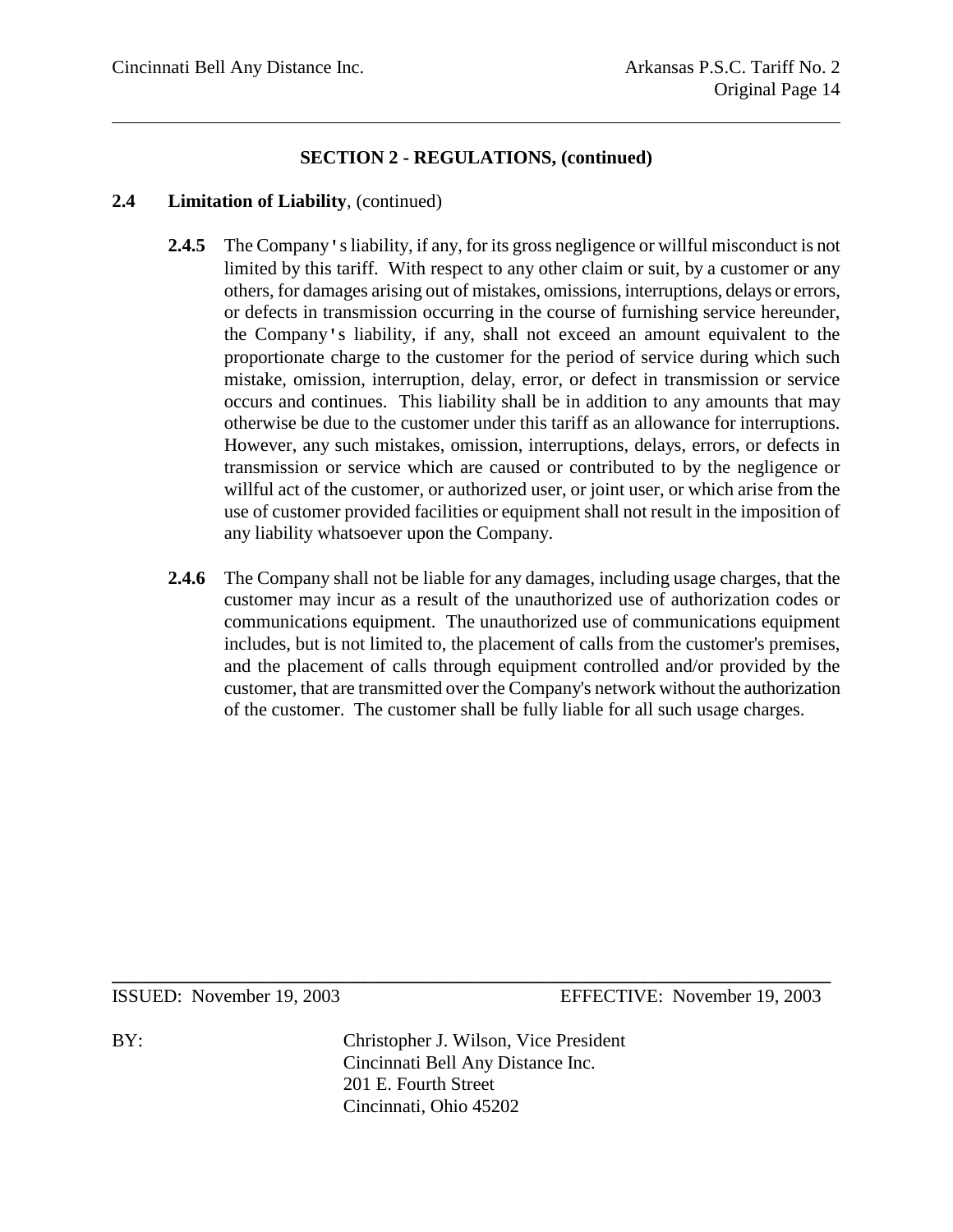#### **2.4 Limitation of Liability**, (continued)

- **2.4.5** The Company's liability, if any, for its gross negligence or willful misconduct is not limited by this tariff. With respect to any other claim or suit, by a customer or any others, for damages arising out of mistakes, omissions, interruptions, delays or errors, or defects in transmission occurring in the course of furnishing service hereunder, the Company's liability, if any, shall not exceed an amount equivalent to the proportionate charge to the customer for the period of service during which such mistake, omission, interruption, delay, error, or defect in transmission or service occurs and continues. This liability shall be in addition to any amounts that may otherwise be due to the customer under this tariff as an allowance for interruptions. However, any such mistakes, omission, interruptions, delays, errors, or defects in transmission or service which are caused or contributed to by the negligence or willful act of the customer, or authorized user, or joint user, or which arise from the use of customer provided facilities or equipment shall not result in the imposition of any liability whatsoever upon the Company.
- **2.4.6** The Company shall not be liable for any damages, including usage charges, that the customer may incur as a result of the unauthorized use of authorization codes or communications equipment. The unauthorized use of communications equipment includes, but is not limited to, the placement of calls from the customer's premises, and the placement of calls through equipment controlled and/or provided by the customer, that are transmitted over the Company's network without the authorization of the customer. The customer shall be fully liable for all such usage charges.

ISSUED: November 19, 2003 EFFECTIVE: November 19, 2003

BY: Christopher J. Wilson, Vice President Cincinnati Bell Any Distance Inc. 201 E. Fourth Street Cincinnati, Ohio 45202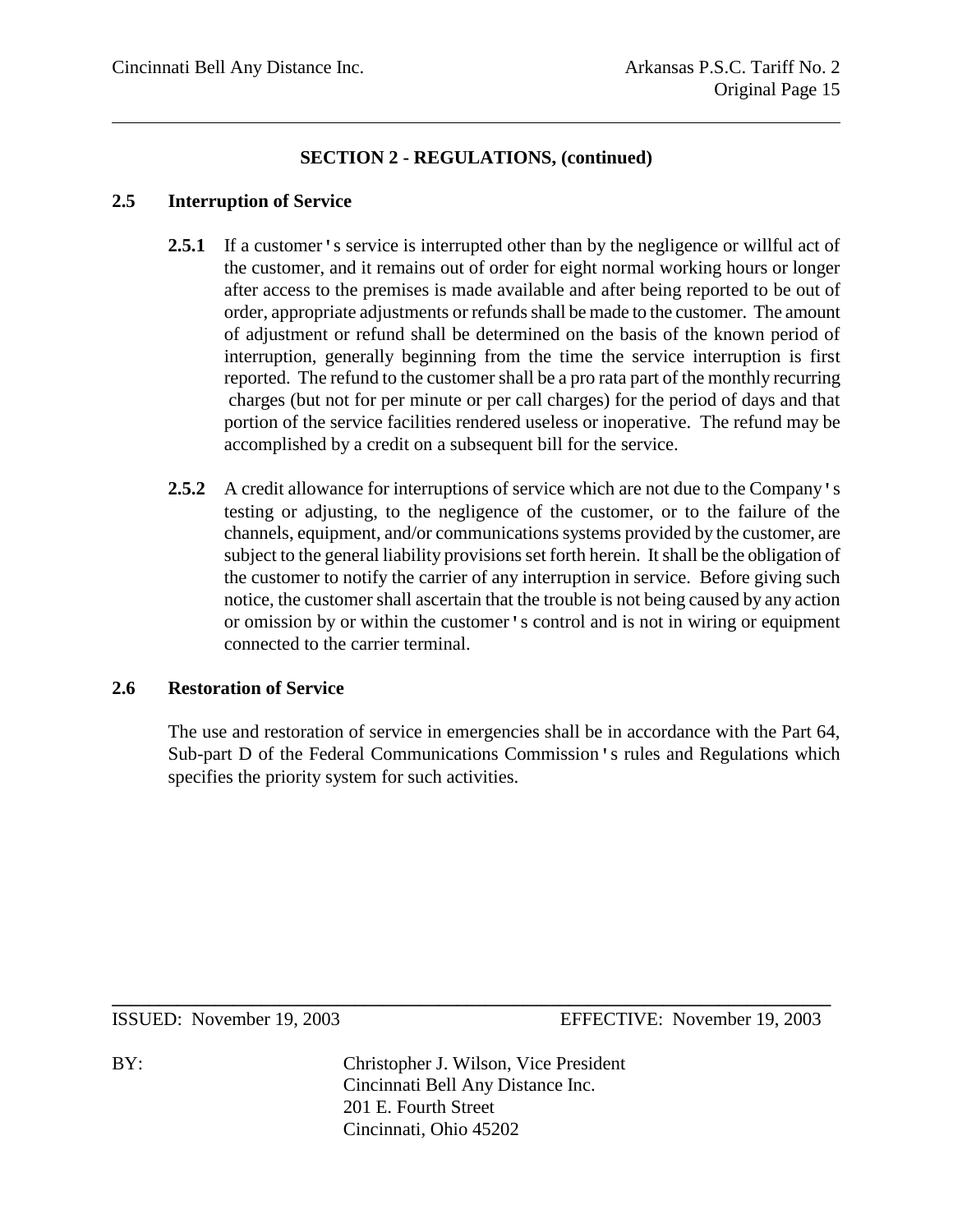## **2.5 Interruption of Service**

- **2.5.1** If a customer's service is interrupted other than by the negligence or willful act of the customer, and it remains out of order for eight normal working hours or longer after access to the premises is made available and after being reported to be out of order, appropriate adjustments or refunds shall be made to the customer. The amount of adjustment or refund shall be determined on the basis of the known period of interruption, generally beginning from the time the service interruption is first reported. The refund to the customer shall be a pro rata part of the monthly recurring charges (but not for per minute or per call charges) for the period of days and that portion of the service facilities rendered useless or inoperative. The refund may be accomplished by a credit on a subsequent bill for the service.
- **2.5.2** A credit allowance for interruptions of service which are not due to the Company's testing or adjusting, to the negligence of the customer, or to the failure of the channels, equipment, and/or communications systems provided by the customer, are subject to the general liability provisions set forth herein. It shall be the obligation of the customer to notify the carrier of any interruption in service. Before giving such notice, the customer shall ascertain that the trouble is not being caused by any action or omission by or within the customer's control and is not in wiring or equipment connected to the carrier terminal.

# **2.6 Restoration of Service**

The use and restoration of service in emergencies shall be in accordance with the Part 64, Sub-part D of the Federal Communications Commission's rules and Regulations which specifies the priority system for such activities.

ISSUED: November 19, 2003 EFFECTIVE: November 19, 2003

BY: Christopher J. Wilson, Vice President Cincinnati Bell Any Distance Inc. 201 E. Fourth Street Cincinnati, Ohio 45202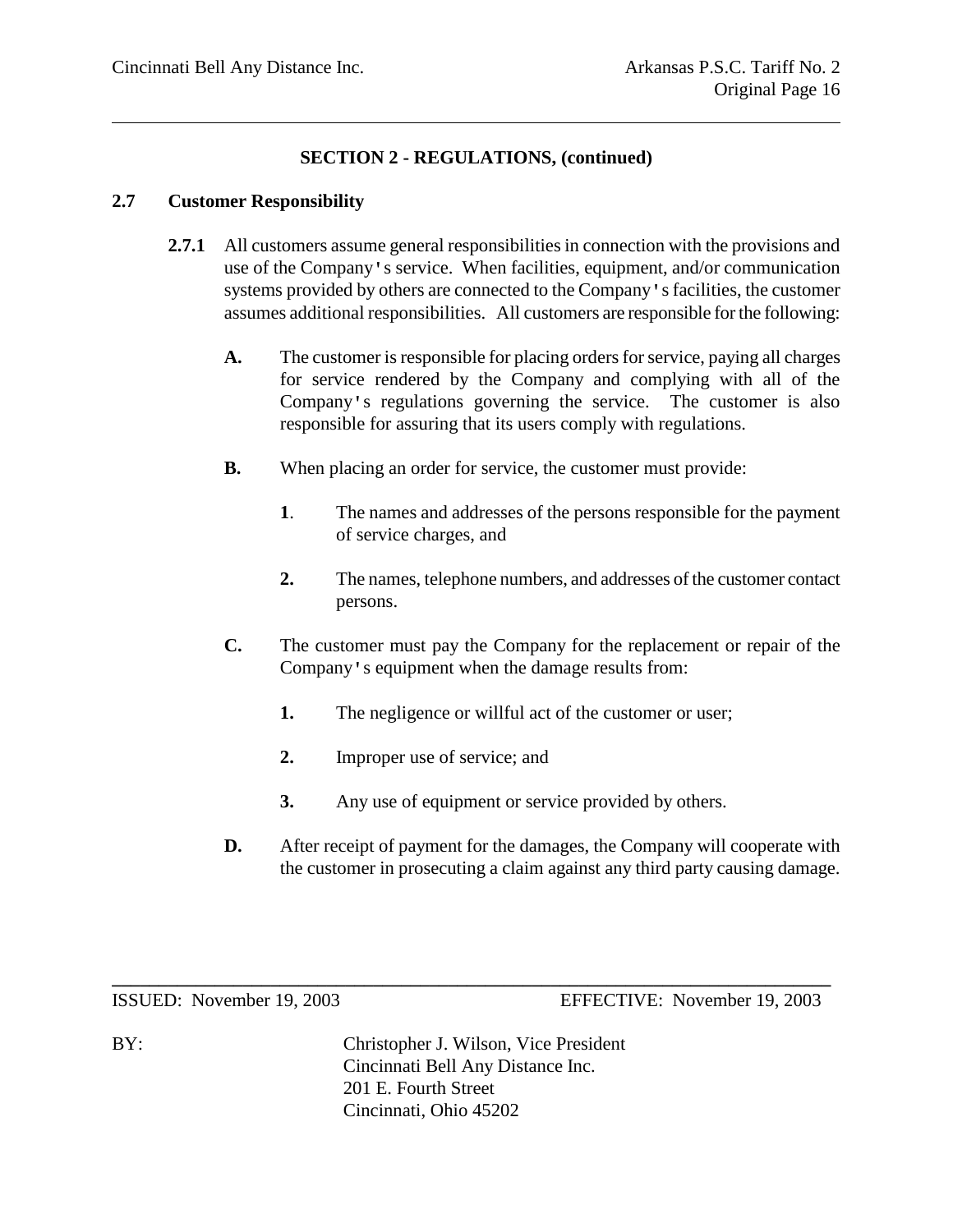#### **2.7 Customer Responsibility**

- **2.7.1** All customers assume general responsibilities in connection with the provisions and use of the Company's service. When facilities, equipment, and/or communication systems provided by others are connected to the Company's facilities, the customer assumes additional responsibilities. All customers are responsible for the following:
	- **A.** The customer is responsible for placing orders for service, paying all charges for service rendered by the Company and complying with all of the Company's regulations governing the service. The customer is also responsible for assuring that its users comply with regulations.
	- **B.** When placing an order for service, the customer must provide:
		- **1**. The names and addresses of the persons responsible for the payment of service charges, and
		- **2.** The names, telephone numbers, and addresses of the customer contact persons.
	- **C.** The customer must pay the Company for the replacement or repair of the Company's equipment when the damage results from:
		- **1.** The negligence or willful act of the customer or user;
		- **2.** Improper use of service; and
		- **3.** Any use of equipment or service provided by others.
	- **D.** After receipt of payment for the damages, the Company will cooperate with the customer in prosecuting a claim against any third party causing damage.

ISSUED: November 19, 2003 EFFECTIVE: November 19, 2003

BY: Christopher J. Wilson, Vice President Cincinnati Bell Any Distance Inc. 201 E. Fourth Street Cincinnati, Ohio 45202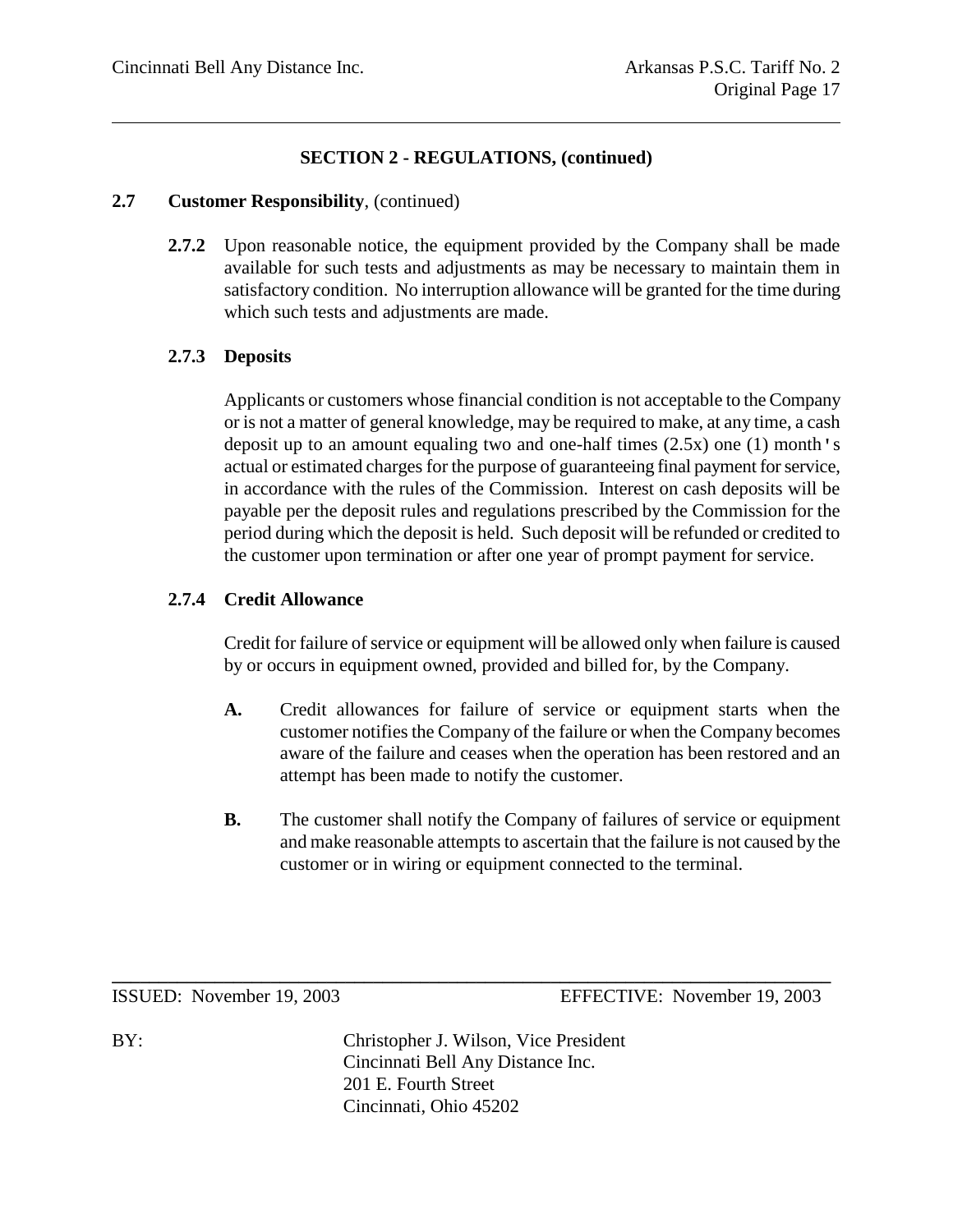#### **2.7 Customer Responsibility**, (continued)

**2.7.2** Upon reasonable notice, the equipment provided by the Company shall be made available for such tests and adjustments as may be necessary to maintain them in satisfactory condition. No interruption allowance will be granted for the time during which such tests and adjustments are made.

# **2.7.3 Deposits**

Applicants or customers whose financial condition is not acceptable to the Company or is not a matter of general knowledge, may be required to make, at any time, a cash deposit up to an amount equaling two and one-half times (2.5x) one (1) month's actual or estimated charges for the purpose of guaranteeing final payment for service, in accordance with the rules of the Commission. Interest on cash deposits will be payable per the deposit rules and regulations prescribed by the Commission for the period during which the deposit is held. Such deposit will be refunded or credited to the customer upon termination or after one year of prompt payment for service.

# **2.7.4 Credit Allowance**

Credit for failure of service or equipment will be allowed only when failure is caused by or occurs in equipment owned, provided and billed for, by the Company.

- **A.** Credit allowances for failure of service or equipment starts when the customer notifies the Company of the failure or when the Company becomes aware of the failure and ceases when the operation has been restored and an attempt has been made to notify the customer.
- **B.** The customer shall notify the Company of failures of service or equipment and make reasonable attempts to ascertain that the failure is not caused by the customer or in wiring or equipment connected to the terminal.

ISSUED: November 19, 2003 EFFECTIVE: November 19, 2003

BY: Christopher J. Wilson, Vice President Cincinnati Bell Any Distance Inc. 201 E. Fourth Street Cincinnati, Ohio 45202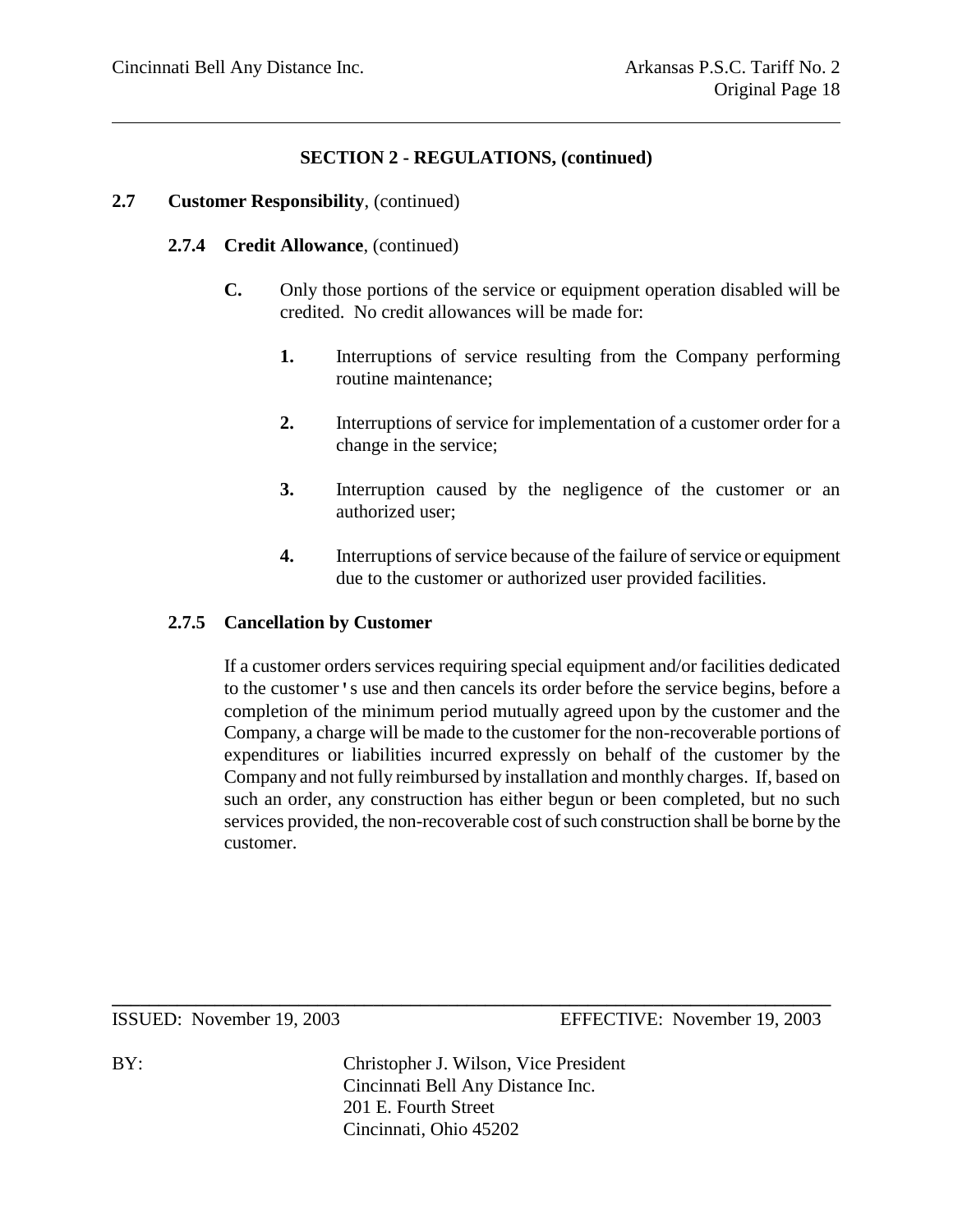#### **2.7 Customer Responsibility**, (continued)

#### **2.7.4 Credit Allowance**, (continued)

- **C.** Only those portions of the service or equipment operation disabled will be credited. No credit allowances will be made for:
	- **1.** Interruptions of service resulting from the Company performing routine maintenance;
	- **2.** Interruptions of service for implementation of a customer order for a change in the service;
	- **3.** Interruption caused by the negligence of the customer or an authorized user;
	- **4.** Interruptions of service because of the failure of service or equipment due to the customer or authorized user provided facilities.

#### **2.7.5 Cancellation by Customer**

If a customer orders services requiring special equipment and/or facilities dedicated to the customer's use and then cancels its order before the service begins, before a completion of the minimum period mutually agreed upon by the customer and the Company, a charge will be made to the customer for the non-recoverable portions of expenditures or liabilities incurred expressly on behalf of the customer by the Company and not fully reimbursed by installation and monthly charges. If, based on such an order, any construction has either begun or been completed, but no such services provided, the non-recoverable cost of such construction shall be borne by the customer.

ISSUED: November 19, 2003 EFFECTIVE: November 19, 2003

BY: Christopher J. Wilson, Vice President Cincinnati Bell Any Distance Inc. 201 E. Fourth Street Cincinnati, Ohio 45202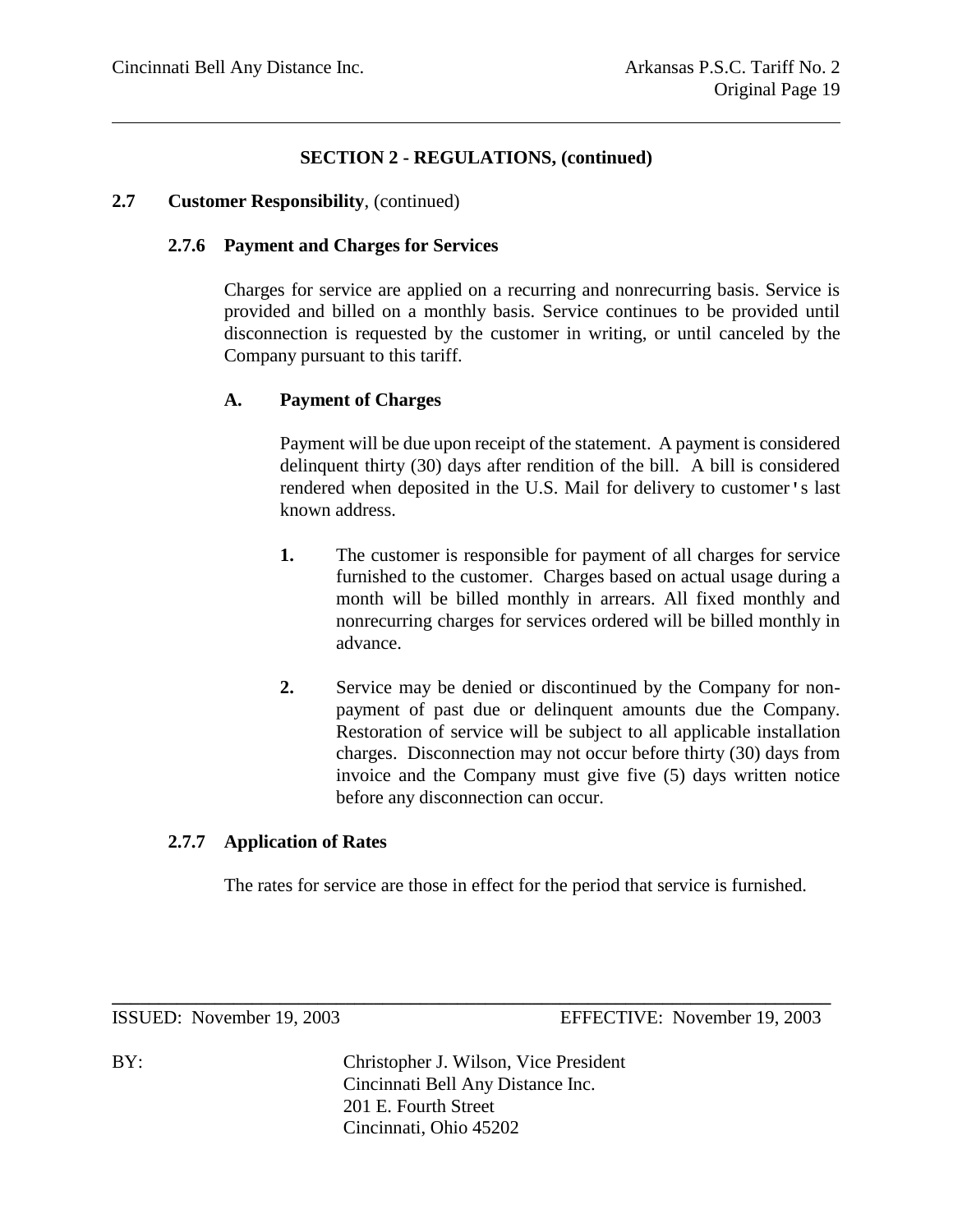#### **2.7 Customer Responsibility**, (continued)

#### **2.7.6 Payment and Charges for Services**

Charges for service are applied on a recurring and nonrecurring basis. Service is provided and billed on a monthly basis. Service continues to be provided until disconnection is requested by the customer in writing, or until canceled by the Company pursuant to this tariff.

#### **A. Payment of Charges**

Payment will be due upon receipt of the statement. A payment is considered delinquent thirty (30) days after rendition of the bill. A bill is considered rendered when deposited in the U.S. Mail for delivery to customer's last known address.

- **1.** The customer is responsible for payment of all charges for service furnished to the customer. Charges based on actual usage during a month will be billed monthly in arrears. All fixed monthly and nonrecurring charges for services ordered will be billed monthly in advance.
- **2.** Service may be denied or discontinued by the Company for nonpayment of past due or delinquent amounts due the Company. Restoration of service will be subject to all applicable installation charges. Disconnection may not occur before thirty (30) days from invoice and the Company must give five (5) days written notice before any disconnection can occur.

#### **2.7.7 Application of Rates**

The rates for service are those in effect for the period that service is furnished.

ISSUED: November 19, 2003 EFFECTIVE: November 19, 2003

BY: Christopher J. Wilson, Vice President Cincinnati Bell Any Distance Inc. 201 E. Fourth Street Cincinnati, Ohio 45202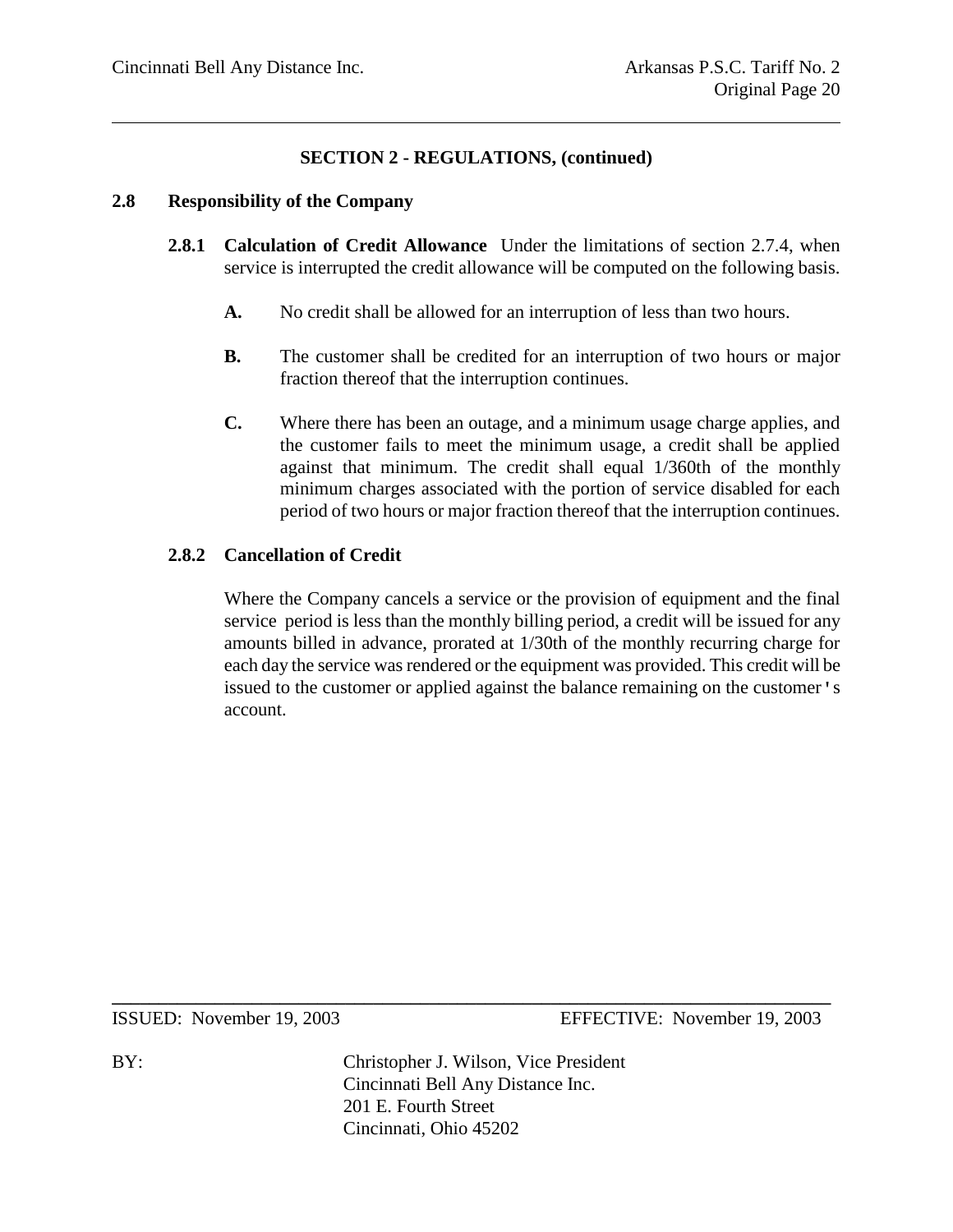#### **2.8 Responsibility of the Company**

- **2.8.1 Calculation of Credit Allowance** Under the limitations of section 2.7.4, when service is interrupted the credit allowance will be computed on the following basis.
	- **A.** No credit shall be allowed for an interruption of less than two hours.
	- **B.** The customer shall be credited for an interruption of two hours or major fraction thereof that the interruption continues.
	- **C.** Where there has been an outage, and a minimum usage charge applies, and the customer fails to meet the minimum usage, a credit shall be applied against that minimum. The credit shall equal 1/360th of the monthly minimum charges associated with the portion of service disabled for each period of two hours or major fraction thereof that the interruption continues.

# **2.8.2 Cancellation of Credit**

Where the Company cancels a service or the provision of equipment and the final service period is less than the monthly billing period, a credit will be issued for any amounts billed in advance, prorated at 1/30th of the monthly recurring charge for each day the service was rendered or the equipment was provided. This credit will be issued to the customer or applied against the balance remaining on the customer's account.

ISSUED: November 19, 2003 EFFECTIVE: November 19, 2003

BY: Christopher J. Wilson, Vice President Cincinnati Bell Any Distance Inc. 201 E. Fourth Street Cincinnati, Ohio 45202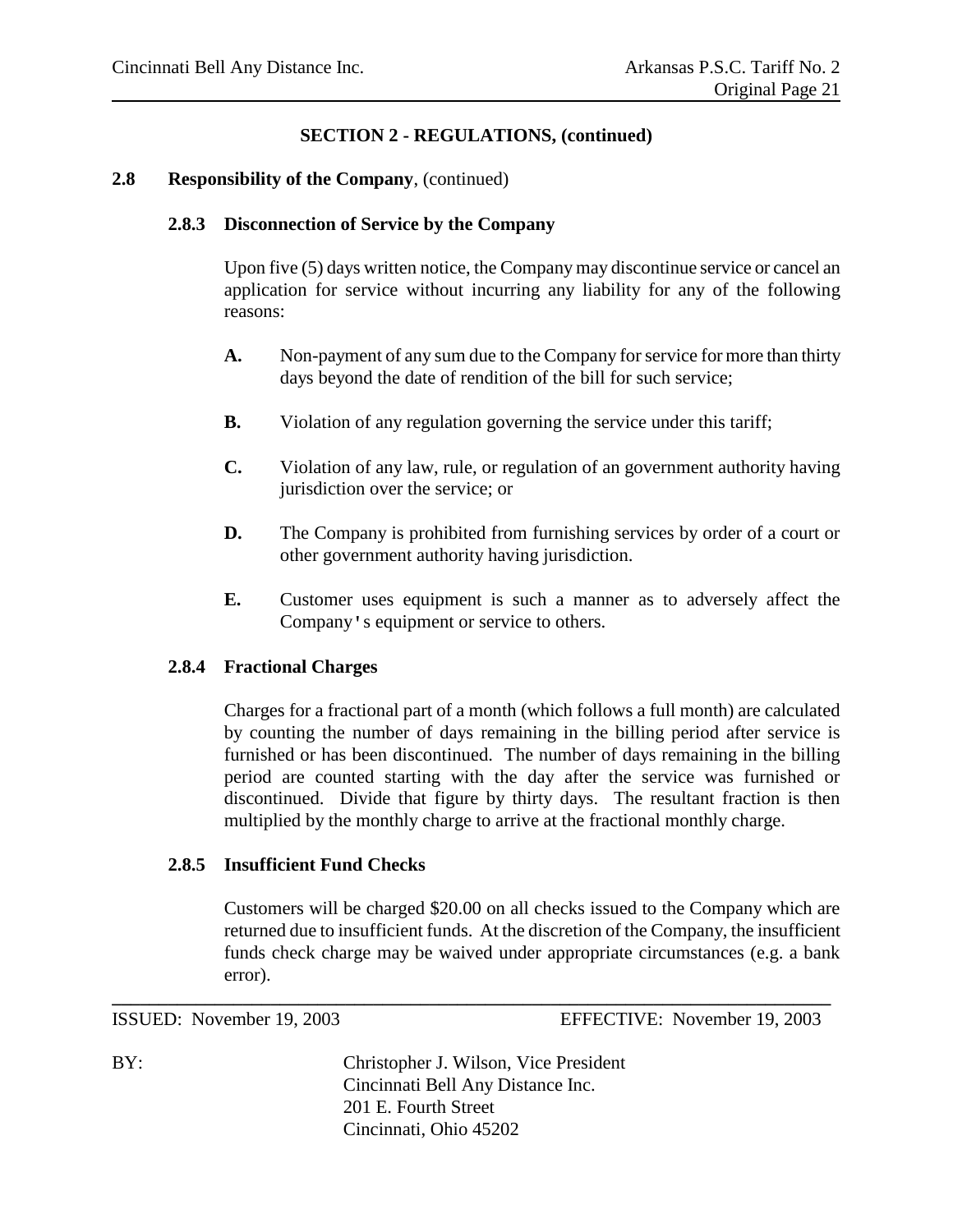#### **2.8 Responsibility of the Company**, (continued)

#### **2.8.3 Disconnection of Service by the Company**

Upon five (5) days written notice, the Company may discontinue service or cancel an application for service without incurring any liability for any of the following reasons:

- **A.** Non-payment of any sum due to the Company for service for more than thirty days beyond the date of rendition of the bill for such service;
- **B.** Violation of any regulation governing the service under this tariff;
- **C.** Violation of any law, rule, or regulation of an government authority having jurisdiction over the service; or
- **D.** The Company is prohibited from furnishing services by order of a court or other government authority having jurisdiction.
- **E.** Customer uses equipment is such a manner as to adversely affect the Company's equipment or service to others.

#### **2.8.4 Fractional Charges**

Charges for a fractional part of a month (which follows a full month) are calculated by counting the number of days remaining in the billing period after service is furnished or has been discontinued. The number of days remaining in the billing period are counted starting with the day after the service was furnished or discontinued. Divide that figure by thirty days. The resultant fraction is then multiplied by the monthly charge to arrive at the fractional monthly charge.

#### **2.8.5 Insufficient Fund Checks**

Customers will be charged \$20.00 on all checks issued to the Company which are returned due to insufficient funds. At the discretion of the Company, the insufficient funds check charge may be waived under appropriate circumstances (e.g. a bank error).

ISSUED: November 19, 2003 EFFECTIVE: November 19, 2003

BY: Christopher J. Wilson, Vice President Cincinnati Bell Any Distance Inc. 201 E. Fourth Street Cincinnati, Ohio 45202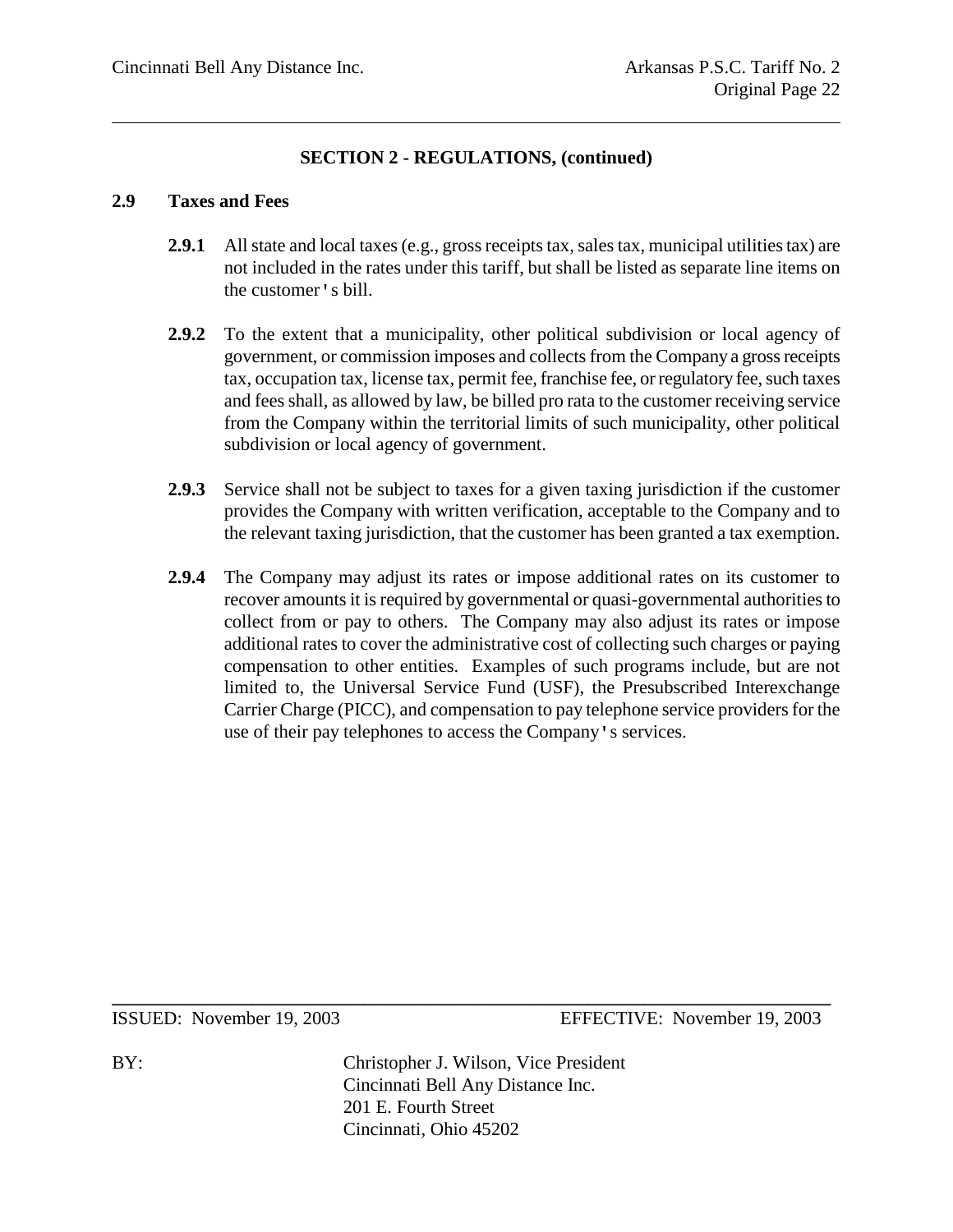#### **2.9 Taxes and Fees**

- **2.9.1** All state and local taxes (e.g., gross receipts tax, sales tax, municipal utilities tax) are not included in the rates under this tariff, but shall be listed as separate line items on the customer's bill.
- **2.9.2** To the extent that a municipality, other political subdivision or local agency of government, or commission imposes and collects from the Company a gross receipts tax, occupation tax, license tax, permit fee, franchise fee, or regulatory fee, such taxes and fees shall, as allowed by law, be billed pro rata to the customer receiving service from the Company within the territorial limits of such municipality, other political subdivision or local agency of government.
- **2.9.3** Service shall not be subject to taxes for a given taxing jurisdiction if the customer provides the Company with written verification, acceptable to the Company and to the relevant taxing jurisdiction, that the customer has been granted a tax exemption.
- **2.9.4** The Company may adjust its rates or impose additional rates on its customer to recover amounts it is required by governmental or quasi-governmental authorities to collect from or pay to others. The Company may also adjust its rates or impose additional rates to cover the administrative cost of collecting such charges or paying compensation to other entities. Examples of such programs include, but are not limited to, the Universal Service Fund (USF), the Presubscribed Interexchange Carrier Charge (PICC), and compensation to pay telephone service providers for the use of their pay telephones to access the Company's services.

ISSUED: November 19, 2003 EFFECTIVE: November 19, 2003

BY: Christopher J. Wilson, Vice President Cincinnati Bell Any Distance Inc. 201 E. Fourth Street Cincinnati, Ohio 45202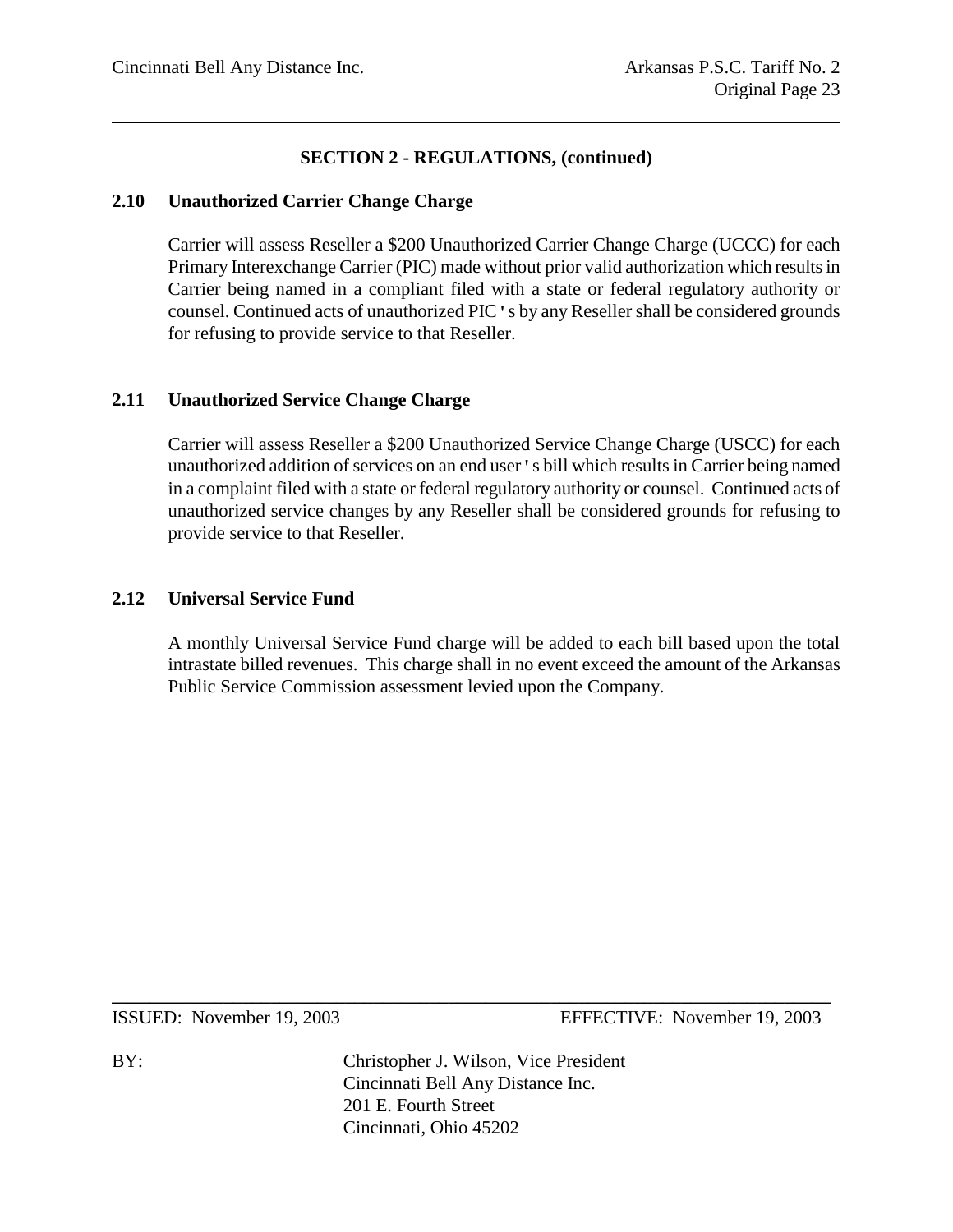#### **2.10 Unauthorized Carrier Change Charge**

Carrier will assess Reseller a \$200 Unauthorized Carrier Change Charge (UCCC) for each Primary Interexchange Carrier (PIC) made without prior valid authorization which results in Carrier being named in a compliant filed with a state or federal regulatory authority or counsel. Continued acts of unauthorized PIC's by any Reseller shall be considered grounds for refusing to provide service to that Reseller.

#### **2.11 Unauthorized Service Change Charge**

Carrier will assess Reseller a \$200 Unauthorized Service Change Charge (USCC) for each unauthorized addition of services on an end user's bill which results in Carrier being named in a complaint filed with a state or federal regulatory authority or counsel. Continued acts of unauthorized service changes by any Reseller shall be considered grounds for refusing to provide service to that Reseller.

#### **2.12 Universal Service Fund**

A monthly Universal Service Fund charge will be added to each bill based upon the total intrastate billed revenues. This charge shall in no event exceed the amount of the Arkansas Public Service Commission assessment levied upon the Company.

ISSUED: November 19, 2003 EFFECTIVE: November 19, 2003

BY: Christopher J. Wilson, Vice President Cincinnati Bell Any Distance Inc. 201 E. Fourth Street Cincinnati, Ohio 45202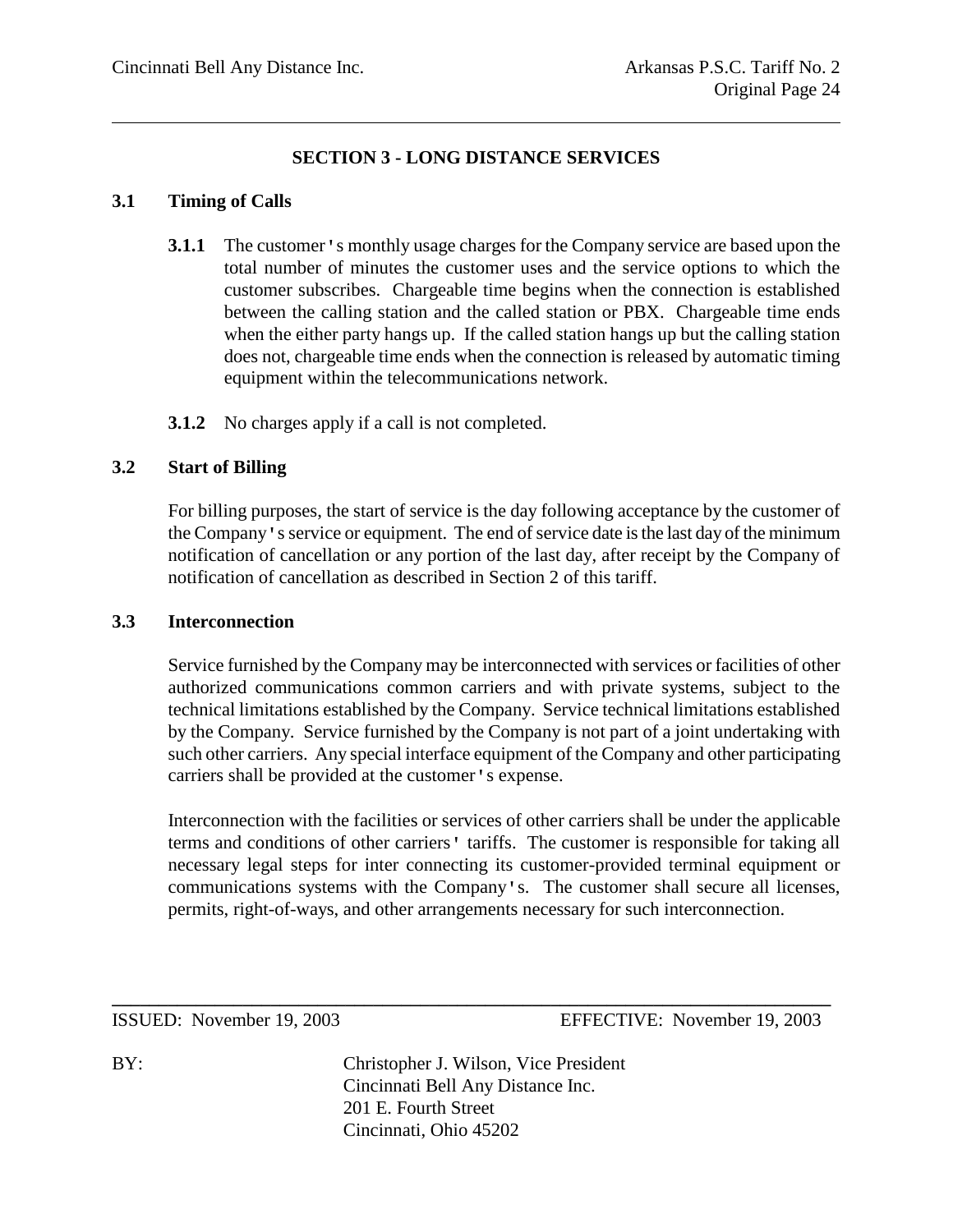# **SECTION 3 - LONG DISTANCE SERVICES**

#### **3.1 Timing of Calls**

- **3.1.1** The customer's monthly usage charges for the Company service are based upon the total number of minutes the customer uses and the service options to which the customer subscribes. Chargeable time begins when the connection is established between the calling station and the called station or PBX. Chargeable time ends when the either party hangs up. If the called station hangs up but the calling station does not, chargeable time ends when the connection is released by automatic timing equipment within the telecommunications network.
- **3.1.2** No charges apply if a call is not completed.

#### **3.2 Start of Billing**

For billing purposes, the start of service is the day following acceptance by the customer of the Company's service or equipment. The end of service date is the last day of the minimum notification of cancellation or any portion of the last day, after receipt by the Company of notification of cancellation as described in Section 2 of this tariff.

#### **3.3 Interconnection**

Service furnished by the Company may be interconnected with services or facilities of other authorized communications common carriers and with private systems, subject to the technical limitations established by the Company. Service technical limitations established by the Company. Service furnished by the Company is not part of a joint undertaking with such other carriers. Any special interface equipment of the Company and other participating carriers shall be provided at the customer's expense.

Interconnection with the facilities or services of other carriers shall be under the applicable terms and conditions of other carriers' tariffs. The customer is responsible for taking all necessary legal steps for inter connecting its customer-provided terminal equipment or communications systems with the Company's. The customer shall secure all licenses, permits, right-of-ways, and other arrangements necessary for such interconnection.

ISSUED: November 19, 2003 EFFECTIVE: November 19, 2003

BY: Christopher J. Wilson, Vice President Cincinnati Bell Any Distance Inc. 201 E. Fourth Street Cincinnati, Ohio 45202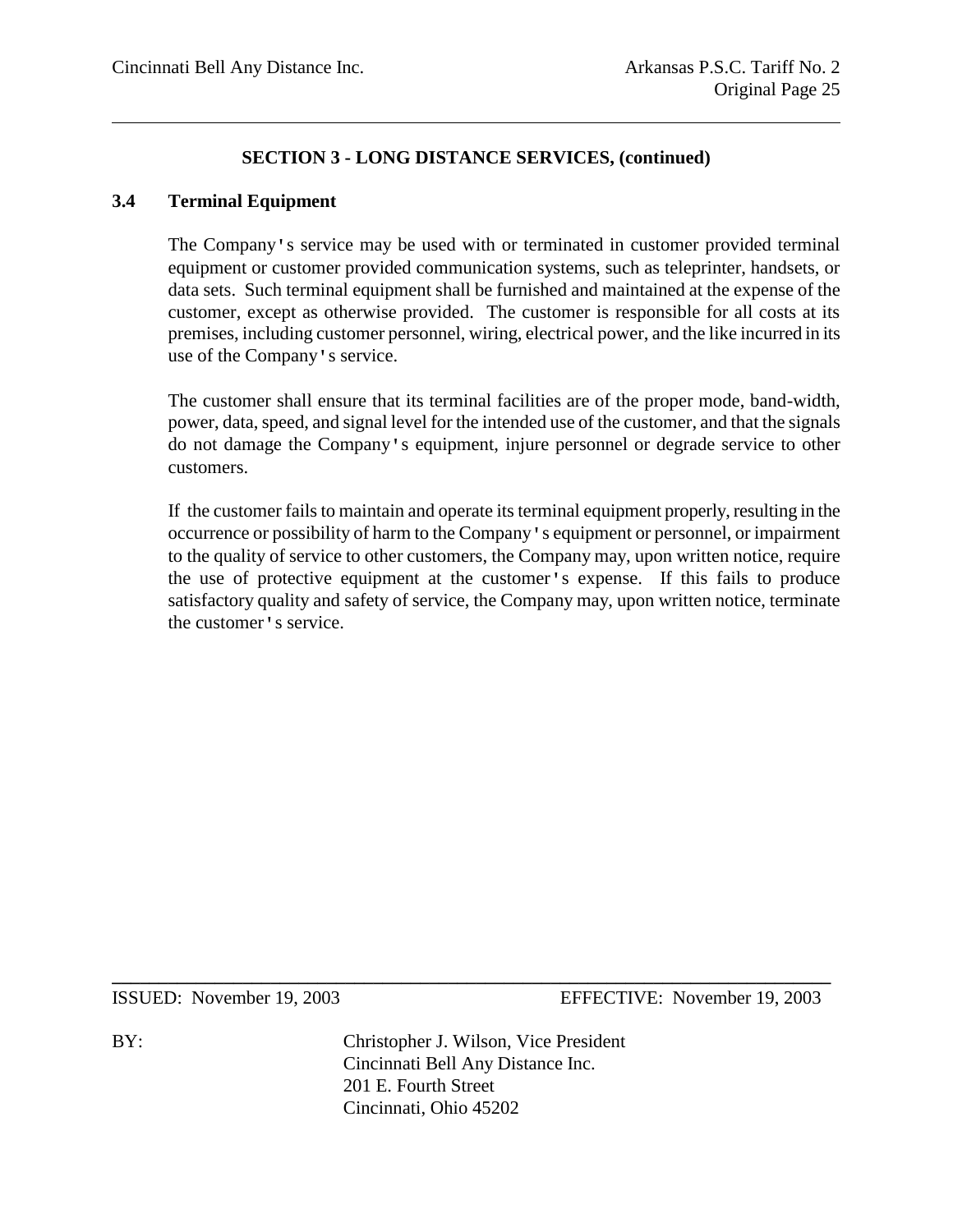## **3.4 Terminal Equipment**

The Company's service may be used with or terminated in customer provided terminal equipment or customer provided communication systems, such as teleprinter, handsets, or data sets. Such terminal equipment shall be furnished and maintained at the expense of the customer, except as otherwise provided. The customer is responsible for all costs at its premises, including customer personnel, wiring, electrical power, and the like incurred in its use of the Company's service.

The customer shall ensure that its terminal facilities are of the proper mode, band-width, power, data, speed, and signal level for the intended use of the customer, and that the signals do not damage the Company's equipment, injure personnel or degrade service to other customers.

If the customer fails to maintain and operate its terminal equipment properly, resulting in the occurrence or possibility of harm to the Company's equipment or personnel, or impairment to the quality of service to other customers, the Company may, upon written notice, require the use of protective equipment at the customer's expense. If this fails to produce satisfactory quality and safety of service, the Company may, upon written notice, terminate the customer's service.

ISSUED: November 19, 2003 EFFECTIVE: November 19, 2003

BY: Christopher J. Wilson, Vice President Cincinnati Bell Any Distance Inc. 201 E. Fourth Street Cincinnati, Ohio 45202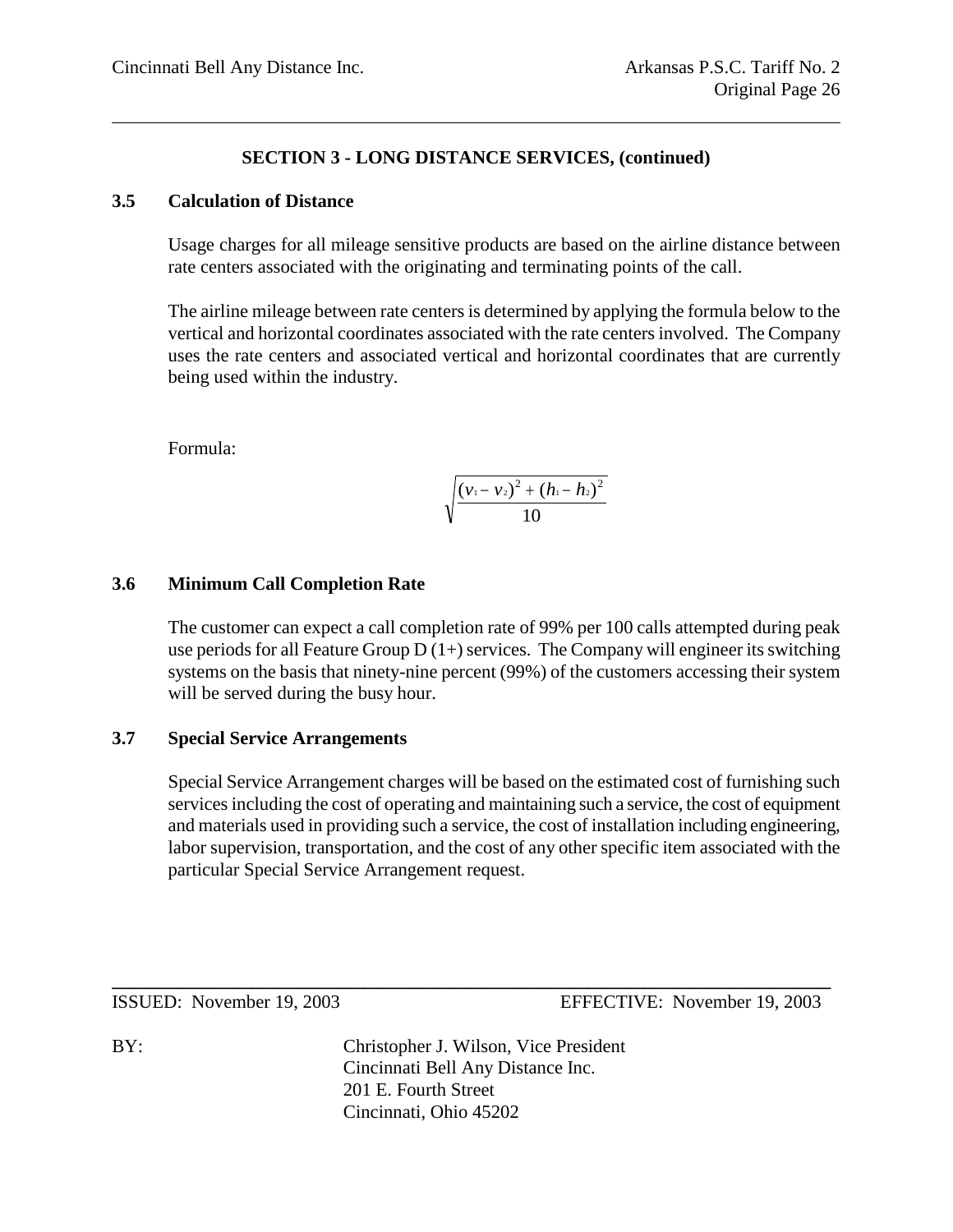#### **3.5 Calculation of Distance**

Usage charges for all mileage sensitive products are based on the airline distance between rate centers associated with the originating and terminating points of the call.

The airline mileage between rate centers is determined by applying the formula below to the vertical and horizontal coordinates associated with the rate centers involved. The Company uses the rate centers and associated vertical and horizontal coordinates that are currently being used within the industry.

Formula:

$$
\sqrt{\frac{(v_1-v_2)^2+(h_1-h_2)^2}{10}}
$$

#### **3.6 Minimum Call Completion Rate**

The customer can expect a call completion rate of 99% per 100 calls attempted during peak use periods for all Feature Group  $D(1+)$  services. The Company will engineer its switching systems on the basis that ninety-nine percent (99%) of the customers accessing their system will be served during the busy hour.

#### **3.7 Special Service Arrangements**

Special Service Arrangement charges will be based on the estimated cost of furnishing such services including the cost of operating and maintaining such a service, the cost of equipment and materials used in providing such a service, the cost of installation including engineering, labor supervision, transportation, and the cost of any other specific item associated with the particular Special Service Arrangement request.

BY: Christopher J. Wilson, Vice President Cincinnati Bell Any Distance Inc. 201 E. Fourth Street Cincinnati, Ohio 45202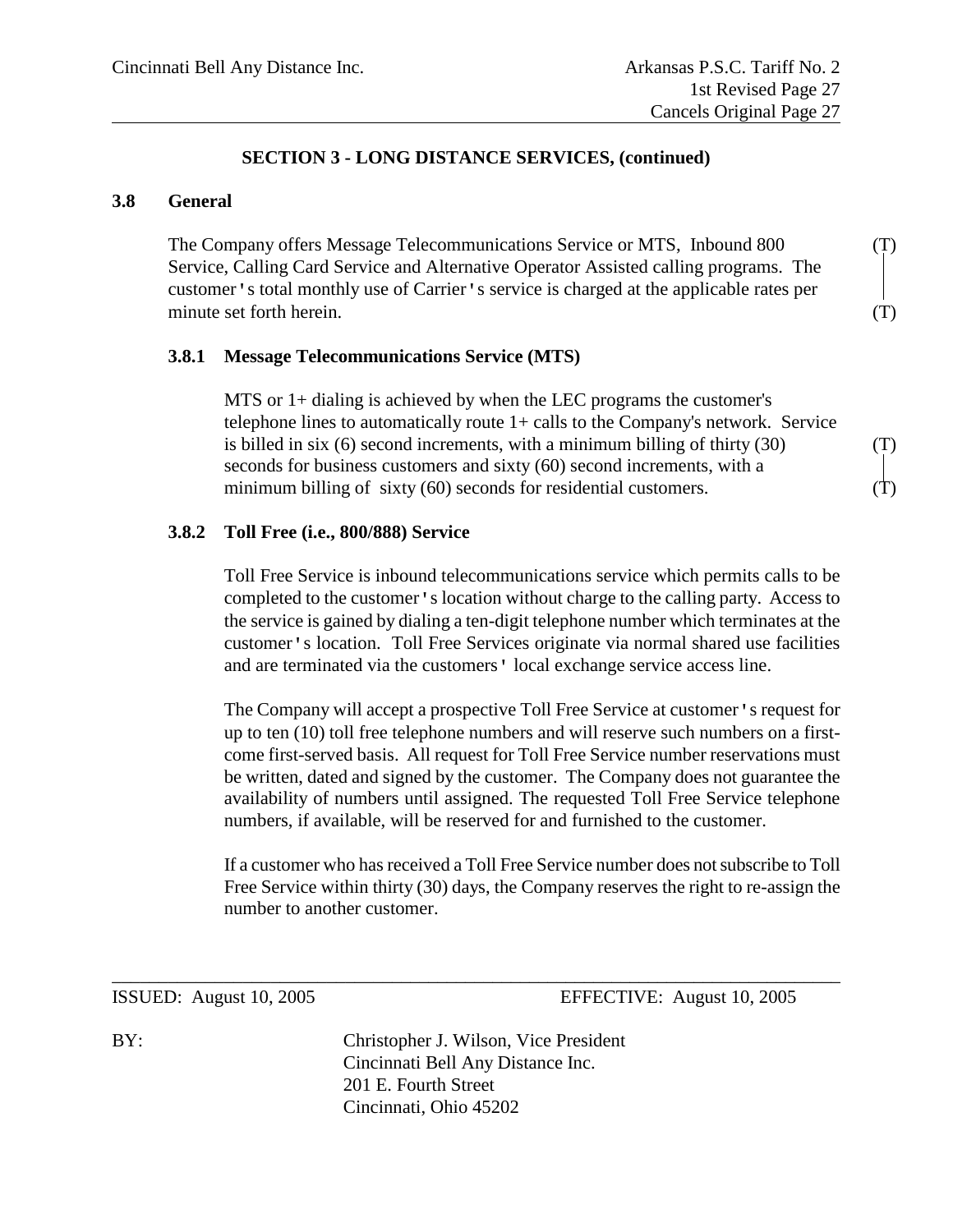#### **3.8 General**

The Company offers Message Telecommunications Service or MTS, Inbound 800 (T) Service, Calling Card Service and Alternative Operator Assisted calling programs. The customer's total monthly use of Carrier's service is charged at the applicable rates per minute set forth herein. (T)

#### **3.8.1 Message Telecommunications Service (MTS)**

MTS or 1+ dialing is achieved by when the LEC programs the customer's telephone lines to automatically route 1+ calls to the Company's network. Service is billed in six  $(6)$  second increments, with a minimum billing of thirty  $(30)$   $(T)$ seconds for business customers and sixty (60) second increments, with a minimum billing of sixty  $(60)$  seconds for residential customers.  $(T)$ 

#### **3.8.2 Toll Free (i.e., 800/888) Service**

Toll Free Service is inbound telecommunications service which permits calls to be completed to the customer's location without charge to the calling party. Access to the service is gained by dialing a ten-digit telephone number which terminates at the customer's location. Toll Free Services originate via normal shared use facilities and are terminated via the customers' local exchange service access line.

The Company will accept a prospective Toll Free Service at customer's request for up to ten (10) toll free telephone numbers and will reserve such numbers on a firstcome first-served basis. All request for Toll Free Service number reservations must be written, dated and signed by the customer. The Company does not guarantee the availability of numbers until assigned. The requested Toll Free Service telephone numbers, if available, will be reserved for and furnished to the customer.

If a customer who has received a Toll Free Service number does not subscribe to Toll Free Service within thirty (30) days, the Company reserves the right to re-assign the number to another customer.

ISSUED: August 10, 2005 EFFECTIVE: August 10, 2005

BY: Christopher J. Wilson, Vice President Cincinnati Bell Any Distance Inc. 201 E. Fourth Street Cincinnati, Ohio 45202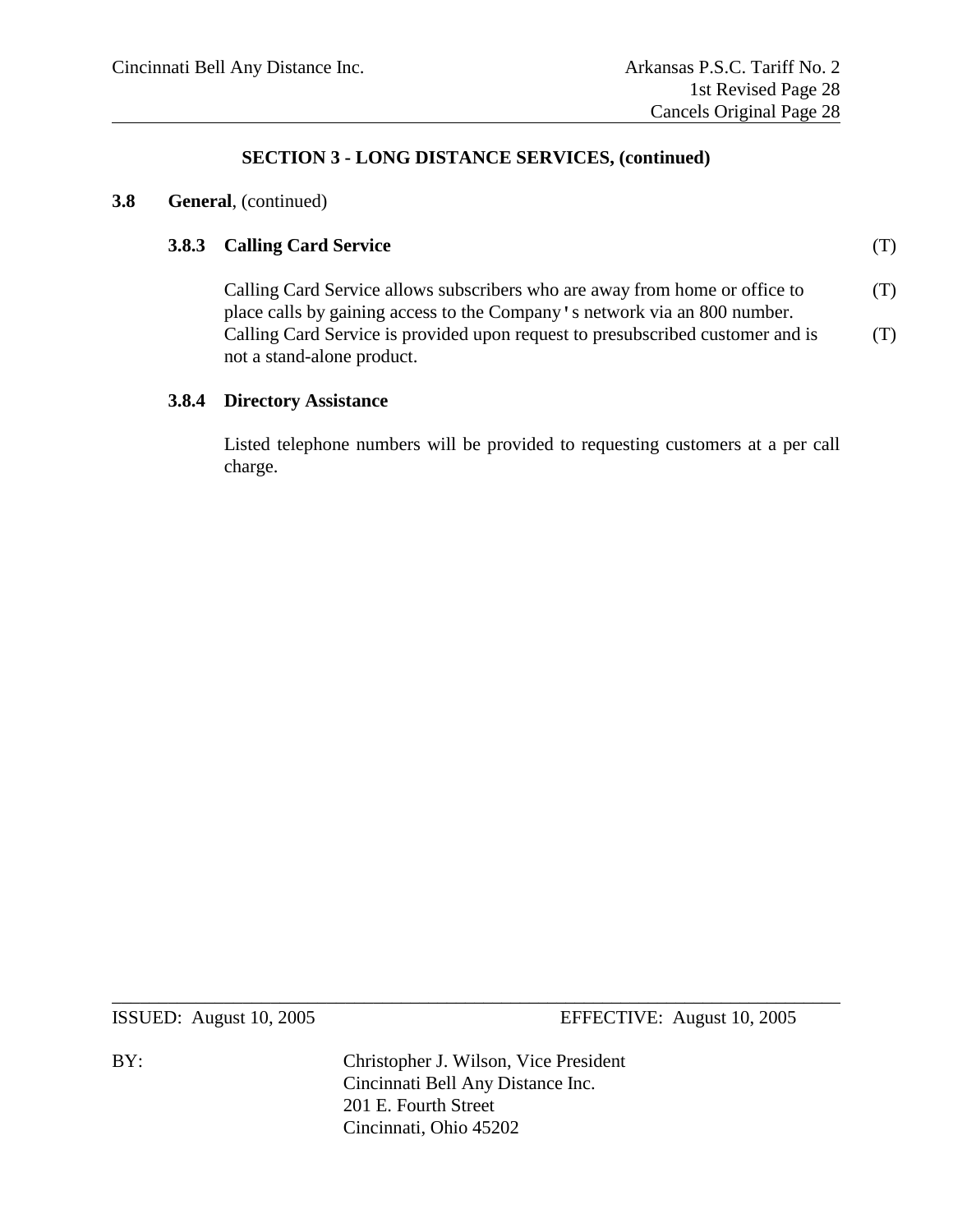#### **3.8 General**, (continued)

#### **3.8.3 Calling Card Service** (T)

Calling Card Service allows subscribers who are away from home or office to  $(T)$ place calls by gaining access to the Company's network via an 800 number. Calling Card Service is provided upon request to presubscribed customer and is  $(1)$ not a stand-alone product.

#### **3.8.4 Directory Assistance**

Listed telephone numbers will be provided to requesting customers at a per call charge.

ISSUED: August 10, 2005 EFFECTIVE: August 10, 2005

BY: Christopher J. Wilson, Vice President Cincinnati Bell Any Distance Inc. 201 E. Fourth Street Cincinnati, Ohio 45202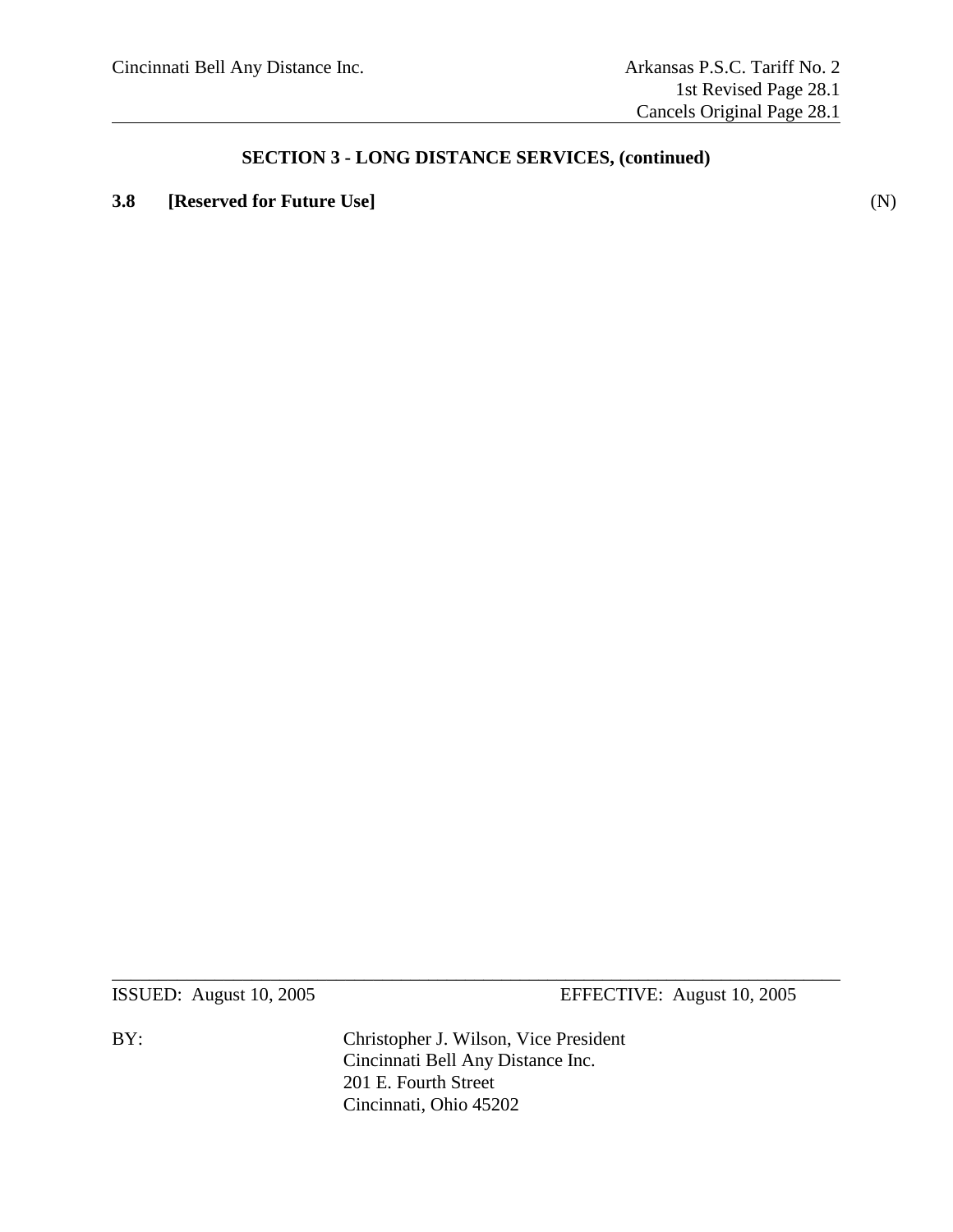# **3.8 [Reserved for Future Use]** (N)

ISSUED: August 10, 2005 EFFECTIVE: August 10, 2005

BY: Christopher J. Wilson, Vice President Cincinnati Bell Any Distance Inc. 201 E. Fourth Street Cincinnati, Ohio 45202

 $\_$  , and the set of the set of the set of the set of the set of the set of the set of the set of the set of the set of the set of the set of the set of the set of the set of the set of the set of the set of the set of th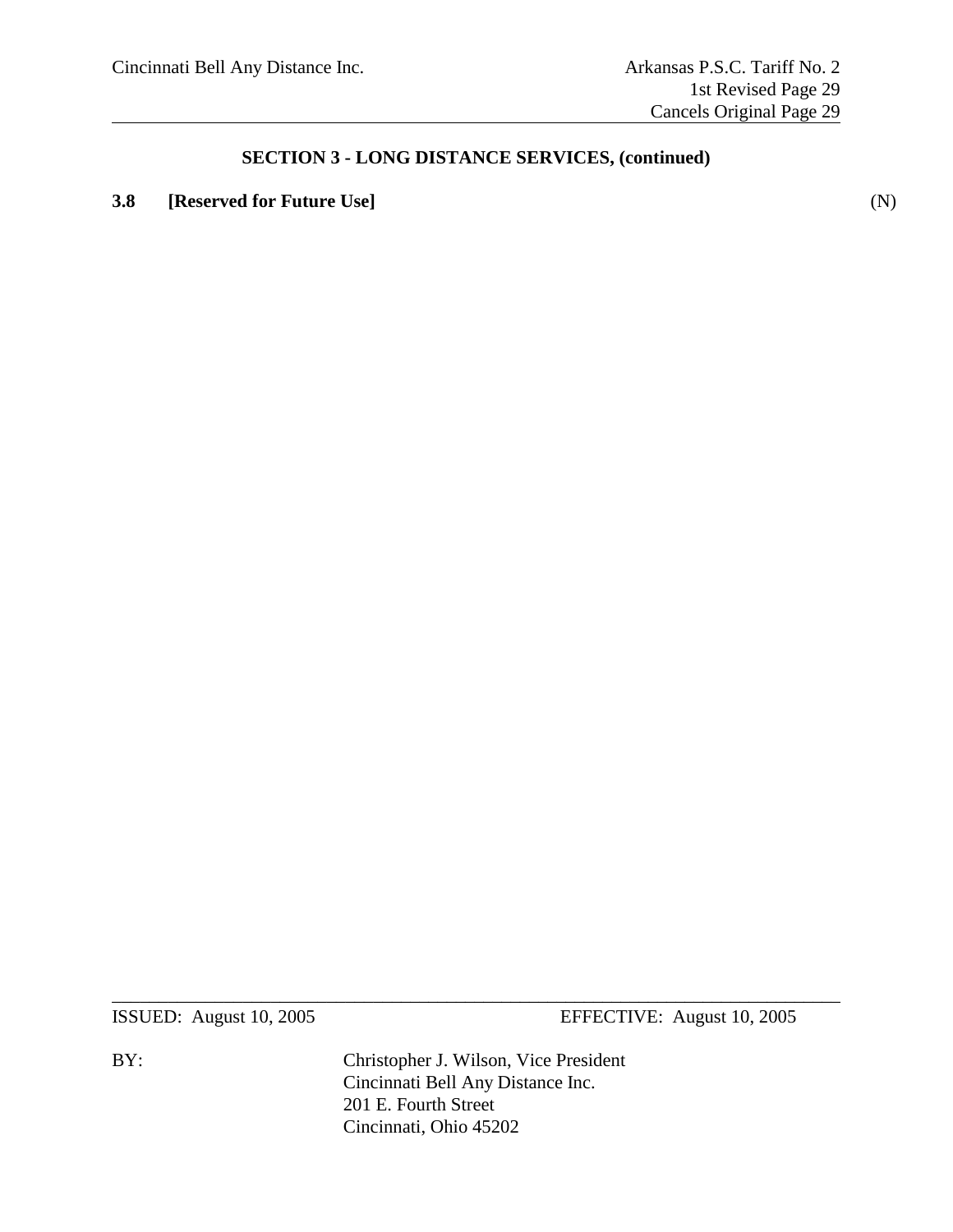# **3.8 [Reserved for Future Use]** (N)

ISSUED: August 10, 2005 EFFECTIVE: August 10, 2005

BY: Christopher J. Wilson, Vice President Cincinnati Bell Any Distance Inc. 201 E. Fourth Street Cincinnati, Ohio 45202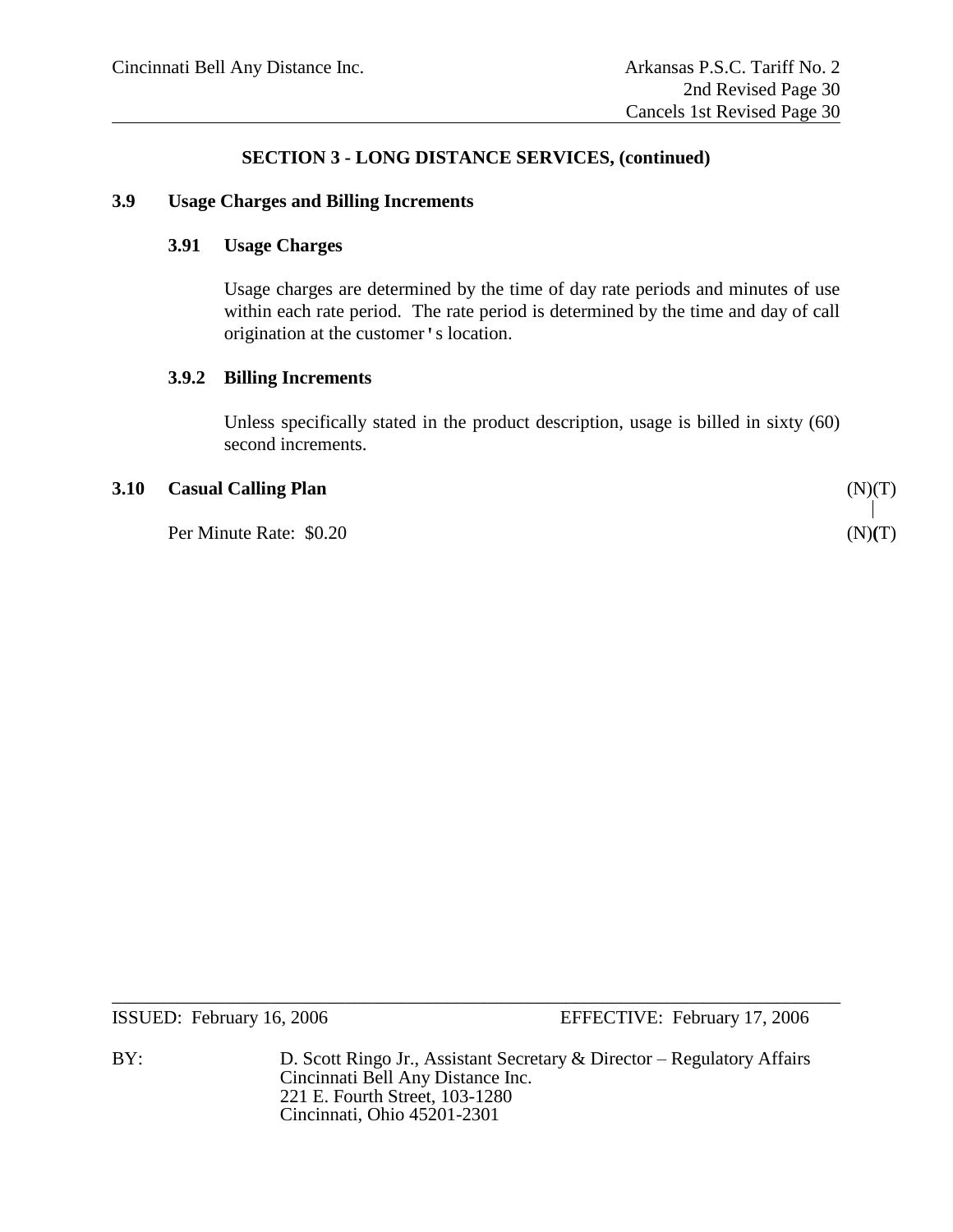#### **3.9 Usage Charges and Billing Increments**

#### **3.91 Usage Charges**

Usage charges are determined by the time of day rate periods and minutes of use within each rate period. The rate period is determined by the time and day of call origination at the customer's location.

#### **3.9.2 Billing Increments**

Unless specifically stated in the product description, usage is billed in sixty (60) second increments.

#### **3.10 Casual Calling Plan** (N)(T)

Per Minute Rate: \$0.20 (N)**(**T)

ISSUED: February 16, 2006 EFFECTIVE: February 17, 2006

BY: D. Scott Ringo Jr., Assistant Secretary & Director – Regulatory Affairs Cincinnati Bell Any Distance Inc. 221 E. Fourth Street, 103-1280 Cincinnati, Ohio 45201-2301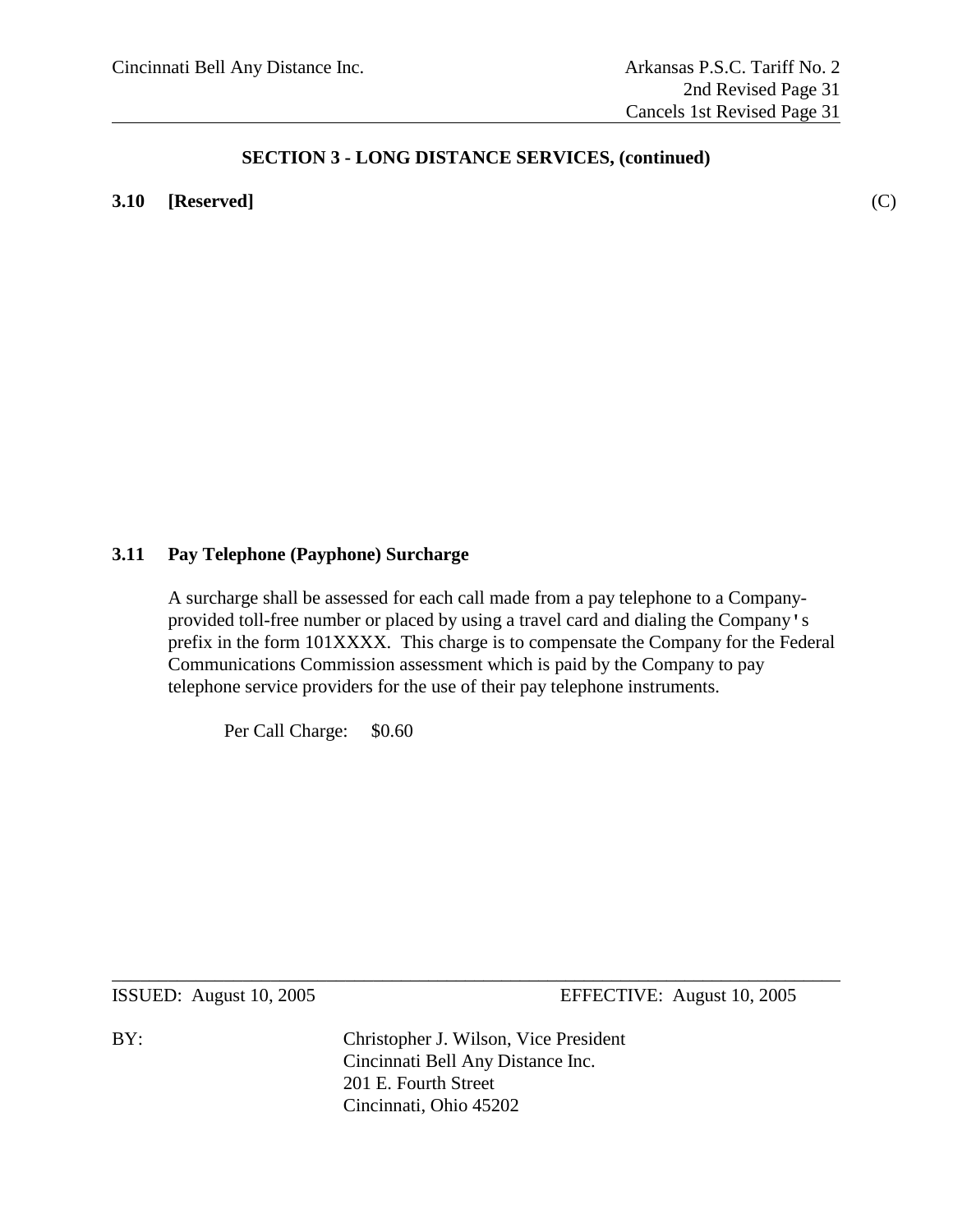**3.10 [Reserved]** (C)

#### **3.11 Pay Telephone (Payphone) Surcharge**

A surcharge shall be assessed for each call made from a pay telephone to a Companyprovided toll-free number or placed by using a travel card and dialing the Company's prefix in the form 101XXXX. This charge is to compensate the Company for the Federal Communications Commission assessment which is paid by the Company to pay telephone service providers for the use of their pay telephone instruments.

Per Call Charge: \$0.60

ISSUED: August 10, 2005 EFFECTIVE: August 10, 2005

BY: Christopher J. Wilson, Vice President Cincinnati Bell Any Distance Inc. 201 E. Fourth Street Cincinnati, Ohio 45202

 $\_$  , and the set of the set of the set of the set of the set of the set of the set of the set of the set of the set of the set of the set of the set of the set of the set of the set of the set of the set of the set of th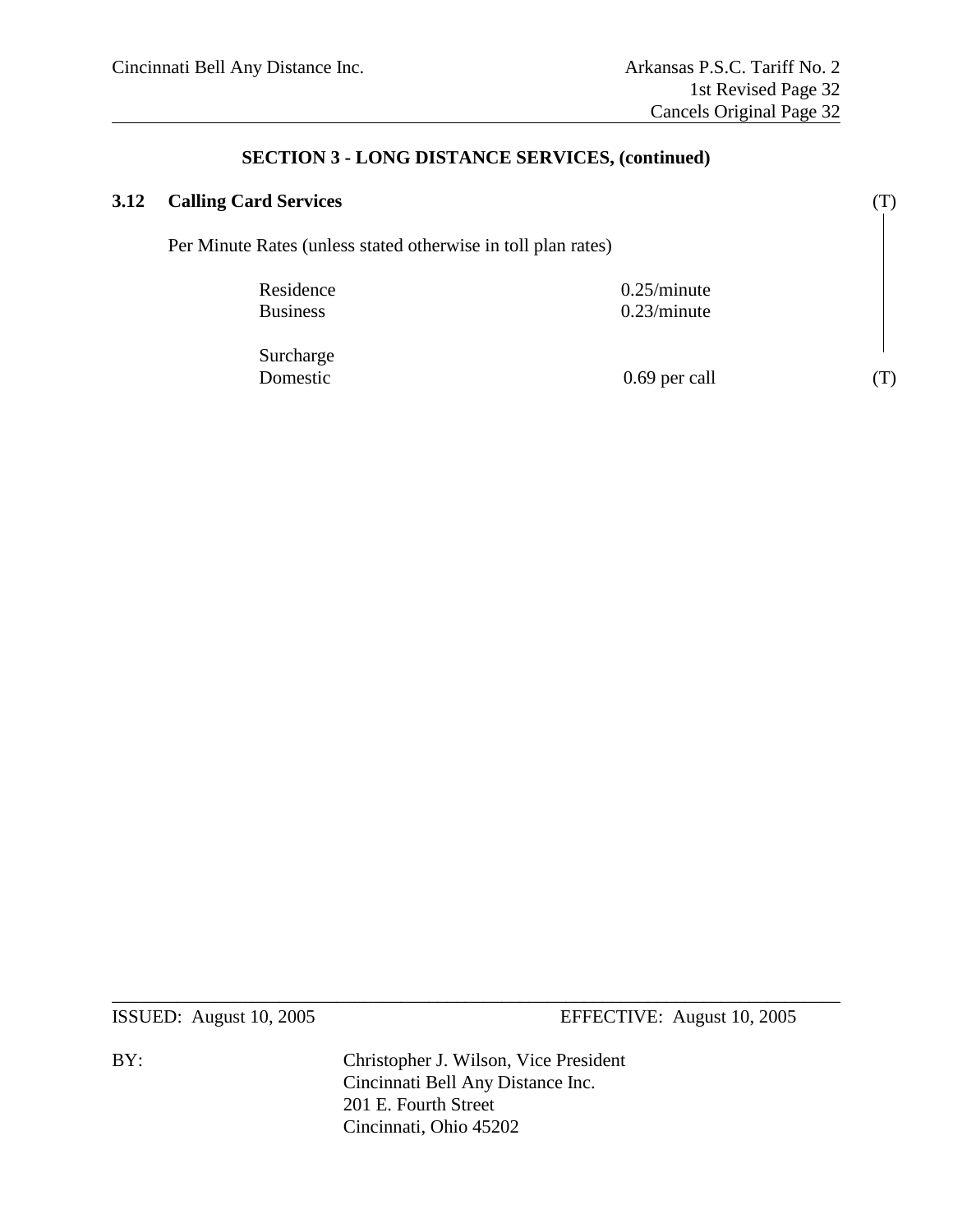| 3.12 | <b>Calling Card Services</b>                                  |                            |  |
|------|---------------------------------------------------------------|----------------------------|--|
|      | Per Minute Rates (unless stated otherwise in toll plan rates) |                            |  |
|      | Residence<br><b>Business</b>                                  | 0.25/minute<br>0.23/minute |  |
|      | Surcharge<br>Domestic                                         | 0.69 per call              |  |

ISSUED: August 10, 2005 EFFECTIVE: August 10, 2005

BY: Christopher J. Wilson, Vice President Cincinnati Bell Any Distance Inc. 201 E. Fourth Street Cincinnati, Ohio 45202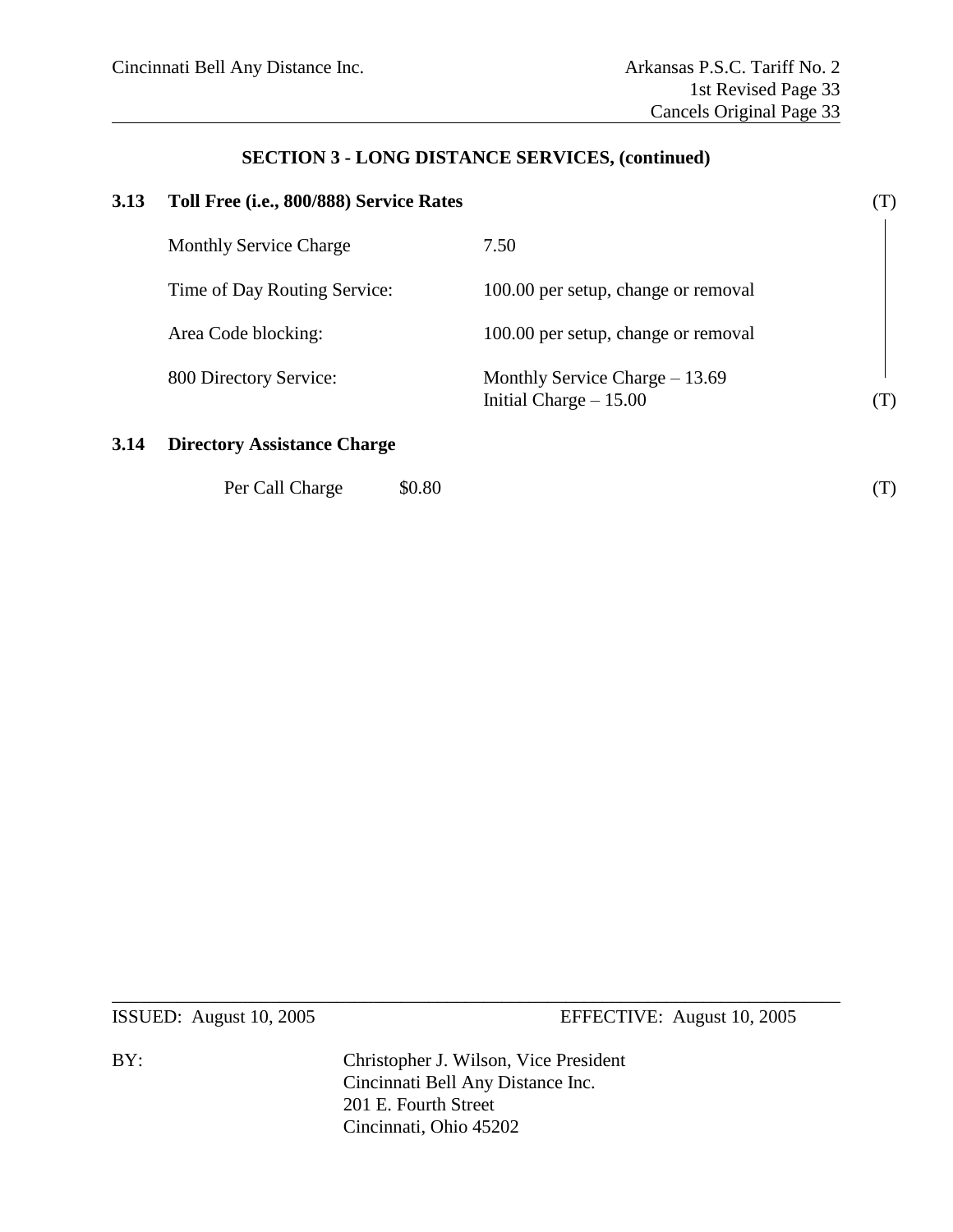# **3.13 Toll Free (i.e., 800/888) Service Rates** (T) Monthly Service Charge 7.50 Time of Day Routing Service: 100.00 per setup, change or removal Area Code blocking: 100.00 per setup, change or removal 800 Directory Service: Monthly Service Charge – 13.69 Initial Charge – 15.00 (T)

#### **3.14 Directory Assistance Charge**

| Per Call Charge | \$0.80 |  |
|-----------------|--------|--|
|                 |        |  |

ISSUED: August 10, 2005 EFFECTIVE: August 10, 2005

BY: Christopher J. Wilson, Vice President Cincinnati Bell Any Distance Inc. 201 E. Fourth Street Cincinnati, Ohio 45202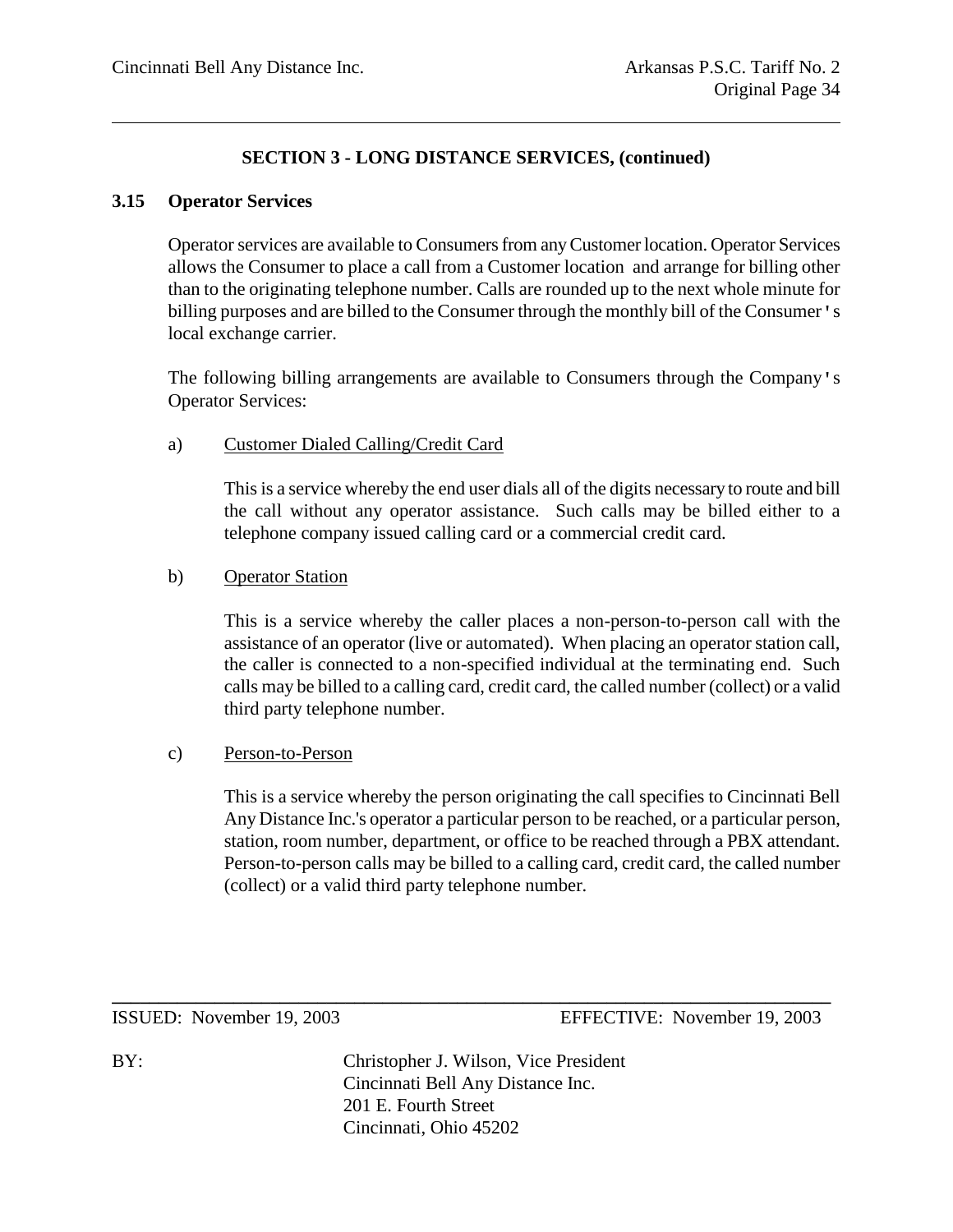#### **3.15 Operator Services**

Operator services are available to Consumers from any Customer location. Operator Services allows the Consumer to place a call from a Customer location and arrange for billing other than to the originating telephone number. Calls are rounded up to the next whole minute for billing purposes and are billed to the Consumer through the monthly bill of the Consumer's local exchange carrier.

The following billing arrangements are available to Consumers through the Company's Operator Services:

#### a) Customer Dialed Calling/Credit Card

This is a service whereby the end user dials all of the digits necessary to route and bill the call without any operator assistance. Such calls may be billed either to a telephone company issued calling card or a commercial credit card.

#### b) Operator Station

This is a service whereby the caller places a non-person-to-person call with the assistance of an operator (live or automated). When placing an operator station call, the caller is connected to a non-specified individual at the terminating end. Such calls may be billed to a calling card, credit card, the called number (collect) or a valid third party telephone number.

#### c) Person-to-Person

This is a service whereby the person originating the call specifies to Cincinnati Bell Any Distance Inc.'s operator a particular person to be reached, or a particular person, station, room number, department, or office to be reached through a PBX attendant. Person-to-person calls may be billed to a calling card, credit card, the called number (collect) or a valid third party telephone number.

ISSUED: November 19, 2003 EFFECTIVE: November 19, 2003

BY: Christopher J. Wilson, Vice President Cincinnati Bell Any Distance Inc. 201 E. Fourth Street Cincinnati, Ohio 45202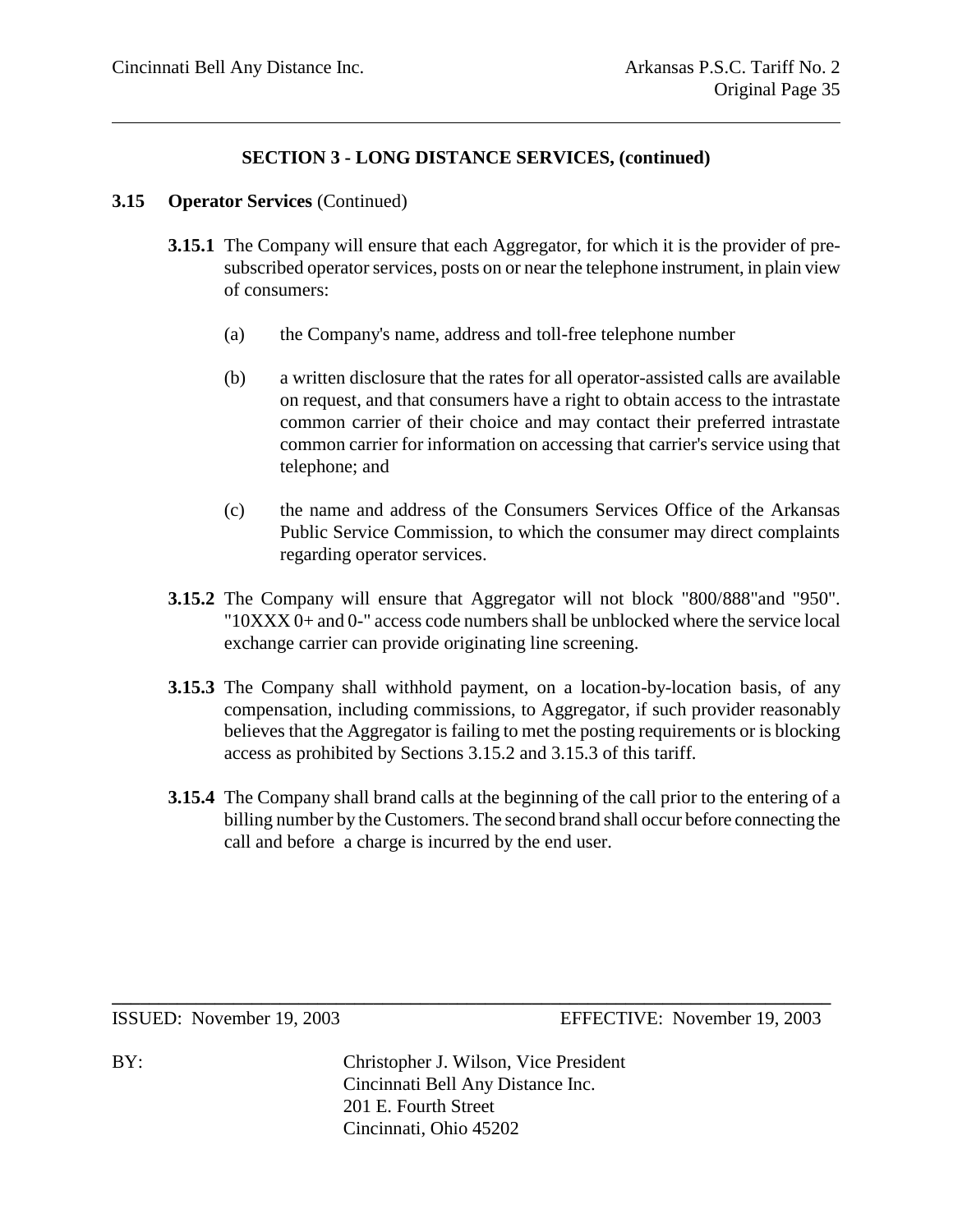#### **3.15 Operator Services** (Continued)

- **3.15.1** The Company will ensure that each Aggregator, for which it is the provider of presubscribed operator services, posts on or near the telephone instrument, in plain view of consumers:
	- (a) the Company's name, address and toll-free telephone number
	- (b) a written disclosure that the rates for all operator-assisted calls are available on request, and that consumers have a right to obtain access to the intrastate common carrier of their choice and may contact their preferred intrastate common carrier for information on accessing that carrier's service using that telephone; and
	- (c) the name and address of the Consumers Services Office of the Arkansas Public Service Commission, to which the consumer may direct complaints regarding operator services.
- **3.15.2** The Company will ensure that Aggregator will not block "800/888"and "950". "10XXX 0+ and 0-" access code numbers shall be unblocked where the service local exchange carrier can provide originating line screening.
- **3.15.3** The Company shall withhold payment, on a location-by-location basis, of any compensation, including commissions, to Aggregator, if such provider reasonably believes that the Aggregator is failing to met the posting requirements or is blocking access as prohibited by Sections 3.15.2 and 3.15.3 of this tariff.
- **3.15.4** The Company shall brand calls at the beginning of the call prior to the entering of a billing number by the Customers. The second brand shall occur before connecting the call and before a charge is incurred by the end user.

ISSUED: November 19, 2003 EFFECTIVE: November 19, 2003

BY: Christopher J. Wilson, Vice President Cincinnati Bell Any Distance Inc. 201 E. Fourth Street Cincinnati, Ohio 45202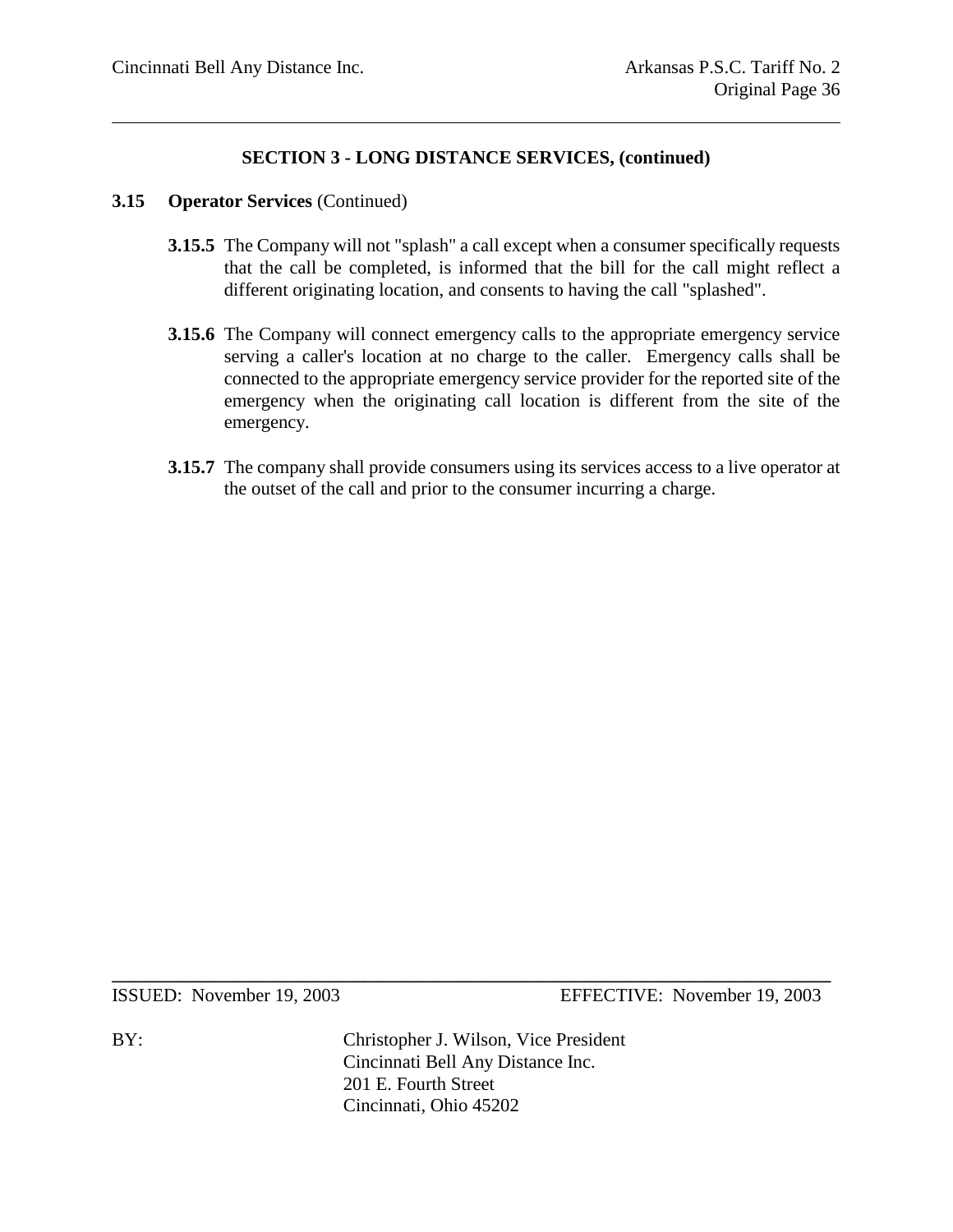#### **3.15 Operator Services** (Continued)

- **3.15.5** The Company will not "splash" a call except when a consumer specifically requests that the call be completed, is informed that the bill for the call might reflect a different originating location, and consents to having the call "splashed".
- **3.15.6** The Company will connect emergency calls to the appropriate emergency service serving a caller's location at no charge to the caller. Emergency calls shall be connected to the appropriate emergency service provider for the reported site of the emergency when the originating call location is different from the site of the emergency.
- **3.15.7** The company shall provide consumers using its services access to a live operator at the outset of the call and prior to the consumer incurring a charge.

ISSUED: November 19, 2003 EFFECTIVE: November 19, 2003

BY: Christopher J. Wilson, Vice President Cincinnati Bell Any Distance Inc. 201 E. Fourth Street Cincinnati, Ohio 45202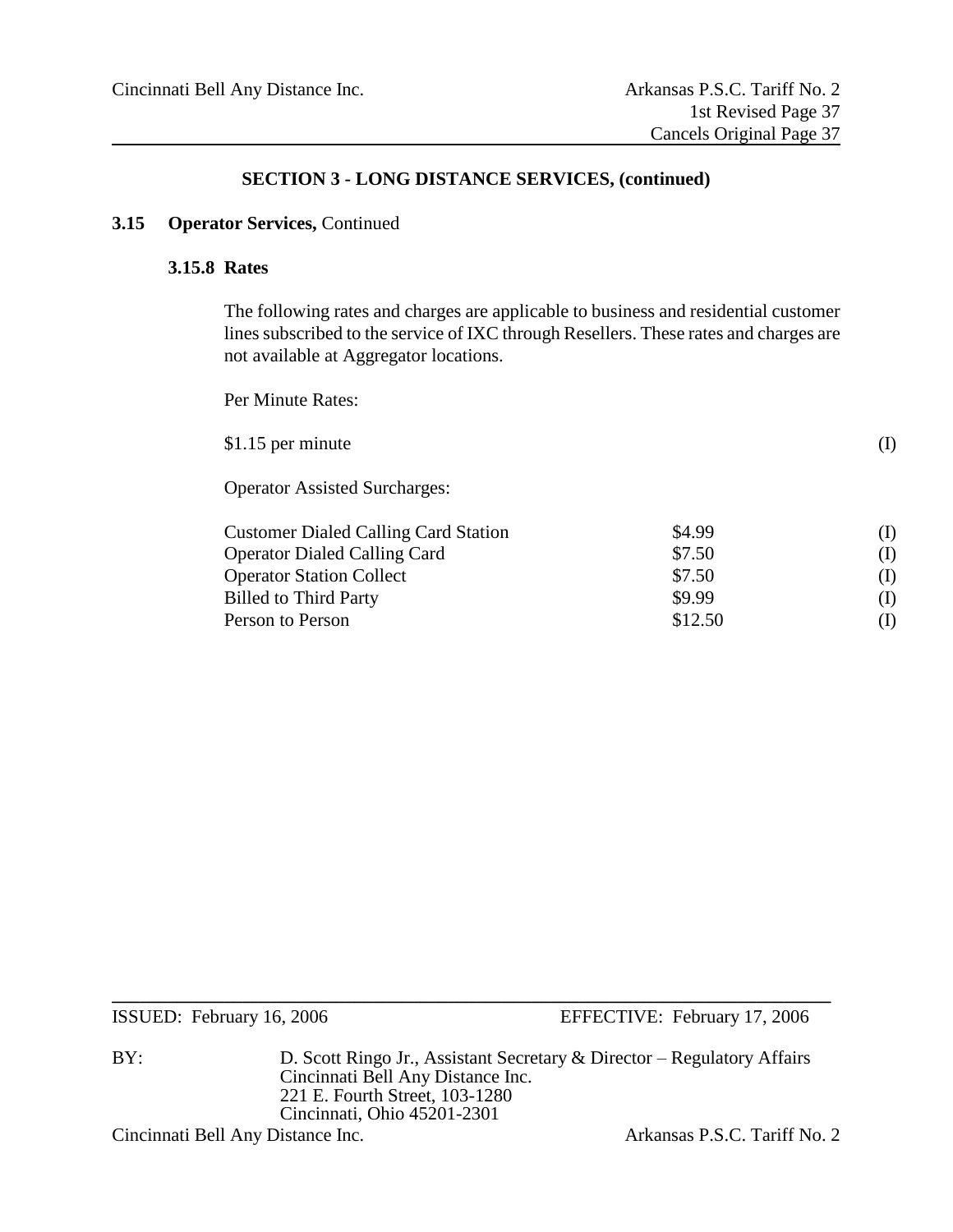#### **3.15 Operator Services,** Continued

#### **3.15.8 Rates**

The following rates and charges are applicable to business and residential customer lines subscribed to the service of IXC through Resellers. These rates and charges are not available at Aggregator locations.

Per Minute Rates:

| \$1.15 per minute                           |        |          |
|---------------------------------------------|--------|----------|
| <b>Operator Assisted Surcharges:</b>        |        |          |
| <b>Customer Dialed Calling Card Station</b> | \$4.99 | (I)      |
| <b>Operator Dialed Calling Card</b>         | \$7.50 | $\bf(1)$ |
| Operator Station Collect                    | \$750  |          |

| <b>Operator Station Collect</b> | \$7.50  |     |
|---------------------------------|---------|-----|
| <b>Billed to Third Party</b>    | \$9.99  | (I) |
| Person to Person                | \$12.50 | (I) |

ISSUED: February 16, 2006 EFFECTIVE: February 17, 2006

BY: D. Scott Ringo Jr., Assistant Secretary & Director – Regulatory Affairs Cincinnati Bell Any Distance Inc. 221 E. Fourth Street, 103-1280 Cincinnati, Ohio 45201-2301

**\_\_\_\_\_\_\_\_\_\_\_\_\_\_\_\_\_\_\_\_\_\_\_\_\_\_\_\_\_\_\_\_\_\_\_\_\_\_\_\_\_\_\_\_\_\_\_\_\_\_\_\_\_\_\_\_\_\_\_\_\_\_\_\_\_\_\_\_\_\_\_\_\_\_\_\_\_**

Cincinnati Bell Any Distance Inc. <br>
Arkansas P.S.C. Tariff No. 2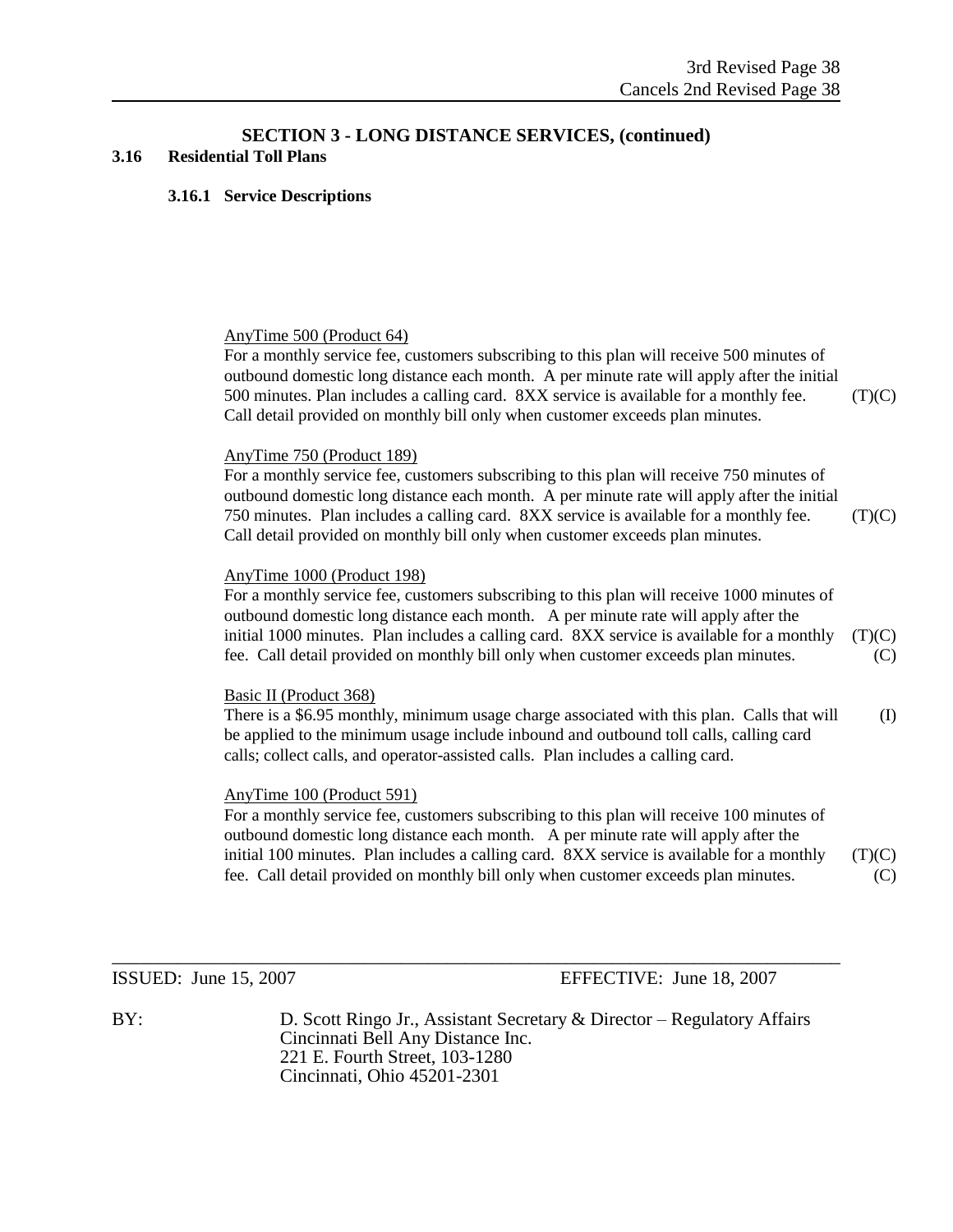#### **3.16 Residential Toll Plans**

#### **3.16.1 Service Descriptions**

#### AnyTime 500 (Product 64)

For a monthly service fee, customers subscribing to this plan will receive 500 minutes of outbound domestic long distance each month. A per minute rate will apply after the initial 500 minutes. Plan includes a calling card.  $8XX$  service is available for a monthly fee. (T)(C) Call detail provided on monthly bill only when customer exceeds plan minutes.

#### AnyTime 750 (Product 189)

For a monthly service fee, customers subscribing to this plan will receive 750 minutes of outbound domestic long distance each month. A per minute rate will apply after the initial 750 minutes. Plan includes a calling card. 8XX service is available for a monthly fee. (T)(C) Call detail provided on monthly bill only when customer exceeds plan minutes.

#### AnyTime 1000 (Product 198)

For a monthly service fee, customers subscribing to this plan will receive 1000 minutes of outbound domestic long distance each month. A per minute rate will apply after the initial 1000 minutes. Plan includes a calling card.  $8XX$  service is available for a monthly (T)(C) fee. Call detail provided on monthly bill only when customer exceeds plan minutes. (C)

#### Basic II (Product 368)

There is a \$6.95 monthly, minimum usage charge associated with this plan. Calls that will (I) be applied to the minimum usage include inbound and outbound toll calls, calling card calls; collect calls, and operator-assisted calls. Plan includes a calling card.

#### AnyTime 100 (Product 591)

For a monthly service fee, customers subscribing to this plan will receive 100 minutes of outbound domestic long distance each month. A per minute rate will apply after the initial 100 minutes. Plan includes a calling card.  $8XX$  service is available for a monthly  $(T)(C)$ fee. Call detail provided on monthly bill only when customer exceeds plan minutes. (C)

ISSUED: June 15, 2007 EFFECTIVE: June 18, 2007

BY: D. Scott Ringo Jr., Assistant Secretary & Director – Regulatory Affairs Cincinnati Bell Any Distance Inc. 221 E. Fourth Street, 103-1280 Cincinnati, Ohio 45201-2301

 $\_$  , and the set of the set of the set of the set of the set of the set of the set of the set of the set of the set of the set of the set of the set of the set of the set of the set of the set of the set of the set of th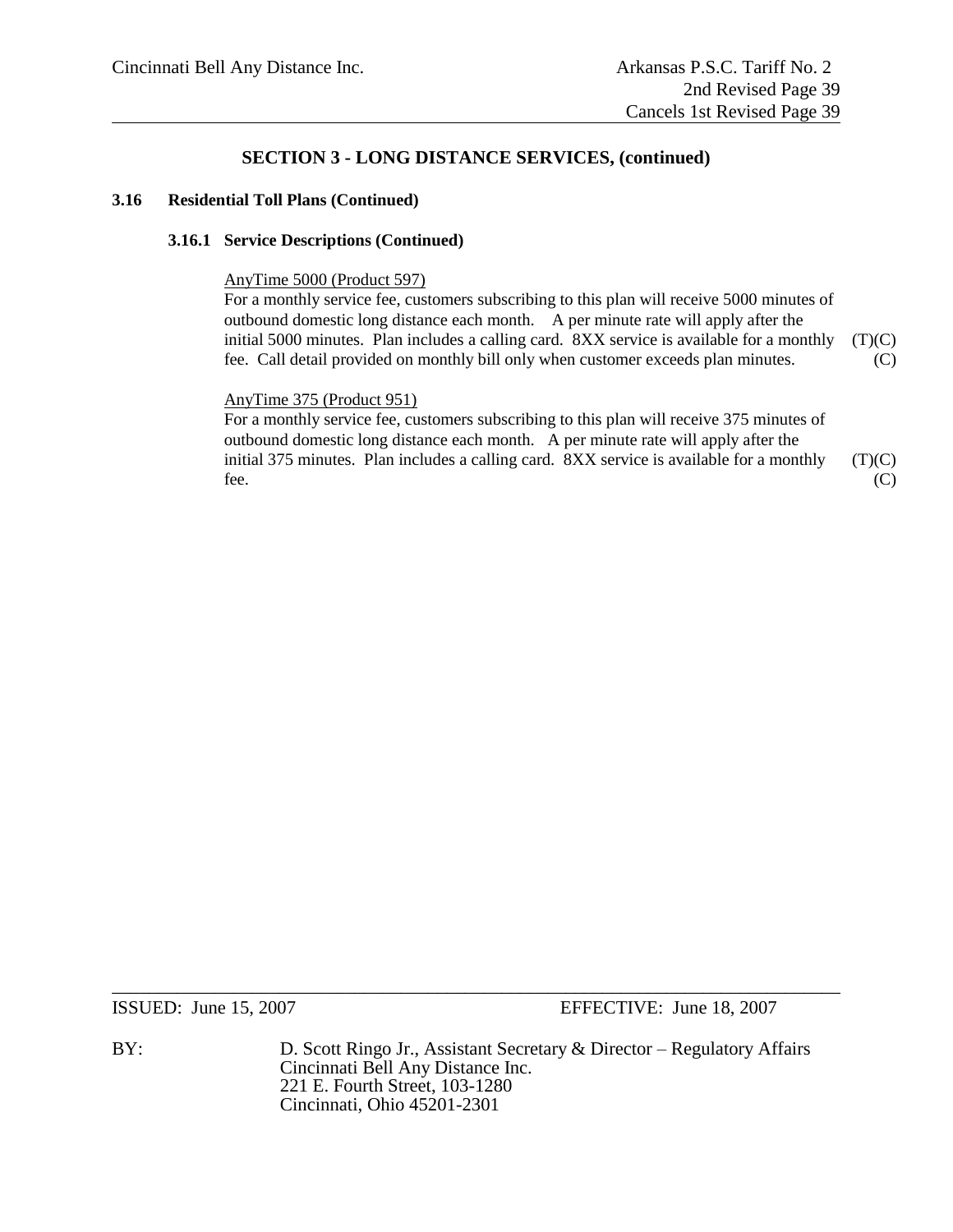#### **3.16 Residential Toll Plans (Continued)**

#### **3.16.1 Service Descriptions (Continued)**

#### AnyTime 5000 (Product 597)

For a monthly service fee, customers subscribing to this plan will receive 5000 minutes of outbound domestic long distance each month. A per minute rate will apply after the initial 5000 minutes. Plan includes a calling card.  $8XX$  service is available for a monthly (T)(C) fee. Call detail provided on monthly bill only when customer exceeds plan minutes. (C)

#### AnyTime 375 (Product 951)

For a monthly service fee, customers subscribing to this plan will receive 375 minutes of outbound domestic long distance each month. A per minute rate will apply after the initial 375 minutes. Plan includes a calling card. 8XX service is available for a monthly (T)(C) fee.  $(C)$ 

ISSUED: June 15, 2007 EFFECTIVE: June 18, 2007

BY: D. Scott Ringo Jr., Assistant Secretary & Director – Regulatory Affairs Cincinnati Bell Any Distance Inc. 221 E. Fourth Street, 103-1280 Cincinnati, Ohio 45201-2301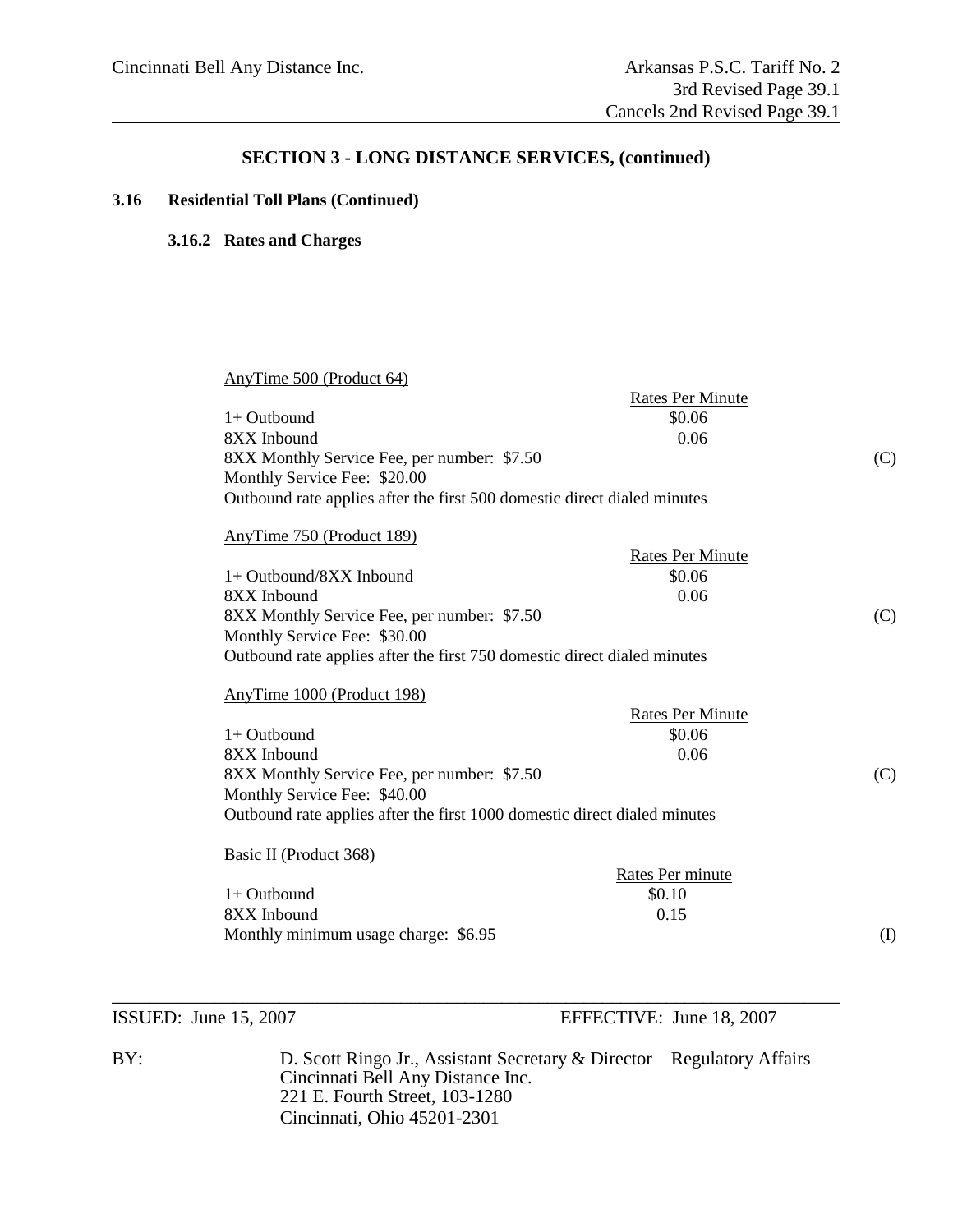#### **3.16 Residential Toll Plans (Continued)**

#### **3.16.2 Rates and Charges**

| AnyTime 500 (Product 64)                                                  | <b>Rates Per Minute</b> |
|---------------------------------------------------------------------------|-------------------------|
| 1+ Outbound                                                               | \$0.06                  |
| 8XX Inbound                                                               | 0.06                    |
| 8XX Monthly Service Fee, per number: \$7.50                               |                         |
| Monthly Service Fee: \$20.00                                              |                         |
| Outbound rate applies after the first 500 domestic direct dialed minutes  |                         |
| AnyTime 750 (Product 189)                                                 |                         |
|                                                                           | <b>Rates Per Minute</b> |
| $1+$ Outbound/8XX Inbound                                                 | \$0.06                  |
| 8XX Inbound                                                               | 0.06                    |
| 8XX Monthly Service Fee, per number: \$7.50                               |                         |
| Monthly Service Fee: \$30.00                                              |                         |
| Outbound rate applies after the first 750 domestic direct dialed minutes  |                         |
| AnyTime 1000 (Product 198)                                                |                         |
|                                                                           | <b>Rates Per Minute</b> |
| $1+$ Outbound                                                             | \$0.06                  |
| 8XX Inbound                                                               | 0.06                    |
| 8XX Monthly Service Fee, per number: \$7.50                               |                         |
| Monthly Service Fee: \$40.00                                              |                         |
| Outbound rate applies after the first 1000 domestic direct dialed minutes |                         |
| Basic II (Product 368)                                                    |                         |
|                                                                           | Rates Per minute        |
| $1+$ Outbound                                                             | \$0.10                  |
|                                                                           | 0.15                    |
| 8XX Inbound                                                               |                         |

ISSUED: June 15, 2007 EFFECTIVE: June 18, 2007

BY: D. Scott Ringo Jr., Assistant Secretary & Director – Regulatory Affairs Cincinnati Bell Any Distance Inc. 221 E. Fourth Street, 103-1280 Cincinnati, Ohio 45201-2301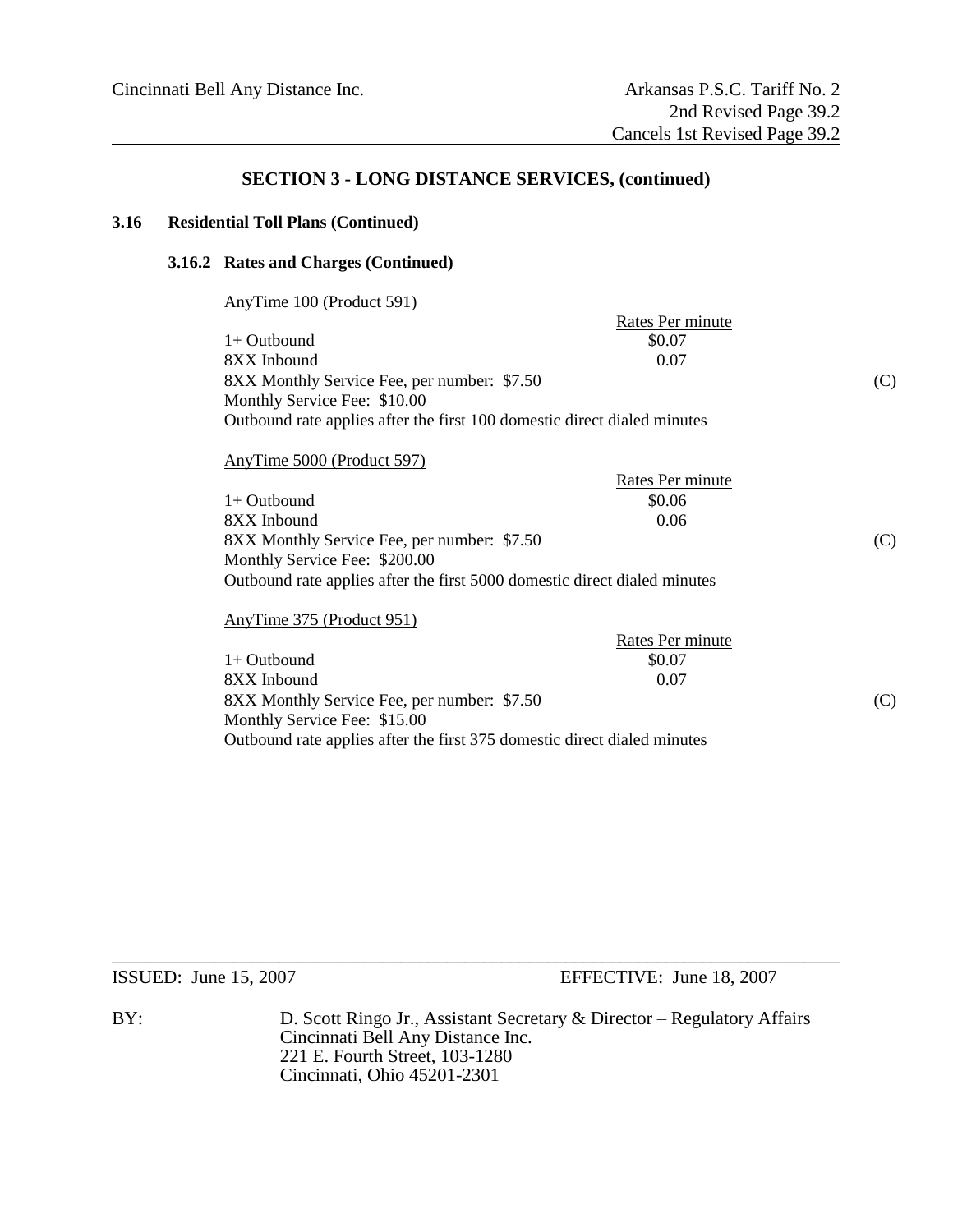#### **3.16 Residential Toll Plans (Continued)**

#### **3.16.2 Rates and Charges (Continued)**

|--|

| \$0.07                                                                   |                  |
|--------------------------------------------------------------------------|------------------|
| 0.07                                                                     |                  |
| 8XX Monthly Service Fee, per number: \$7.50                              | (C)              |
| Monthly Service Fee: \$10.00                                             |                  |
| Outbound rate applies after the first 100 domestic direct dialed minutes |                  |
|                                                                          | Rates Per minute |

#### AnyTime 5000 (Product 597)

|                                                                           | Rates Per minute |     |
|---------------------------------------------------------------------------|------------------|-----|
| $1+$ Outbound                                                             | \$0.06           |     |
| 8XX Inbound                                                               | 0.06             |     |
| 8XX Monthly Service Fee, per number: \$7.50                               |                  | (C) |
| Monthly Service Fee: \$200.00                                             |                  |     |
| Outbound rate applies after the first 5000 domestic direct dialed minutes |                  |     |
|                                                                           |                  |     |

#### AnyTime 375 (Product 951)

|                                                                          | Rates Per minute |     |
|--------------------------------------------------------------------------|------------------|-----|
| $1+$ Outbound                                                            | \$0.07           |     |
| 8XX Inbound                                                              | 0.07             |     |
| 8XX Monthly Service Fee, per number: \$7.50                              |                  | (C) |
| Monthly Service Fee: \$15.00                                             |                  |     |
| Outbound rate applies after the first 375 domestic direct dialed minutes |                  |     |

ISSUED: June 15, 2007 EFFECTIVE: June 18, 2007

BY: D. Scott Ringo Jr., Assistant Secretary & Director – Regulatory Affairs Cincinnati Bell Any Distance Inc. 221 E. Fourth Street, 103-1280 Cincinnati, Ohio 45201-2301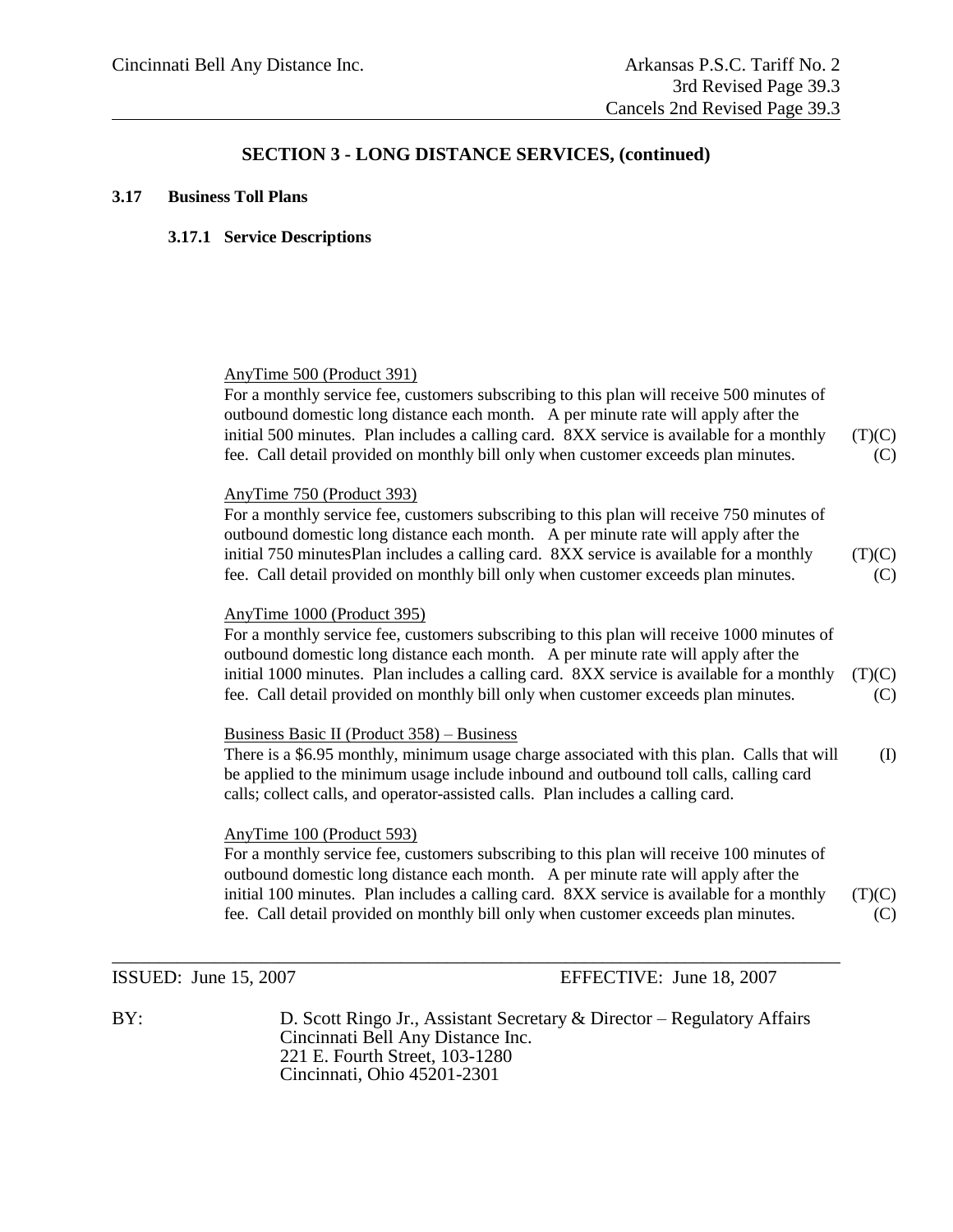#### **3.17 Business Toll Plans**

#### **3.17.1 Service Descriptions**

#### AnyTime 500 (Product 391)

For a monthly service fee, customers subscribing to this plan will receive 500 minutes of outbound domestic long distance each month. A per minute rate will apply after the initial 500 minutes. Plan includes a calling card.  $8XX$  service is available for a monthly (T)(C) fee. Call detail provided on monthly bill only when customer exceeds plan minutes. (C)

#### AnyTime 750 (Product 393)

For a monthly service fee, customers subscribing to this plan will receive 750 minutes of outbound domestic long distance each month. A per minute rate will apply after the initial 750 minutesPlan includes a calling card.  $8XX$  service is available for a monthly (T)(C) fee. Call detail provided on monthly bill only when customer exceeds plan minutes. (C)

#### AnyTime 1000 (Product 395)

For a monthly service fee, customers subscribing to this plan will receive 1000 minutes of outbound domestic long distance each month. A per minute rate will apply after the initial 1000 minutes. Plan includes a calling card. 8XX service is available for a monthly (T)(C) fee. Call detail provided on monthly bill only when customer exceeds plan minutes. (C)

#### Business Basic II (Product 358) – Business

There is a \$6.95 monthly, minimum usage charge associated with this plan. Calls that will (I) be applied to the minimum usage include inbound and outbound toll calls, calling card calls; collect calls, and operator-assisted calls. Plan includes a calling card.

#### AnyTime 100 (Product 593)

For a monthly service fee, customers subscribing to this plan will receive 100 minutes of outbound domestic long distance each month. A per minute rate will apply after the initial 100 minutes. Plan includes a calling card.  $8XX$  service is available for a monthly (T)(C) fee. Call detail provided on monthly bill only when customer exceeds plan minutes. (C)

ISSUED: June 15, 2007 EFFECTIVE: June 18, 2007

BY: D. Scott Ringo Jr., Assistant Secretary & Director – Regulatory Affairs Cincinnati Bell Any Distance Inc. 221 E. Fourth Street, 103-1280 Cincinnati, Ohio 45201-2301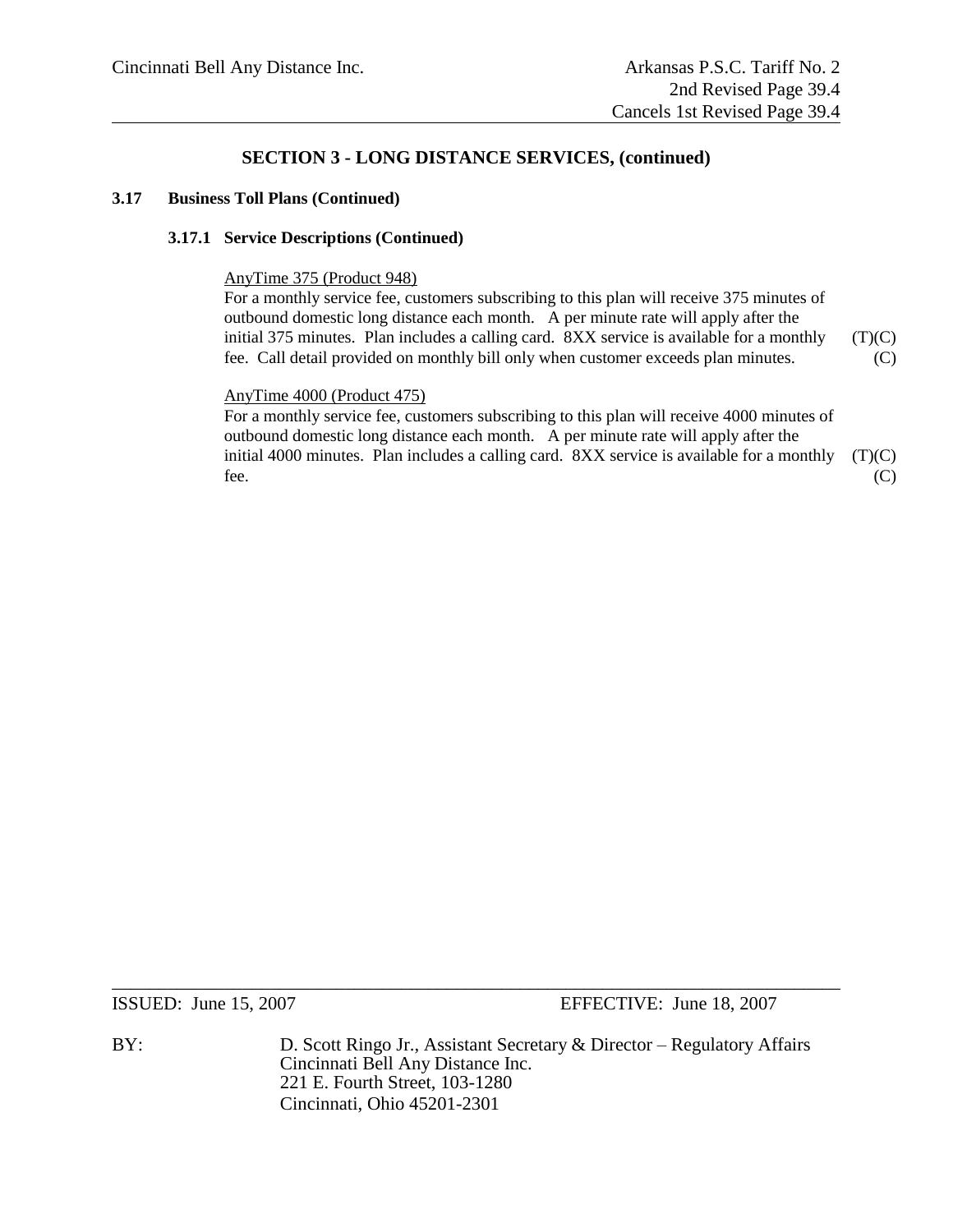#### **3.17 Business Toll Plans (Continued)**

#### **3.17.1 Service Descriptions (Continued)**

#### AnyTime 375 (Product 948)

For a monthly service fee, customers subscribing to this plan will receive 375 minutes of outbound domestic long distance each month. A per minute rate will apply after the initial 375 minutes. Plan includes a calling card.  $8XX$  service is available for a monthly (T)(C) fee. Call detail provided on monthly bill only when customer exceeds plan minutes. (C)

#### AnyTime 4000 (Product 475)

For a monthly service fee, customers subscribing to this plan will receive 4000 minutes of outbound domestic long distance each month. A per minute rate will apply after the initial 4000 minutes. Plan includes a calling card.  $8XX$  service is available for a monthly (T)(C) fee.  $(C)$ 

ISSUED: June 15, 2007 EFFECTIVE: June 18, 2007

BY: D. Scott Ringo Jr., Assistant Secretary & Director – Regulatory Affairs Cincinnati Bell Any Distance Inc. 221 E. Fourth Street, 103-1280 Cincinnati, Ohio 45201-2301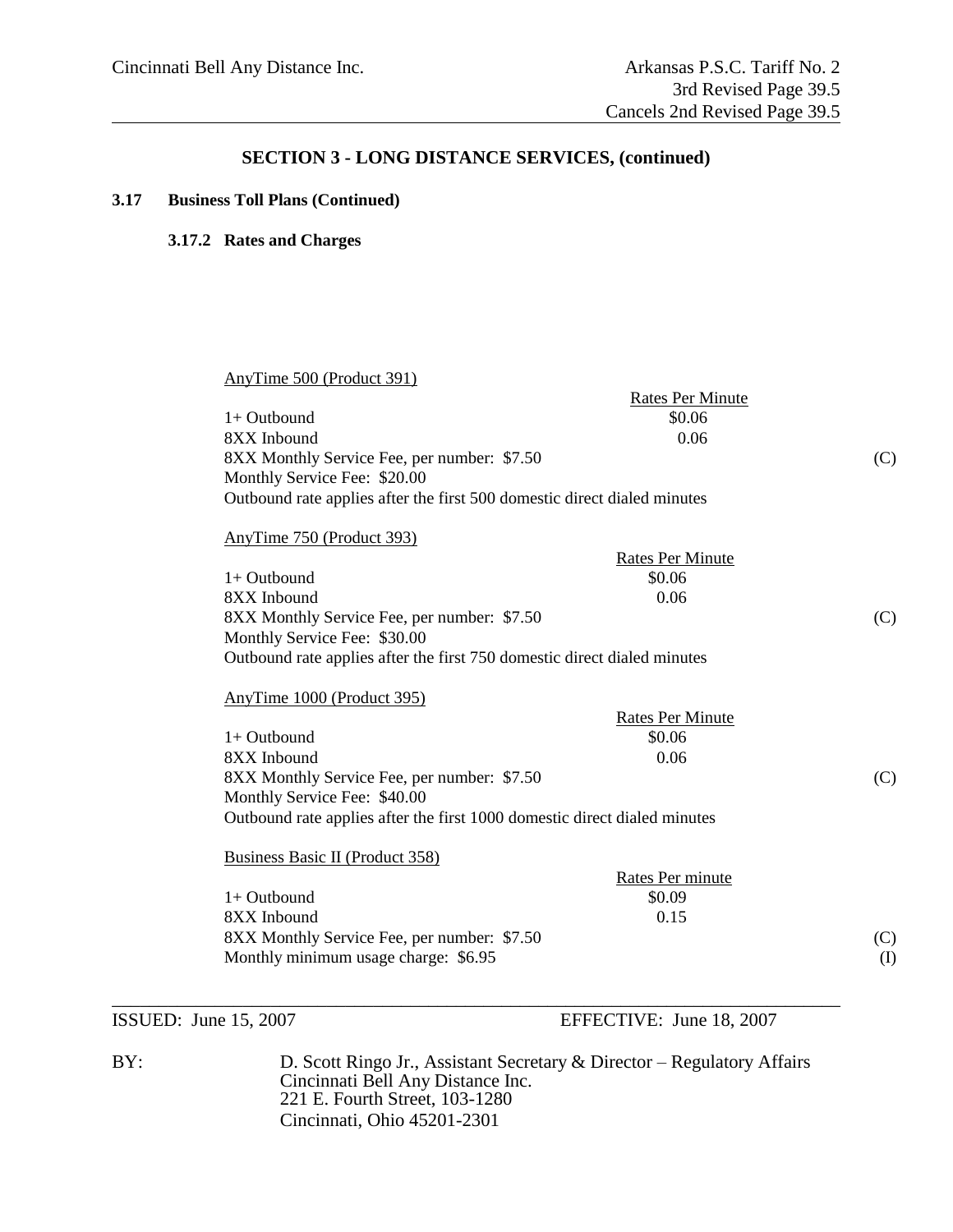#### **3.17 Business Toll Plans (Continued)**

#### **3.17.2 Rates and Charges**

| AnyTime 500 (Product 391)                                                 | <b>Rates Per Minute</b> |
|---------------------------------------------------------------------------|-------------------------|
| 1+ Outbound                                                               | \$0.06                  |
| 8XX Inbound                                                               | 0.06                    |
| 8XX Monthly Service Fee, per number: \$7.50                               | (C)                     |
| Monthly Service Fee: \$20.00                                              |                         |
| Outbound rate applies after the first 500 domestic direct dialed minutes  |                         |
| AnyTime 750 (Product 393)                                                 |                         |
|                                                                           | <b>Rates Per Minute</b> |
| 1+ Outbound                                                               | \$0.06                  |
| 8XX Inbound                                                               | 0.06                    |
| 8XX Monthly Service Fee, per number: \$7.50                               | (C)                     |
| Monthly Service Fee: \$30.00                                              |                         |
| Outbound rate applies after the first 750 domestic direct dialed minutes  |                         |
| AnyTime 1000 (Product 395)                                                |                         |
|                                                                           | <b>Rates Per Minute</b> |
| $1+$ Outbound                                                             | \$0.06                  |
| 8XX Inbound                                                               | 0.06                    |
| 8XX Monthly Service Fee, per number: \$7.50                               | (C)                     |
| Monthly Service Fee: \$40.00                                              |                         |
| Outbound rate applies after the first 1000 domestic direct dialed minutes |                         |
| Business Basic II (Product 358)                                           |                         |
|                                                                           | Rates Per minute        |
| 1+ Outbound                                                               | \$0.09                  |
| 8XX Inbound                                                               | 0.15                    |
| 8XX Monthly Service Fee, per number: \$7.50                               | (C)                     |
| Monthly minimum usage charge: \$6.95                                      | $\rm (I)$               |
|                                                                           |                         |
|                                                                           |                         |

ISSUED: June 15, 2007 EFFECTIVE: June 18, 2007

BY: D. Scott Ringo Jr., Assistant Secretary & Director – Regulatory Affairs Cincinnati Bell Any Distance Inc. 221 E. Fourth Street, 103-1280 Cincinnati, Ohio 45201-2301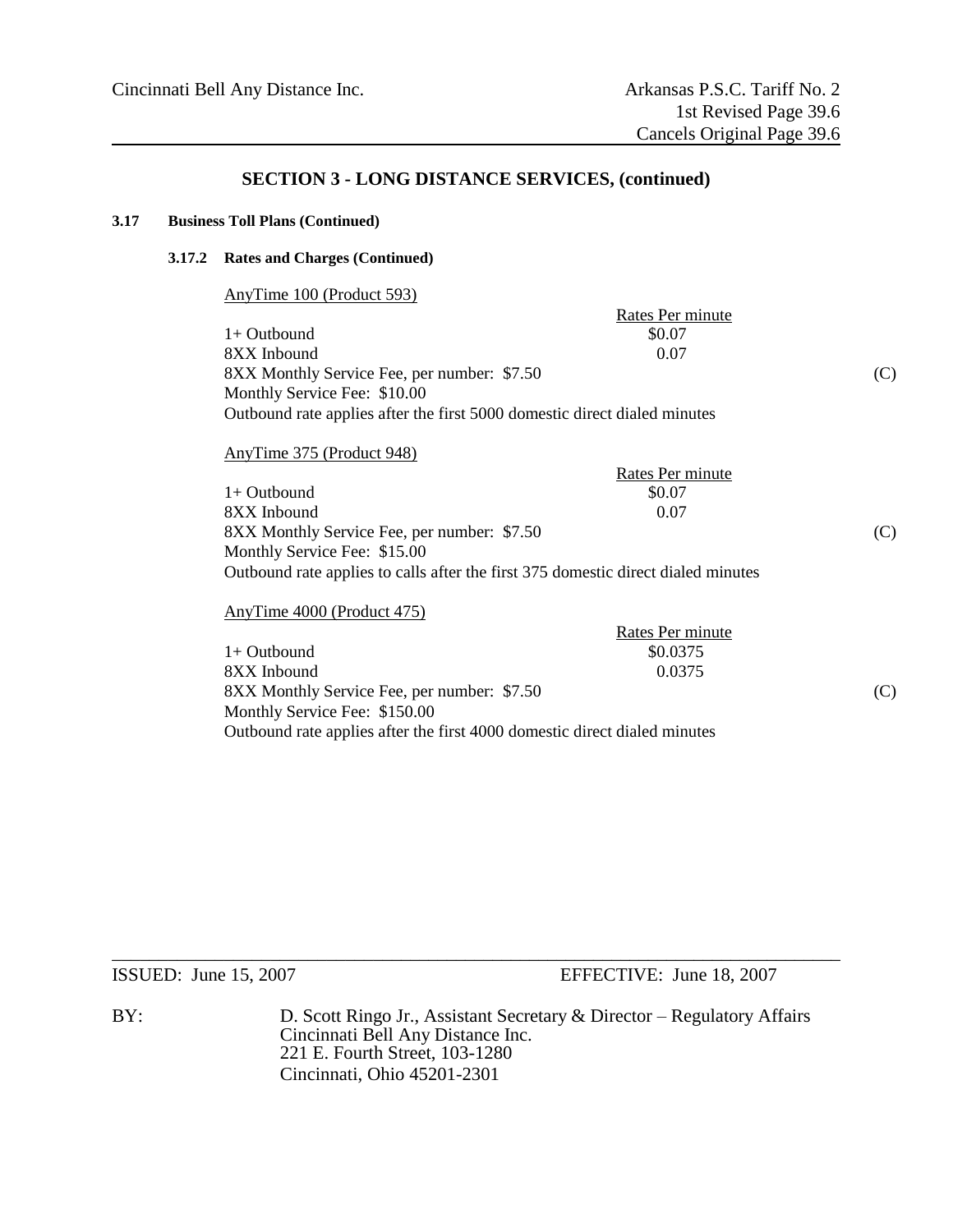#### **3.17 Business Toll Plans (Continued)**

#### **3.17.2 Rates and Charges (Continued)**

AnyTime 100 (Product 593)

|                                                                           | Rates Per minute |     |
|---------------------------------------------------------------------------|------------------|-----|
| $1+$ Outbound                                                             | \$0.07           |     |
| 8XX Inbound                                                               | 0.07             |     |
| 8XX Monthly Service Fee, per number: \$7.50                               |                  | (C) |
| Monthly Service Fee: \$10.00                                              |                  |     |
| Outbound rate applies after the first 5000 domestic direct dialed minutes |                  |     |

#### AnyTime 375 (Product 948)

|                                                                                   | Rates Per minute |     |
|-----------------------------------------------------------------------------------|------------------|-----|
| $1+$ Outbound                                                                     | \$0.07           |     |
| 8XX Inbound                                                                       | 0.07             |     |
| 8XX Monthly Service Fee, per number: \$7.50                                       |                  | (C) |
| Monthly Service Fee: \$15.00                                                      |                  |     |
| Outbound rate applies to calls after the first 375 domestic direct dialed minutes |                  |     |

#### AnyTime 4000 (Product 475)

|                                                                           | Rates Per minute |     |
|---------------------------------------------------------------------------|------------------|-----|
| $1+$ Outbound                                                             | \$0.0375         |     |
| 8XX Inbound                                                               | 0.0375           |     |
| 8XX Monthly Service Fee, per number: \$7.50                               |                  | (C) |
| Monthly Service Fee: \$150.00                                             |                  |     |
| Outbound rate applies after the first 4000 domestic direct dialed minutes |                  |     |

ISSUED: June 15, 2007 EFFECTIVE: June 18, 2007

BY: D. Scott Ringo Jr., Assistant Secretary & Director – Regulatory Affairs Cincinnati Bell Any Distance Inc. 221 E. Fourth Street, 103-1280 Cincinnati, Ohio 45201-2301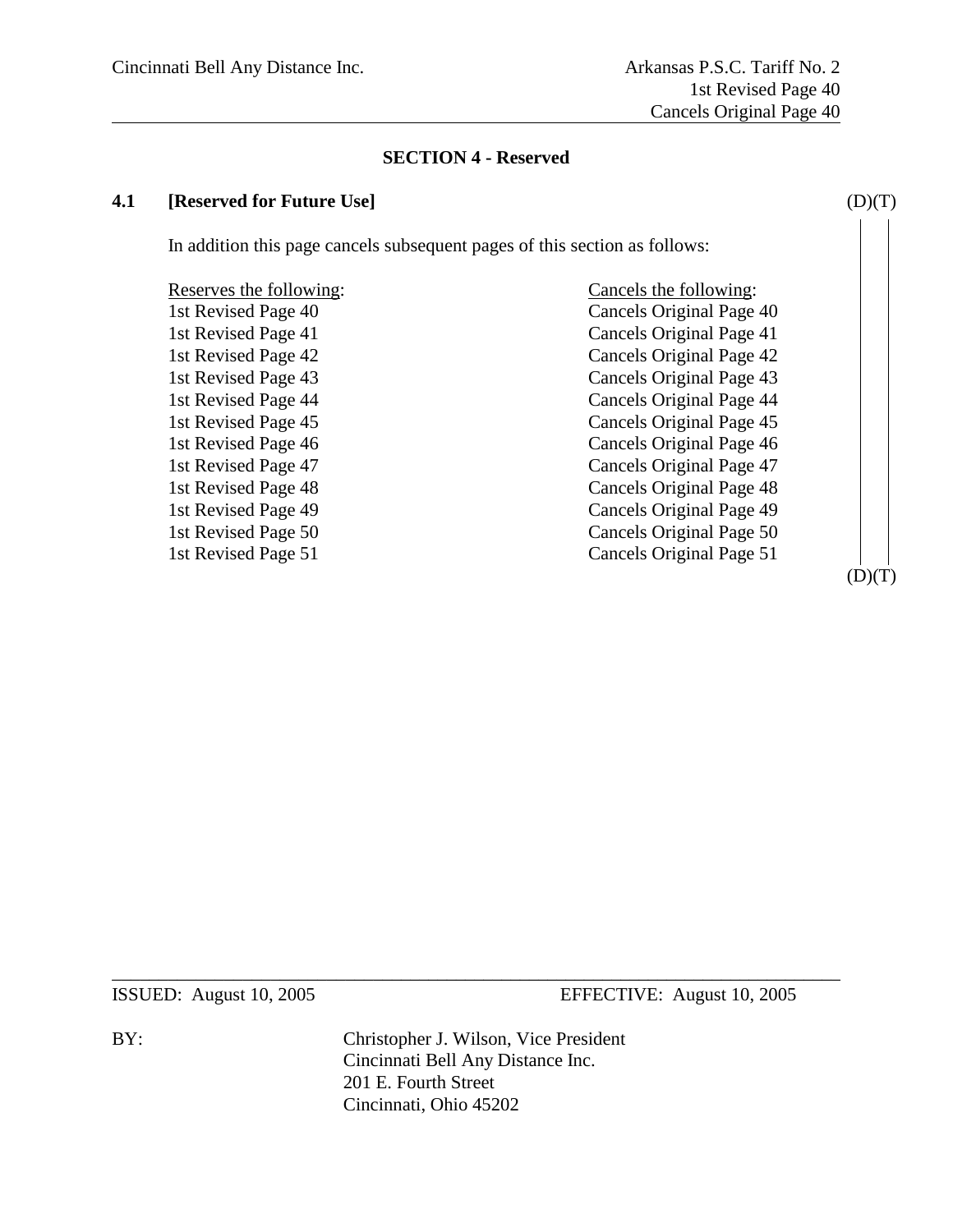#### **SECTION 4 - Reserved**

#### **4.1 [Reserved for Future Use]** (D)(T)

In addition this page cancels subsequent pages of this section as follows:

Reserves the following: Cancels the following: 1st Revised Page 40 Cancels Original Page 40 1st Revised Page 41 Cancels Original Page 41 1st Revised Page 42 Cancels Original Page 42 1st Revised Page 43 Cancels Original Page 43 1st Revised Page 44 Cancels Original Page 44 1st Revised Page 45 Cancels Original Page 45 1st Revised Page 46 Cancels Original Page 46 1st Revised Page 47 Cancels Original Page 47 1st Revised Page 48 Cancels Original Page 48 1st Revised Page 49 Cancels Original Page 49 1st Revised Page 50 Cancels Original Page 50 1st Revised Page 51 Cancels Original Page 51

 $(D)(T)$ 

ISSUED: August 10, 2005 EFFECTIVE: August 10, 2005

BY: Christopher J. Wilson, Vice President Cincinnati Bell Any Distance Inc. 201 E. Fourth Street Cincinnati, Ohio 45202

 $\_$  , and the set of the set of the set of the set of the set of the set of the set of the set of the set of the set of the set of the set of the set of the set of the set of the set of the set of the set of the set of th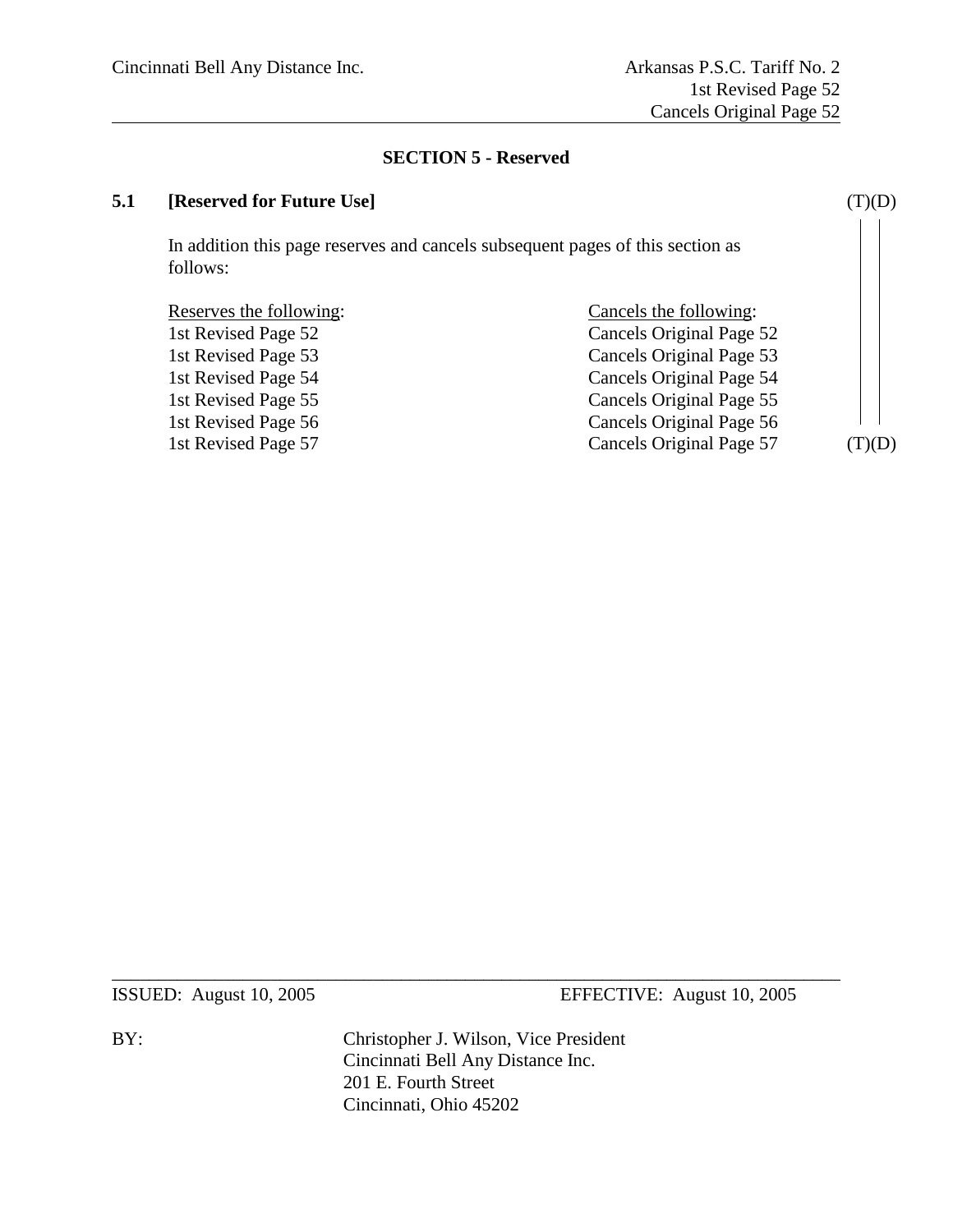### **SECTION 5 - Reserved**

### **5.1 [Reserved for Future Use]** (T)(D)

In addition this page reserves and cancels subsequent pages of this section as follows:

| Reserves the following: | Cancels the following:   |             |
|-------------------------|--------------------------|-------------|
| 1st Revised Page 52     | Cancels Original Page 52 |             |
| 1st Revised Page 53     | Cancels Original Page 53 |             |
| 1st Revised Page 54     | Cancels Original Page 54 |             |
| 1st Revised Page 55     | Cancels Original Page 55 |             |
| 1st Revised Page 56     | Cancels Original Page 56 |             |
| 1st Revised Page 57     | Cancels Original Page 57 | $\Gamma(D)$ |

ISSUED: August 10, 2005 EFFECTIVE: August 10, 2005

BY: Christopher J. Wilson, Vice President Cincinnati Bell Any Distance Inc. 201 E. Fourth Street Cincinnati, Ohio 45202

 $\_$  , and the set of the set of the set of the set of the set of the set of the set of the set of the set of the set of the set of the set of the set of the set of the set of the set of the set of the set of the set of th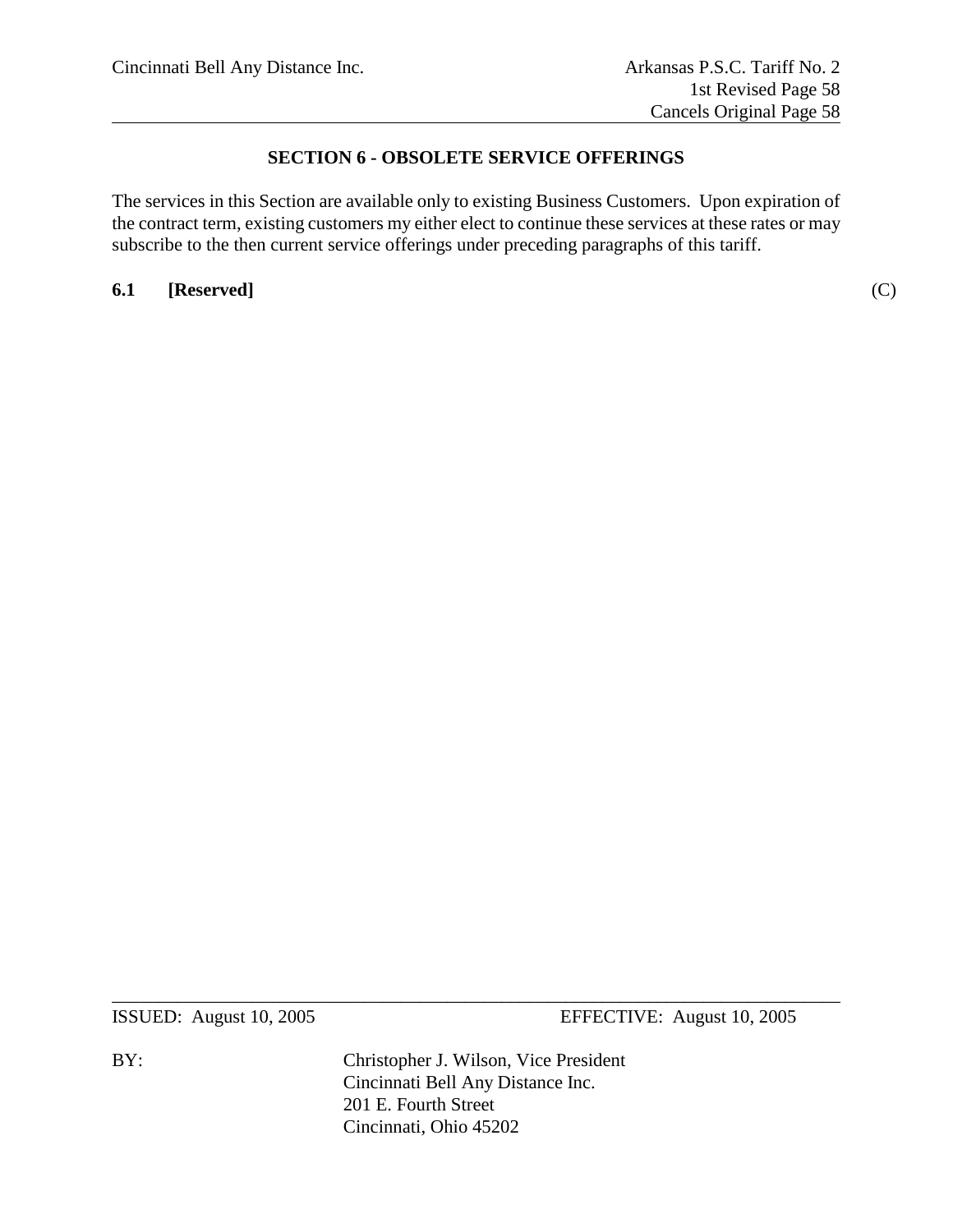### **SECTION 6 - OBSOLETE SERVICE OFFERINGS**

The services in this Section are available only to existing Business Customers. Upon expiration of the contract term, existing customers my either elect to continue these services at these rates or may subscribe to the then current service offerings under preceding paragraphs of this tariff.

**6.1 [Reserved]** (C)

ISSUED: August 10, 2005 EFFECTIVE: August 10, 2005

BY: Christopher J. Wilson, Vice President Cincinnati Bell Any Distance Inc. 201 E. Fourth Street Cincinnati, Ohio 45202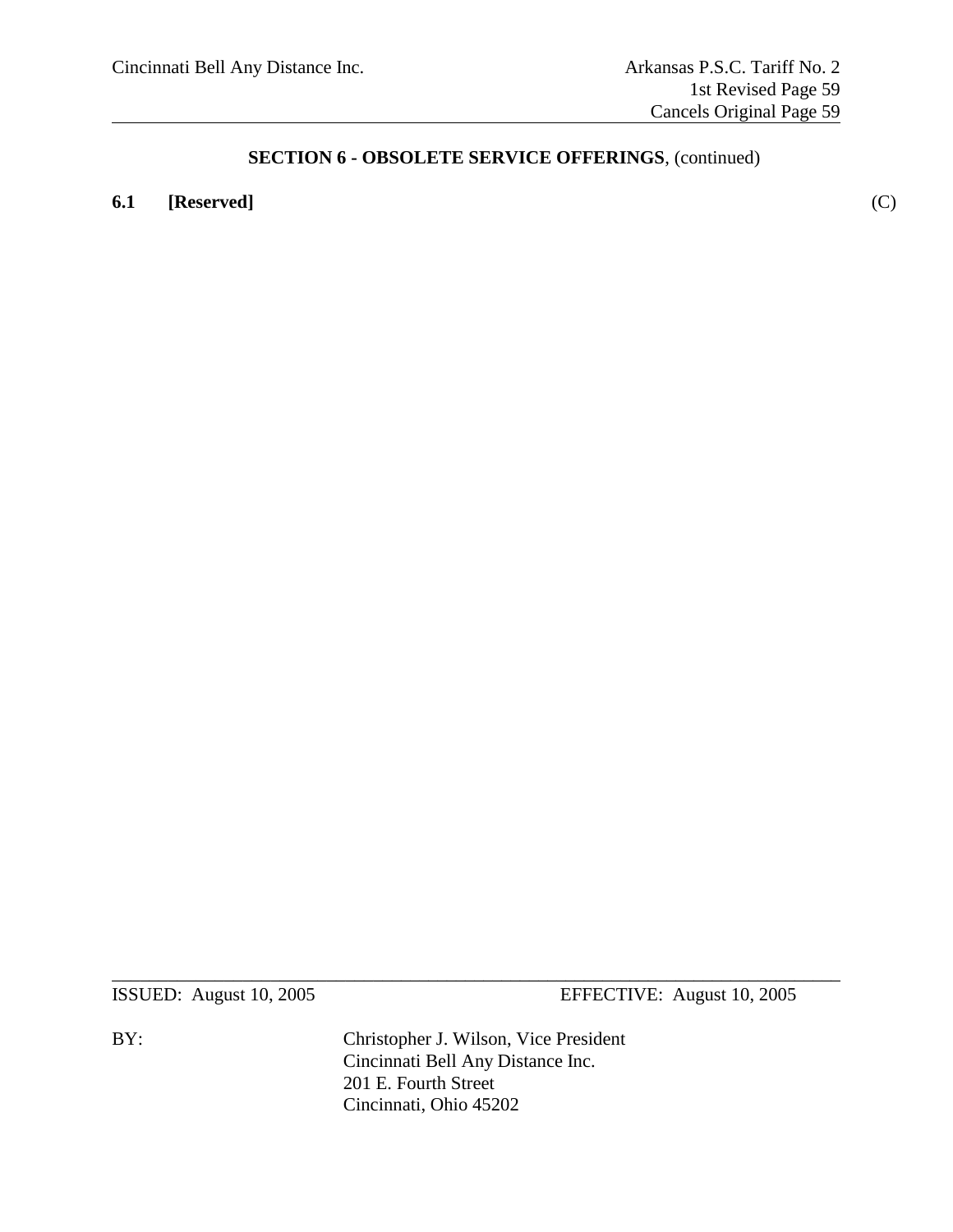### **6.1 [Reserved]** (C)

ISSUED: August 10, 2005 EFFECTIVE: August 10, 2005

BY: Christopher J. Wilson, Vice President Cincinnati Bell Any Distance Inc. 201 E. Fourth Street Cincinnati, Ohio 45202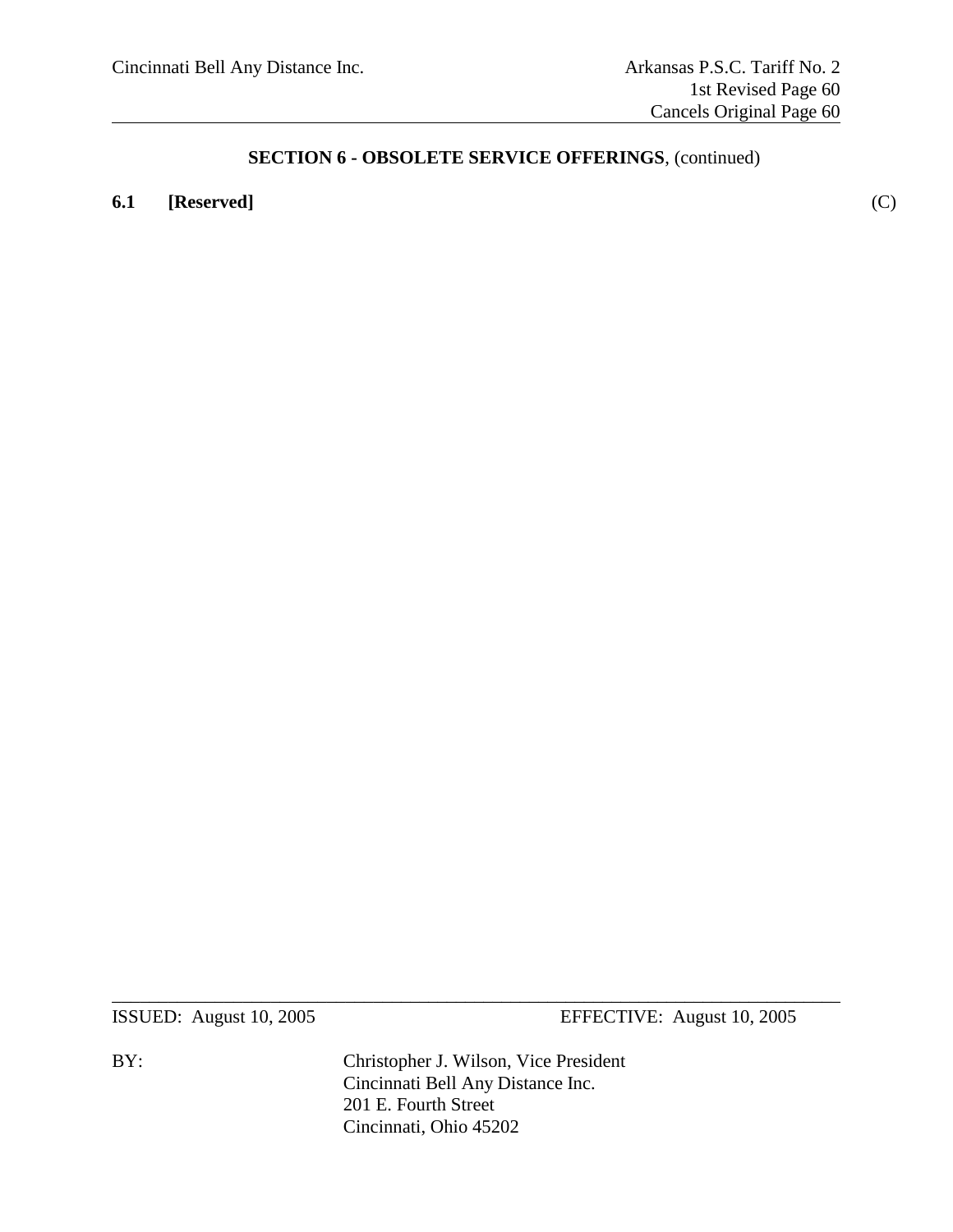### **6.1 [Reserved]** (C)

ISSUED: August 10, 2005 EFFECTIVE: August 10, 2005

BY: Christopher J. Wilson, Vice President Cincinnati Bell Any Distance Inc. 201 E. Fourth Street Cincinnati, Ohio 45202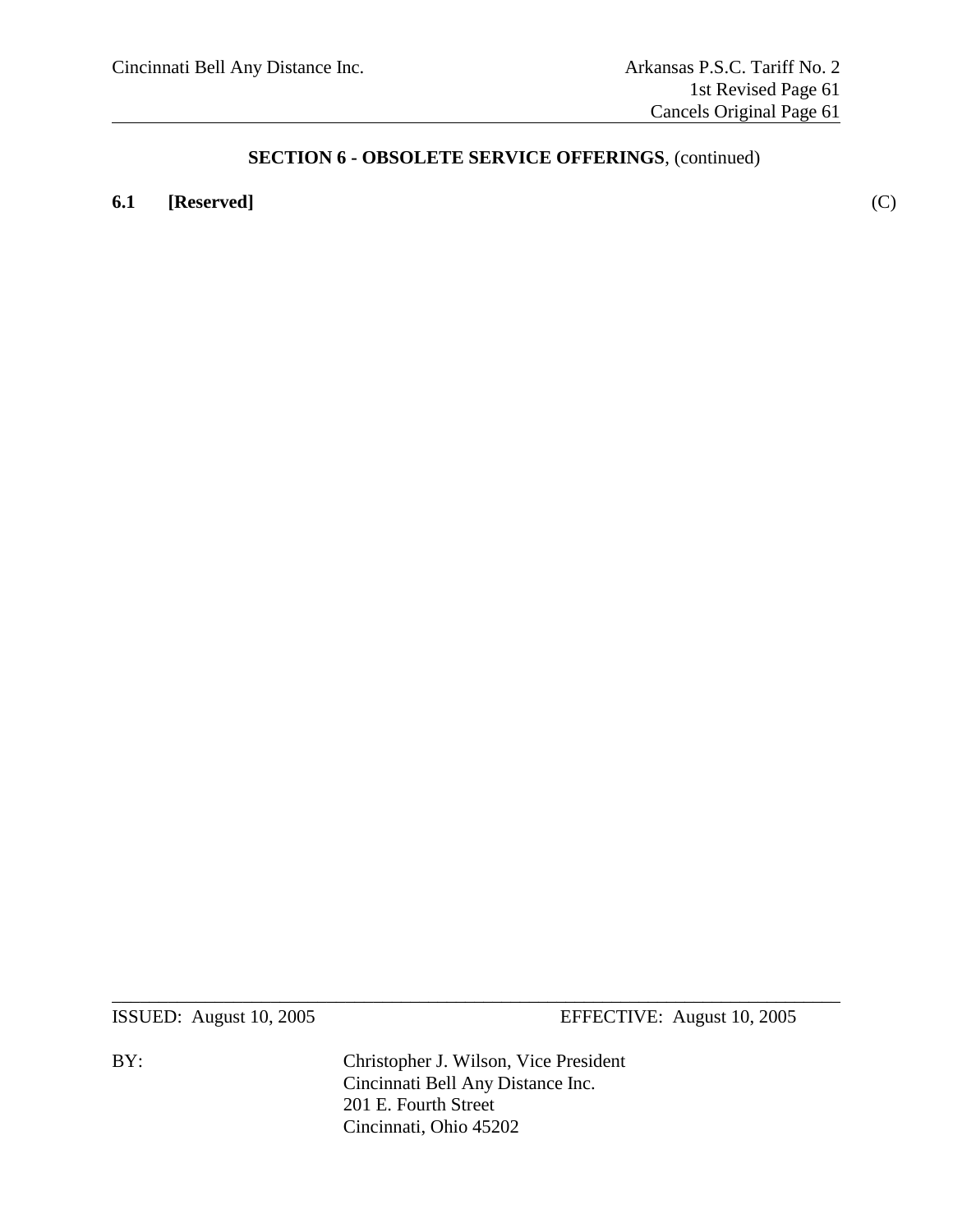### **6.1 [Reserved]** (C)

ISSUED: August 10, 2005 EFFECTIVE: August 10, 2005

BY: Christopher J. Wilson, Vice President Cincinnati Bell Any Distance Inc. 201 E. Fourth Street Cincinnati, Ohio 45202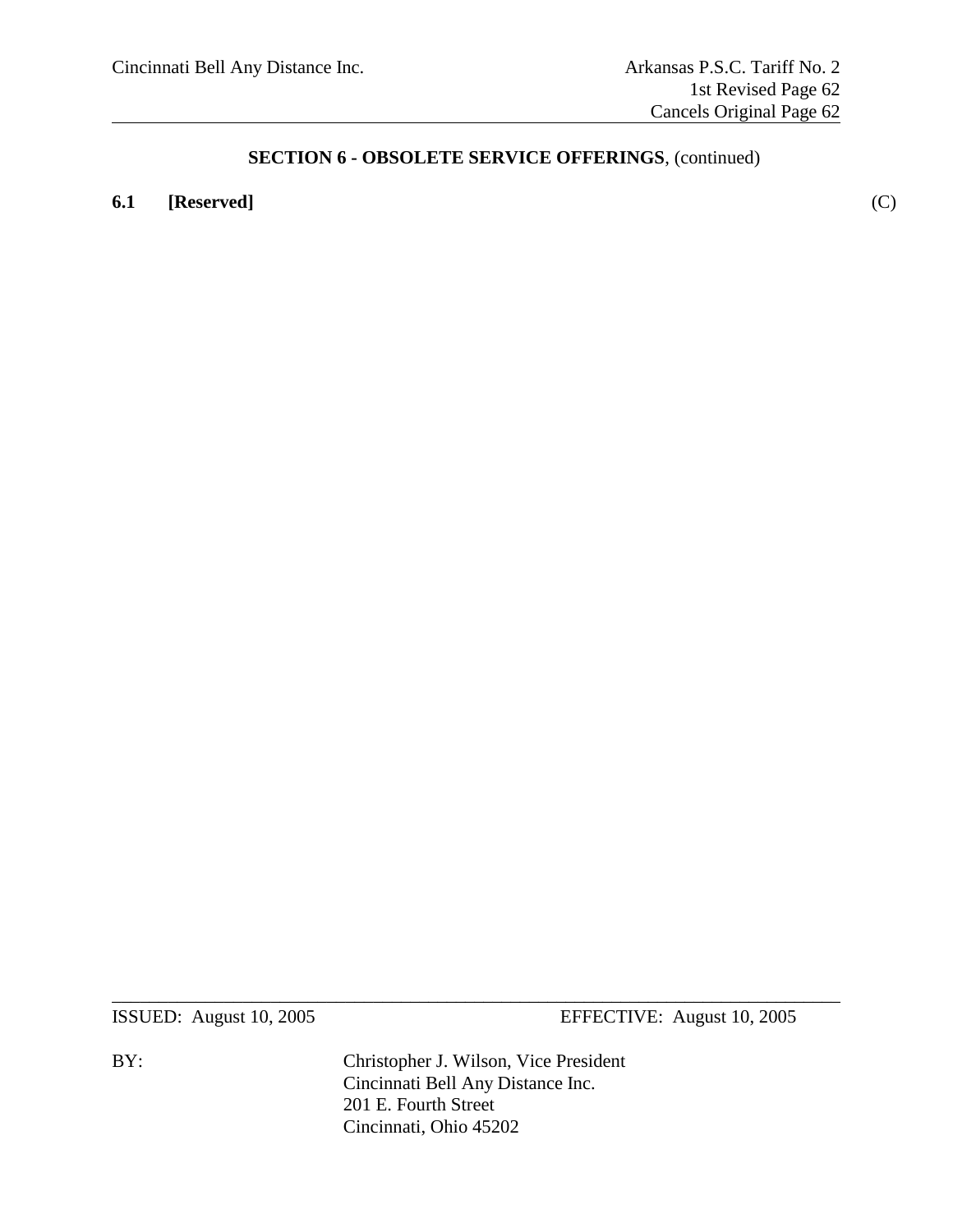### **6.1 [Reserved]** (C)

ISSUED: August 10, 2005 EFFECTIVE: August 10, 2005

BY: Christopher J. Wilson, Vice President Cincinnati Bell Any Distance Inc. 201 E. Fourth Street Cincinnati, Ohio 45202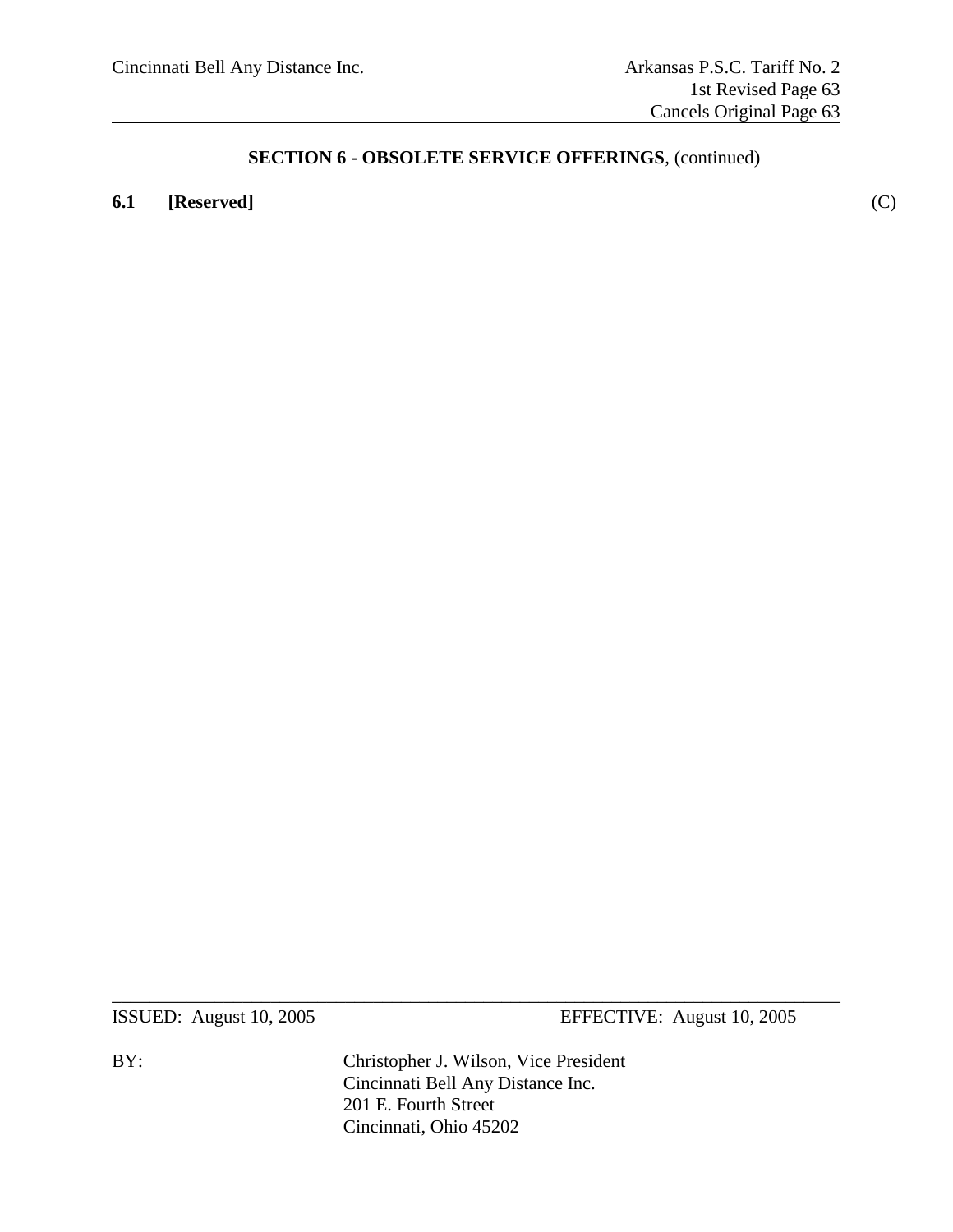### **6.1 [Reserved]** (C)

ISSUED: August 10, 2005 EFFECTIVE: August 10, 2005

BY: Christopher J. Wilson, Vice President Cincinnati Bell Any Distance Inc. 201 E. Fourth Street Cincinnati, Ohio 45202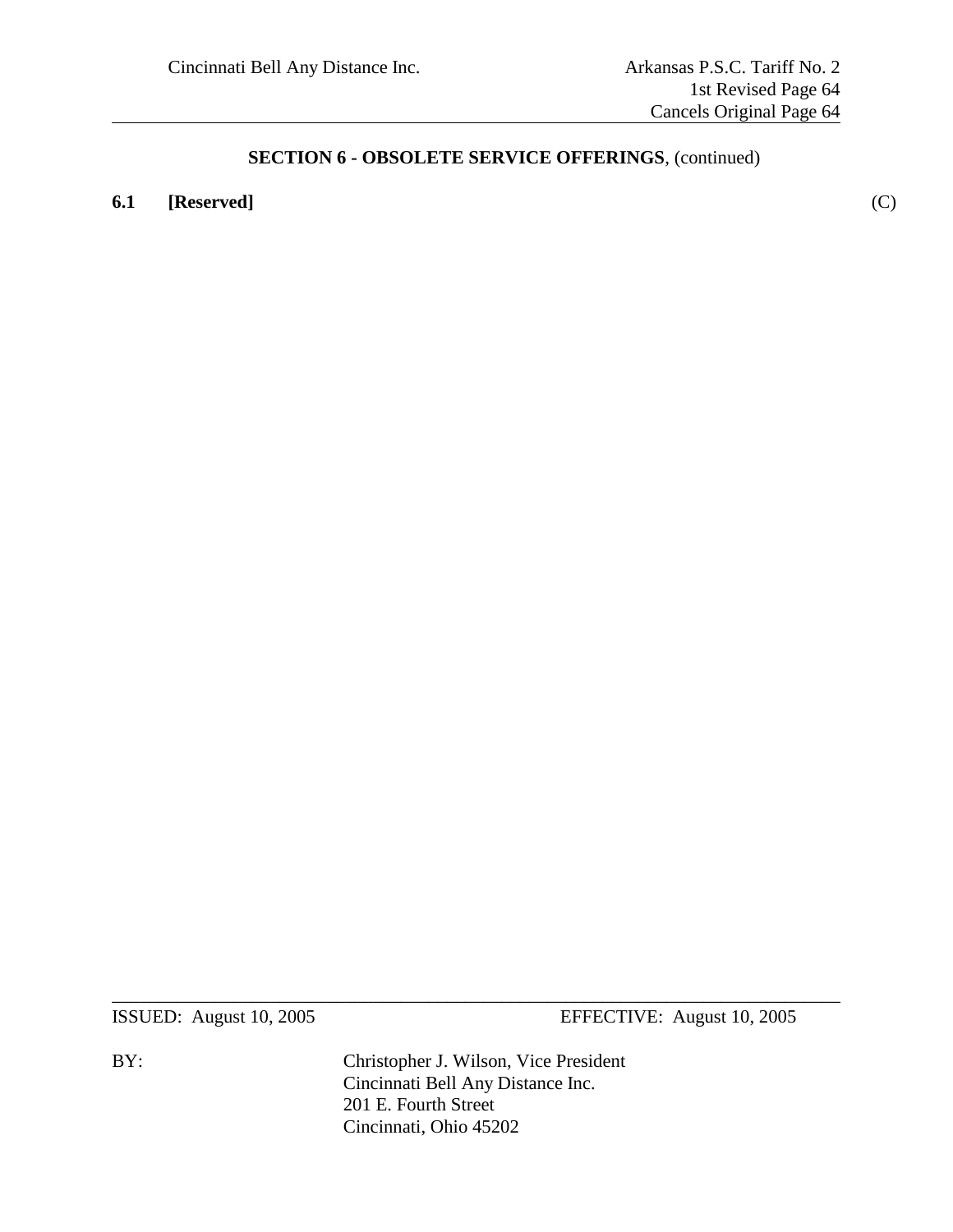**6.1 [Reserved]** (C)

ISSUED: August 10, 2005 EFFECTIVE: August 10, 2005

BY: Christopher J. Wilson, Vice President Cincinnati Bell Any Distance Inc. 201 E. Fourth Street Cincinnati, Ohio 45202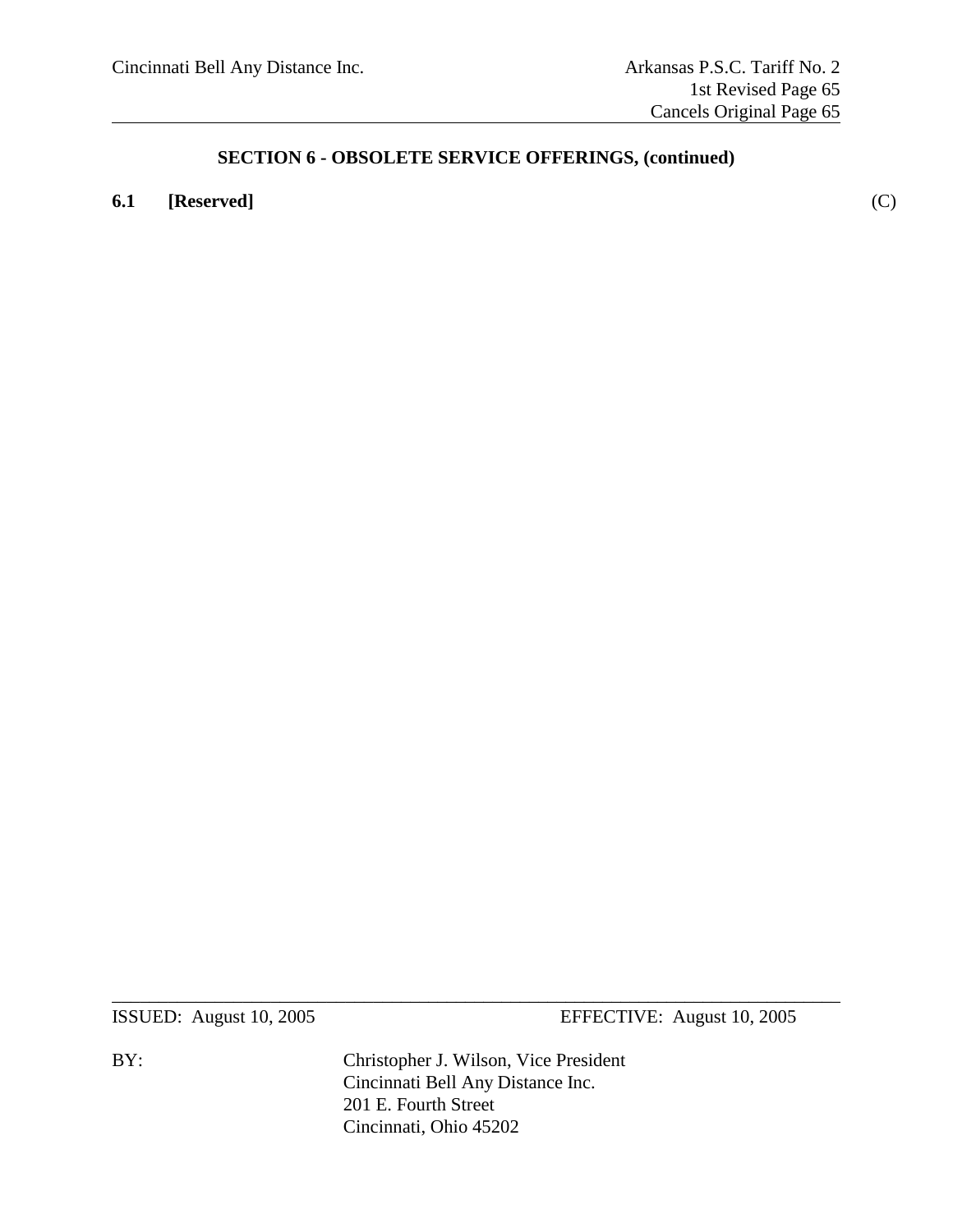### **6.1 [Reserved]** (C)

ISSUED: August 10, 2005 EFFECTIVE: August 10, 2005

BY: Christopher J. Wilson, Vice President Cincinnati Bell Any Distance Inc. 201 E. Fourth Street Cincinnati, Ohio 45202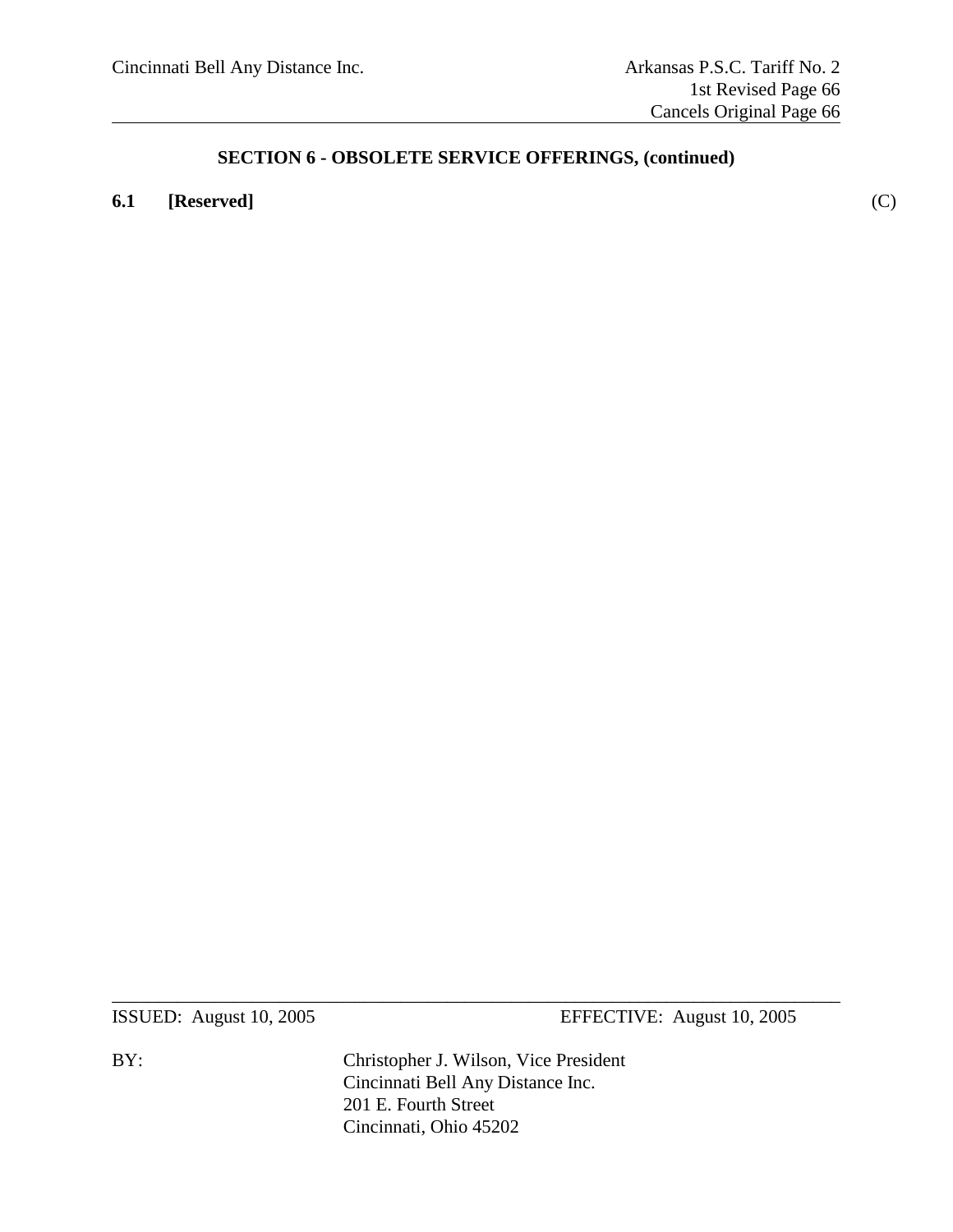### **6.1 [Reserved]** (C)

ISSUED: August 10, 2005 EFFECTIVE: August 10, 2005

BY: Christopher J. Wilson, Vice President Cincinnati Bell Any Distance Inc. 201 E. Fourth Street Cincinnati, Ohio 45202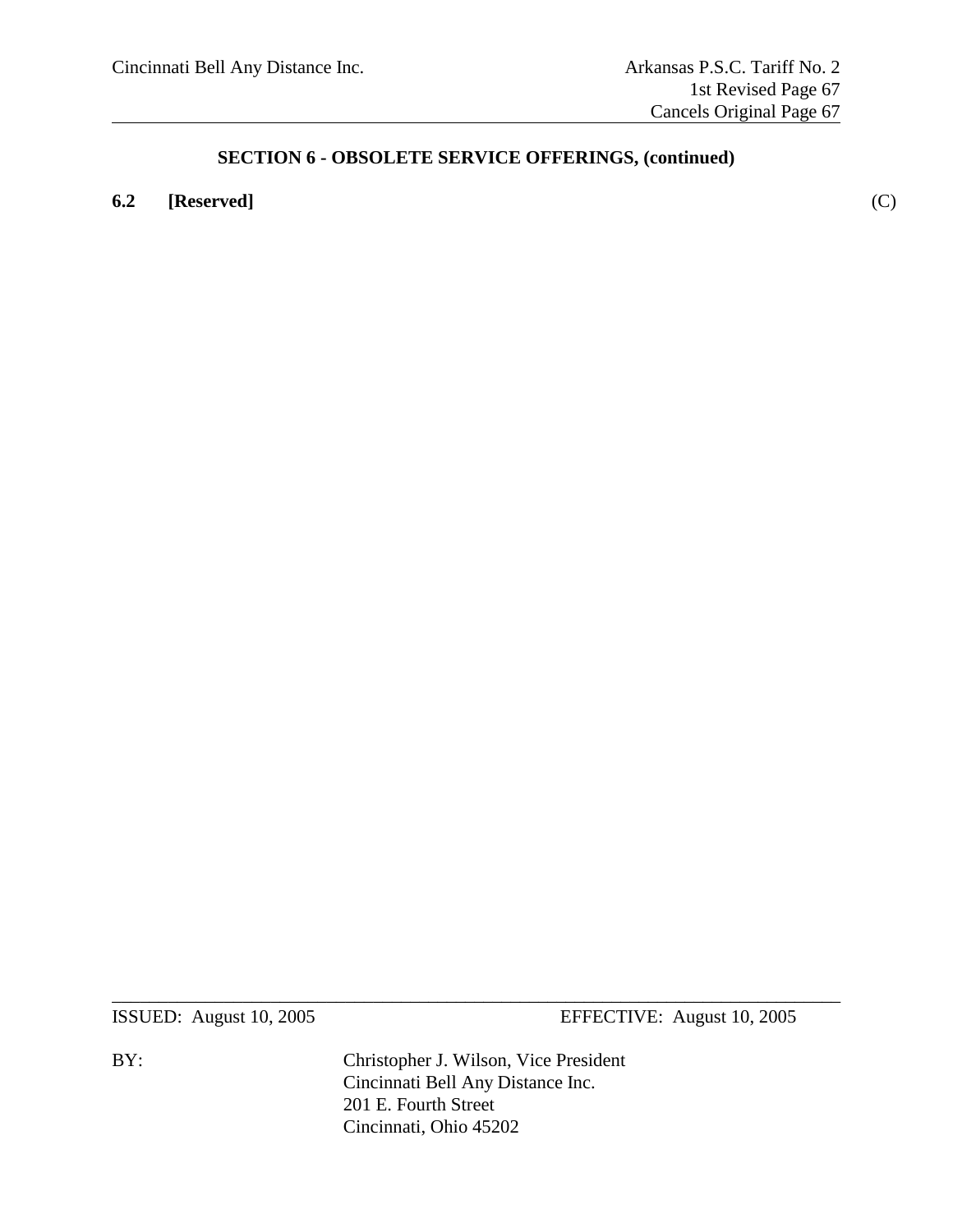### **6.2 [Reserved]** (C)

ISSUED: August 10, 2005 EFFECTIVE: August 10, 2005

BY: Christopher J. Wilson, Vice President Cincinnati Bell Any Distance Inc. 201 E. Fourth Street Cincinnati, Ohio 45202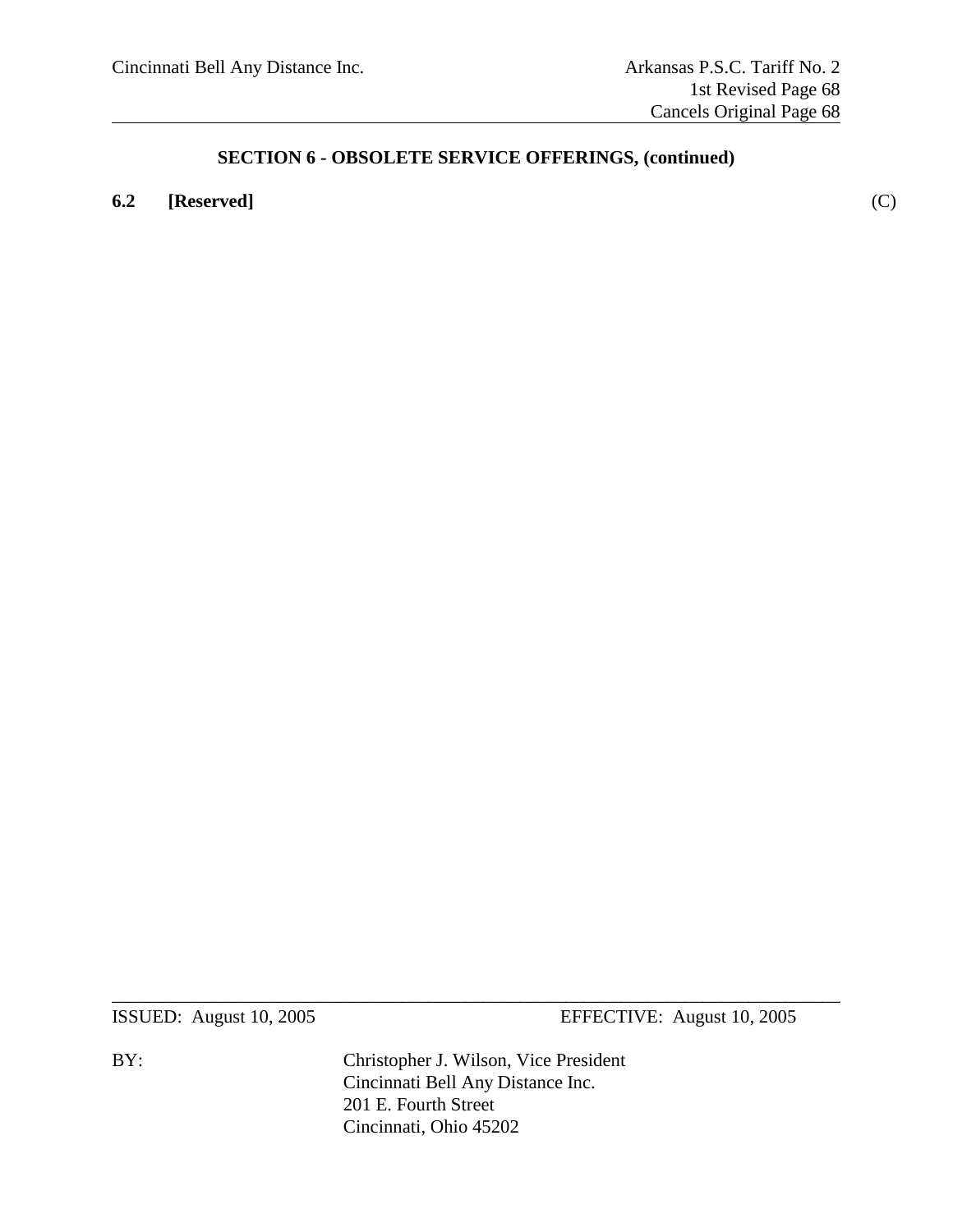### **6.2 [Reserved]** (C)

ISSUED: August 10, 2005 EFFECTIVE: August 10, 2005

BY: Christopher J. Wilson, Vice President Cincinnati Bell Any Distance Inc. 201 E. Fourth Street Cincinnati, Ohio 45202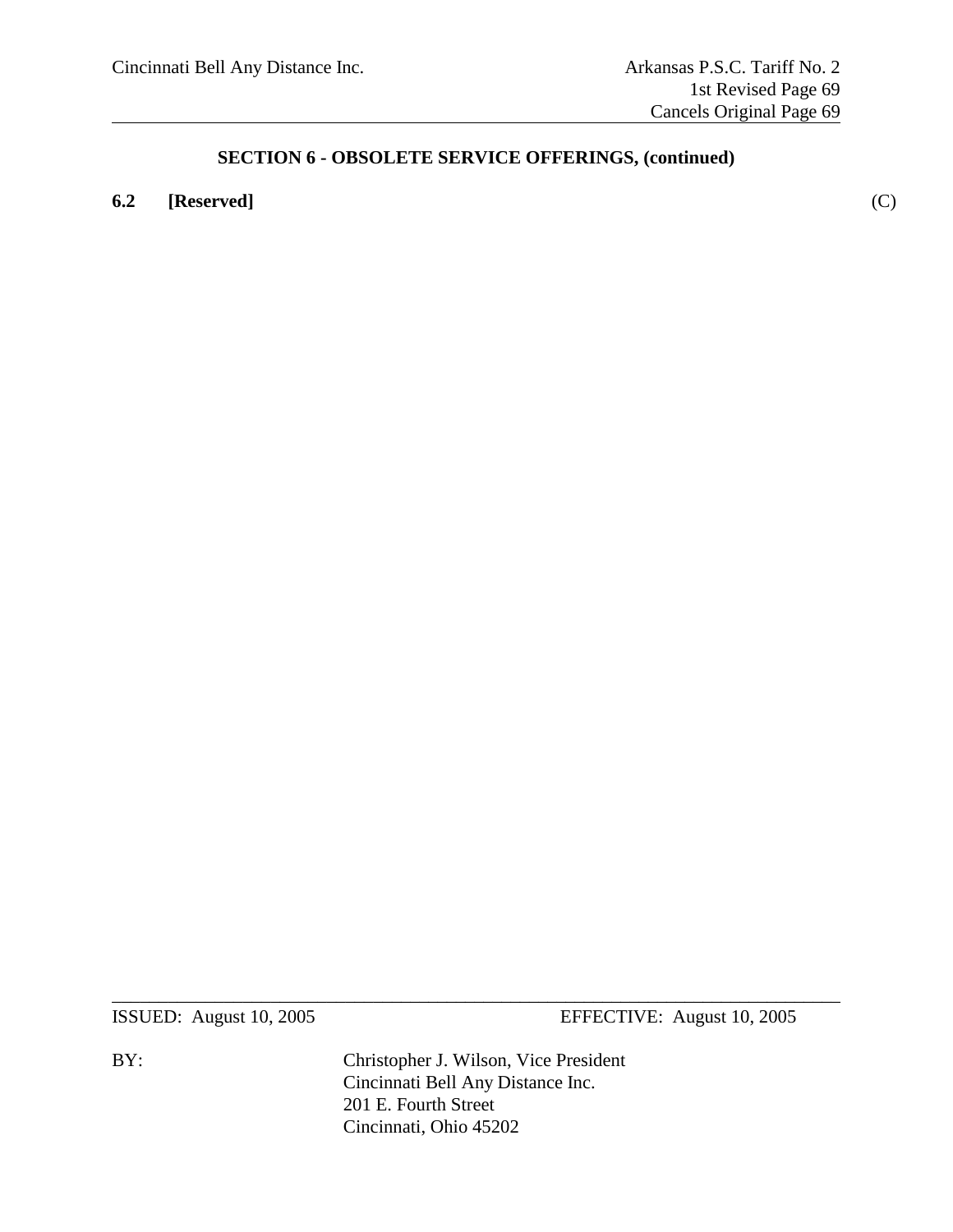### **6.2 [Reserved]** (C)

ISSUED: August 10, 2005 EFFECTIVE: August 10, 2005

BY: Christopher J. Wilson, Vice President Cincinnati Bell Any Distance Inc. 201 E. Fourth Street Cincinnati, Ohio 45202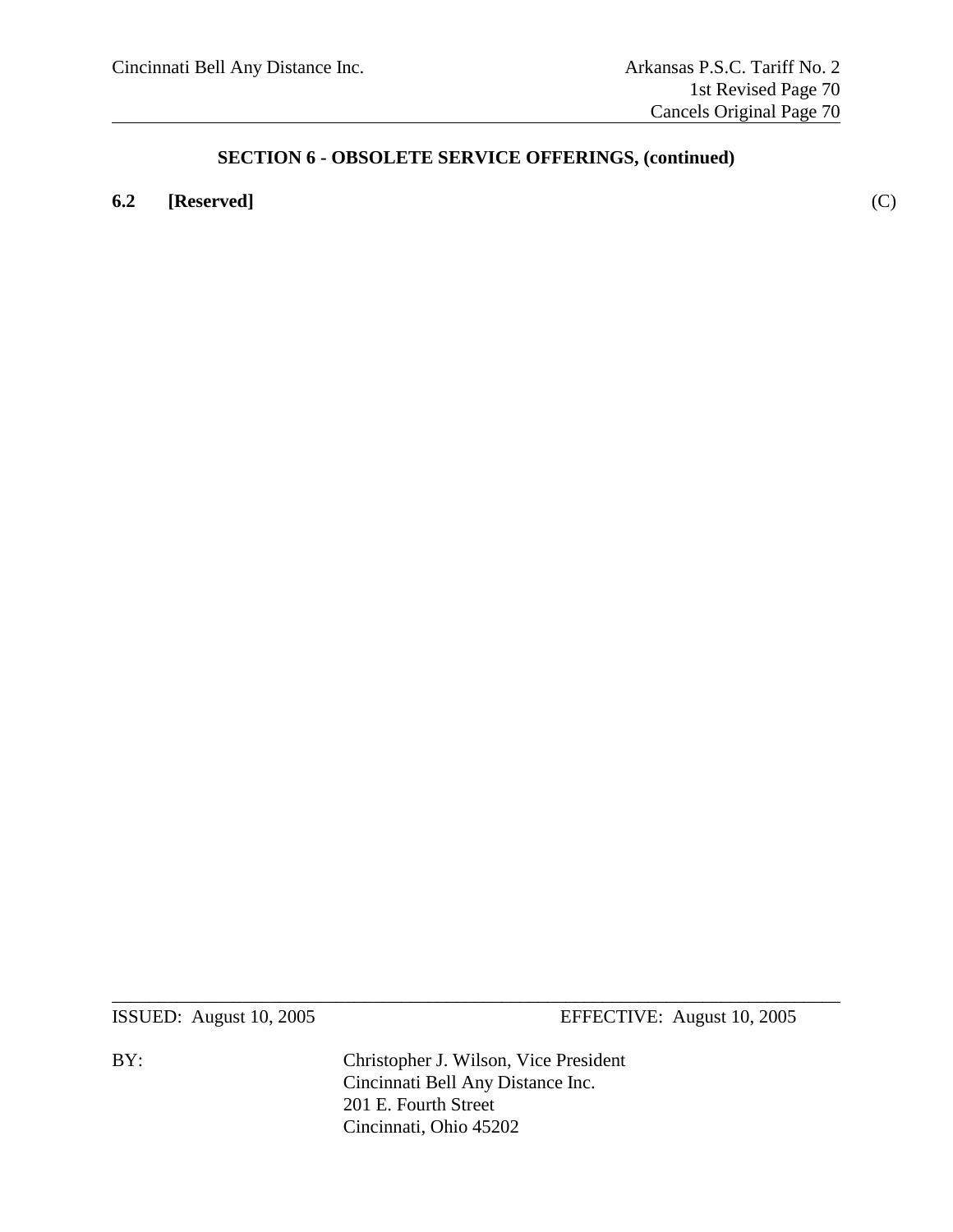### **6.2 [Reserved]** (C)

ISSUED: August 10, 2005 EFFECTIVE: August 10, 2005

BY: Christopher J. Wilson, Vice President Cincinnati Bell Any Distance Inc. 201 E. Fourth Street Cincinnati, Ohio 45202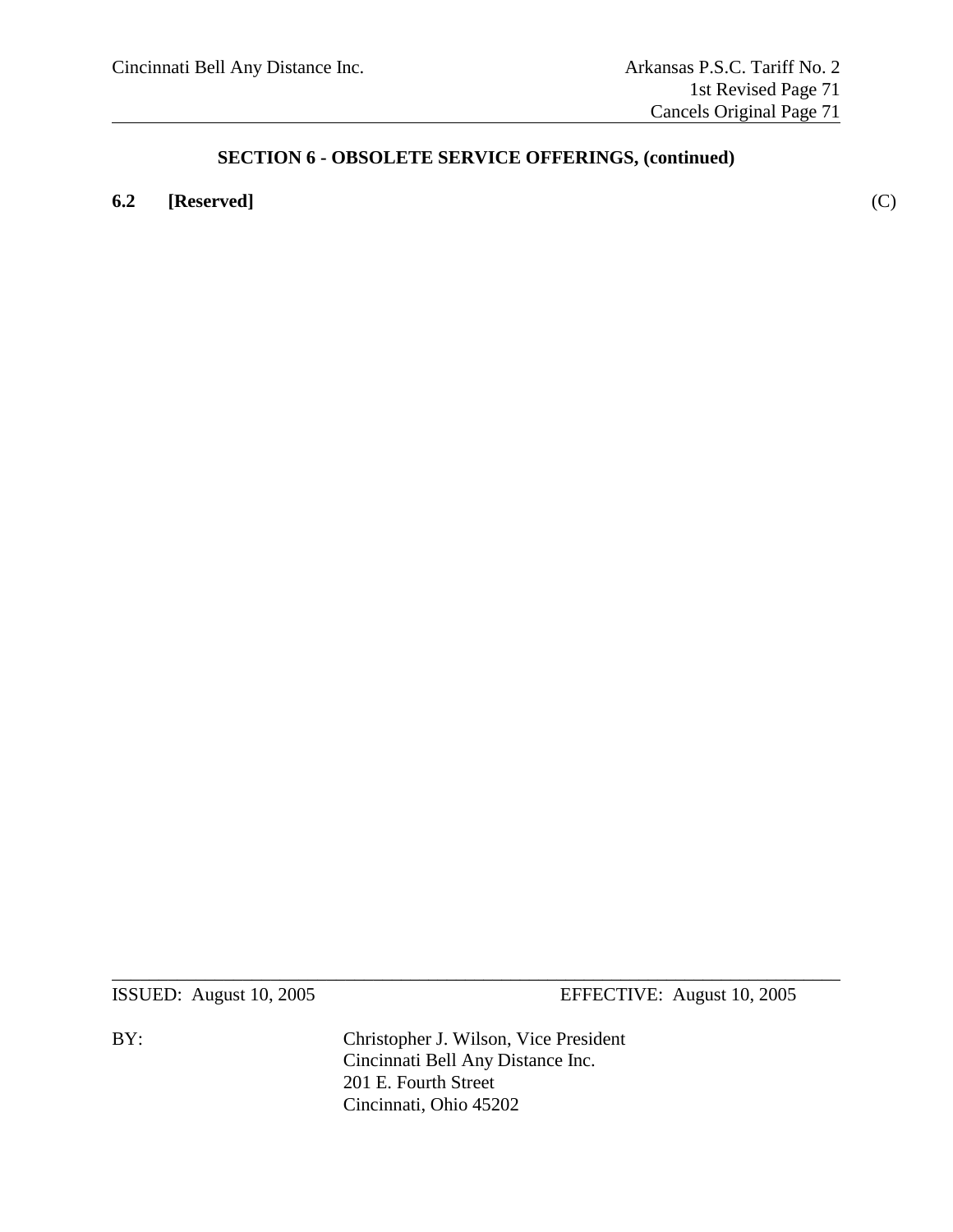### **6.2 [Reserved]** (C)

ISSUED: August 10, 2005 EFFECTIVE: August 10, 2005

BY: Christopher J. Wilson, Vice President Cincinnati Bell Any Distance Inc. 201 E. Fourth Street Cincinnati, Ohio 45202

 $\_$  , and the set of the set of the set of the set of the set of the set of the set of the set of the set of the set of the set of the set of the set of the set of the set of the set of the set of the set of the set of th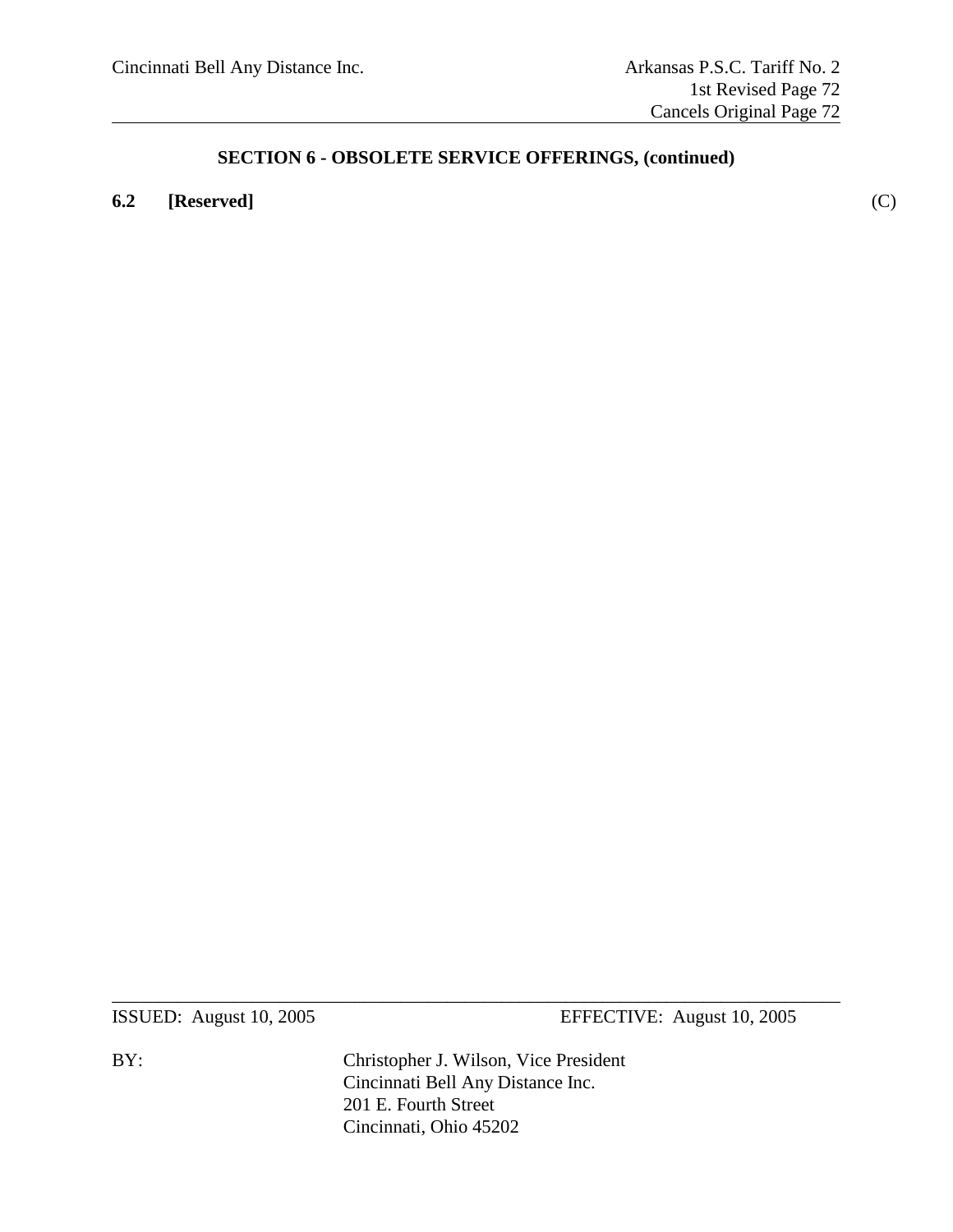### **6.2 [Reserved]** (C)

ISSUED: August 10, 2005 EFFECTIVE: August 10, 2005

BY: Christopher J. Wilson, Vice President Cincinnati Bell Any Distance Inc. 201 E. Fourth Street Cincinnati, Ohio 45202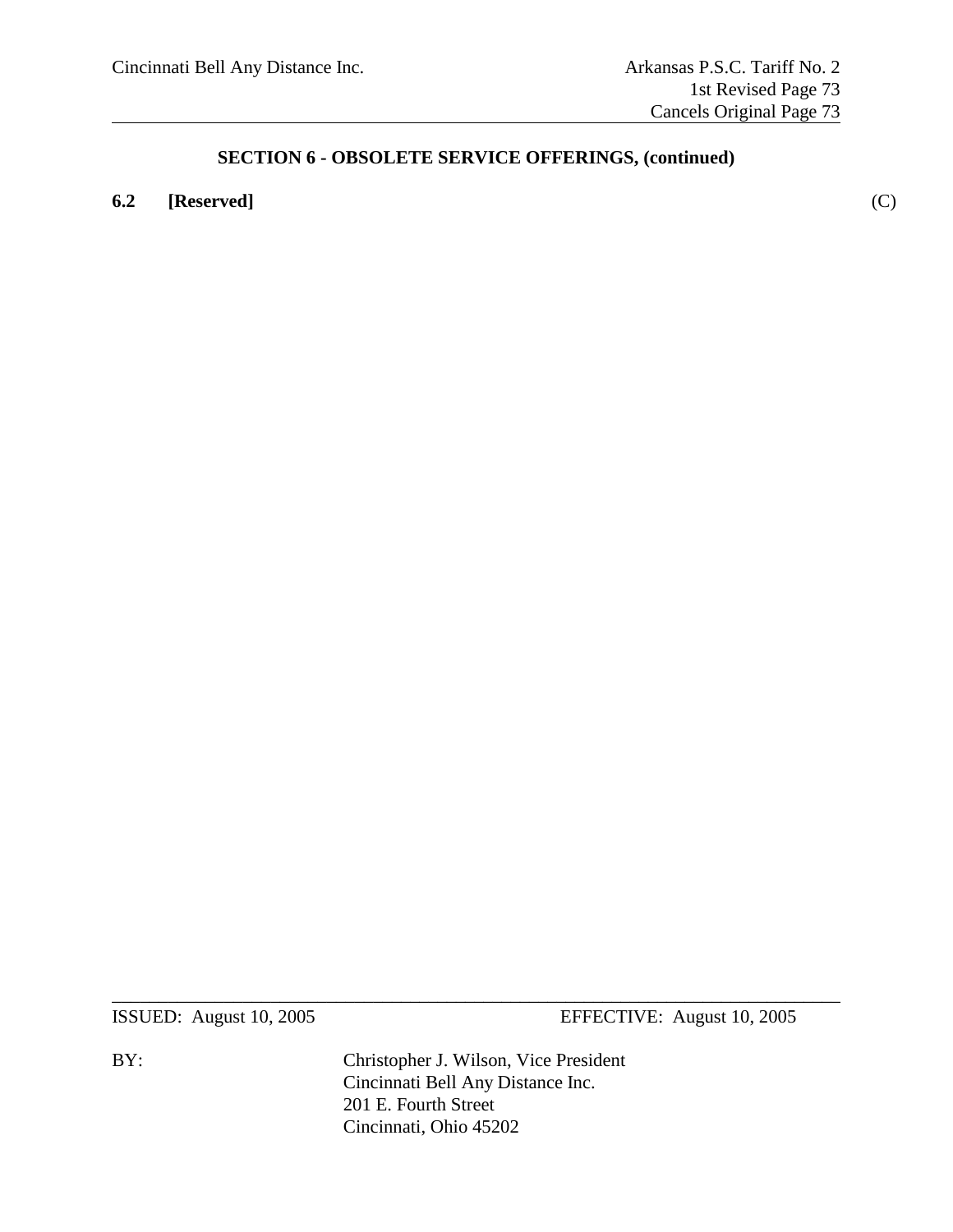### **6.2 [Reserved]** (C)

ISSUED: August 10, 2005 EFFECTIVE: August 10, 2005

BY: Christopher J. Wilson, Vice President Cincinnati Bell Any Distance Inc. 201 E. Fourth Street Cincinnati, Ohio 45202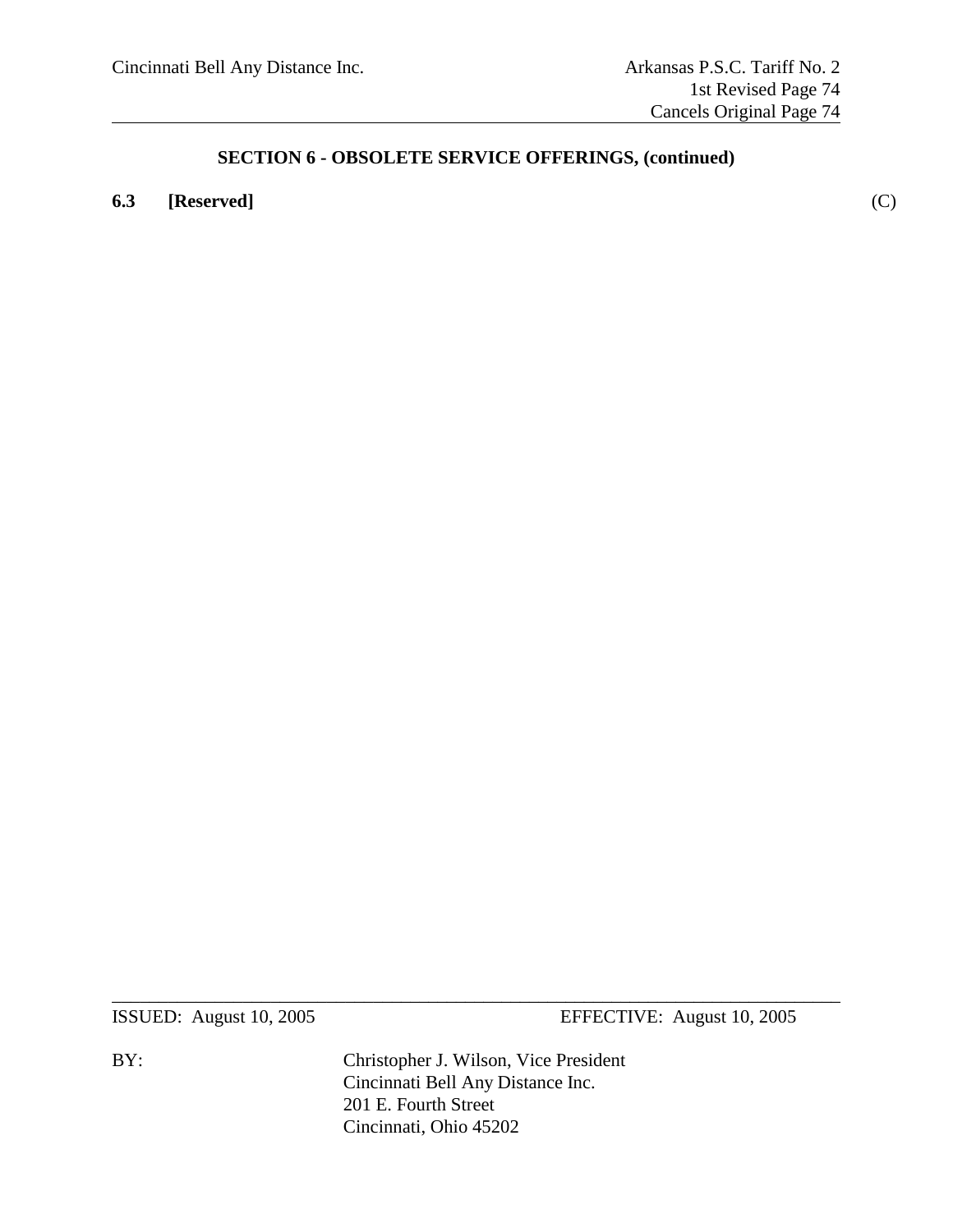### **6.3 [Reserved]** (C)

ISSUED: August 10, 2005 EFFECTIVE: August 10, 2005

BY: Christopher J. Wilson, Vice President Cincinnati Bell Any Distance Inc. 201 E. Fourth Street Cincinnati, Ohio 45202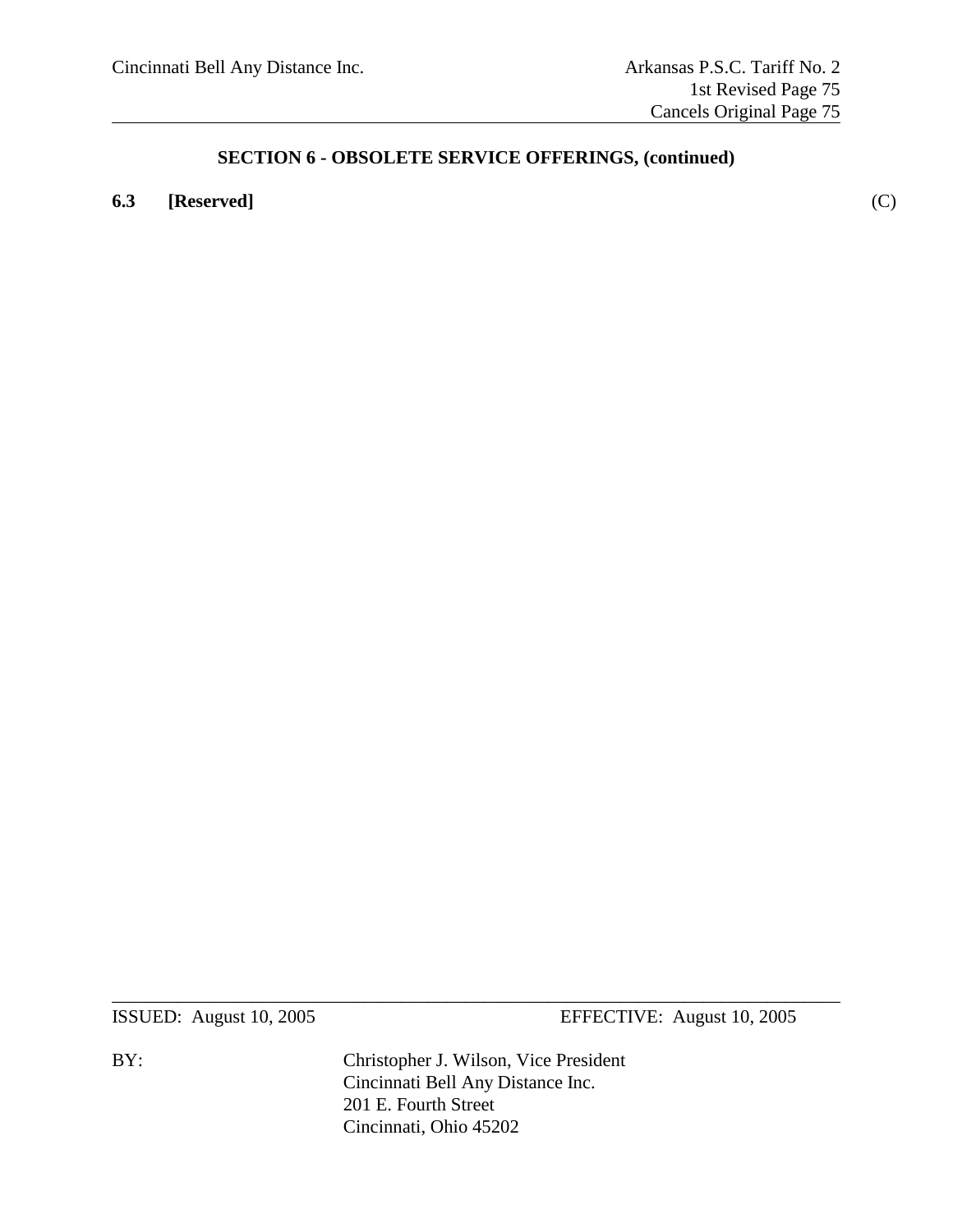### **6.3 [Reserved]** (C)

ISSUED: August 10, 2005 EFFECTIVE: August 10, 2005

BY: Christopher J. Wilson, Vice President Cincinnati Bell Any Distance Inc. 201 E. Fourth Street Cincinnati, Ohio 45202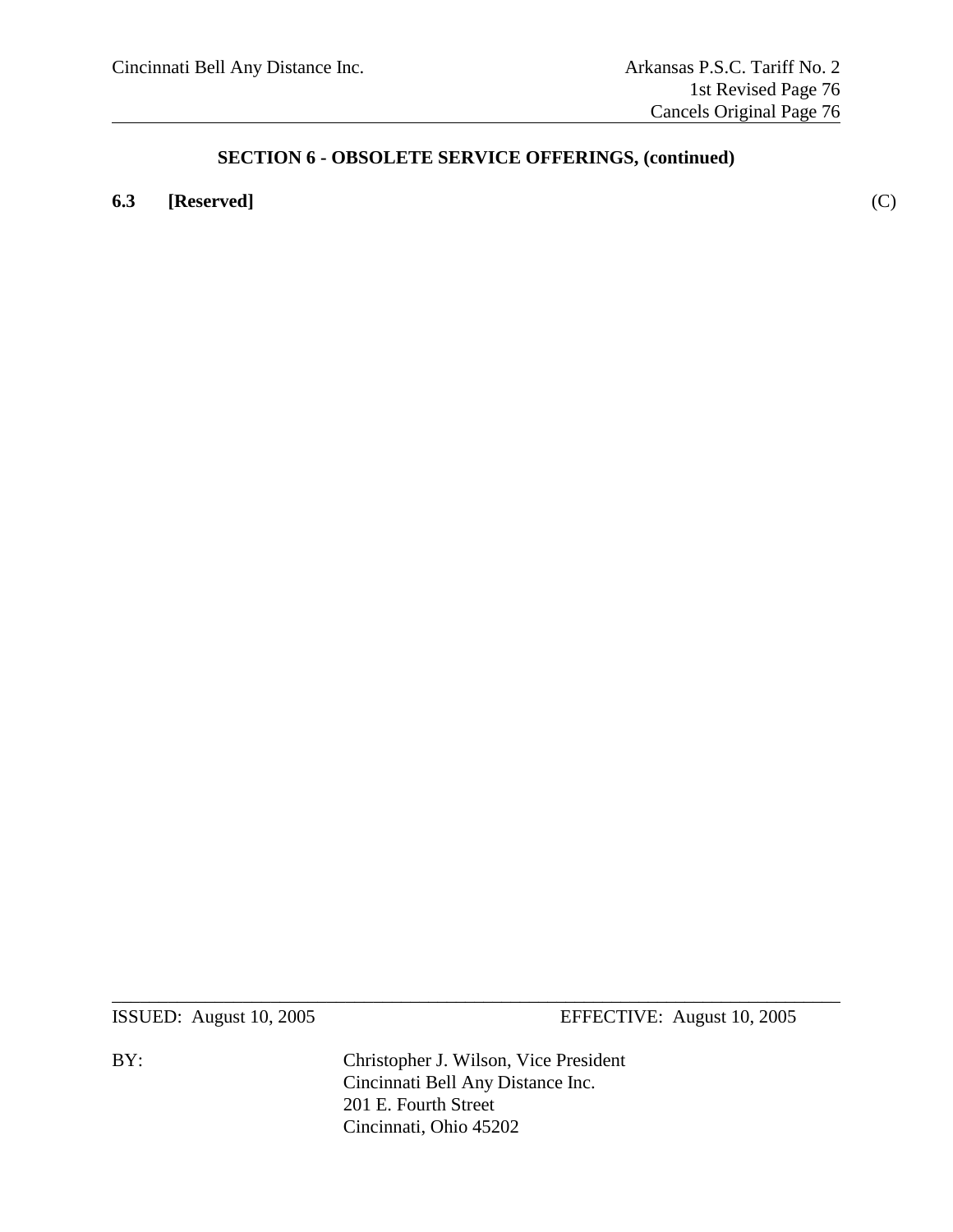### **6.3 [Reserved]** (C)

ISSUED: August 10, 2005 EFFECTIVE: August 10, 2005

BY: Christopher J. Wilson, Vice President Cincinnati Bell Any Distance Inc. 201 E. Fourth Street Cincinnati, Ohio 45202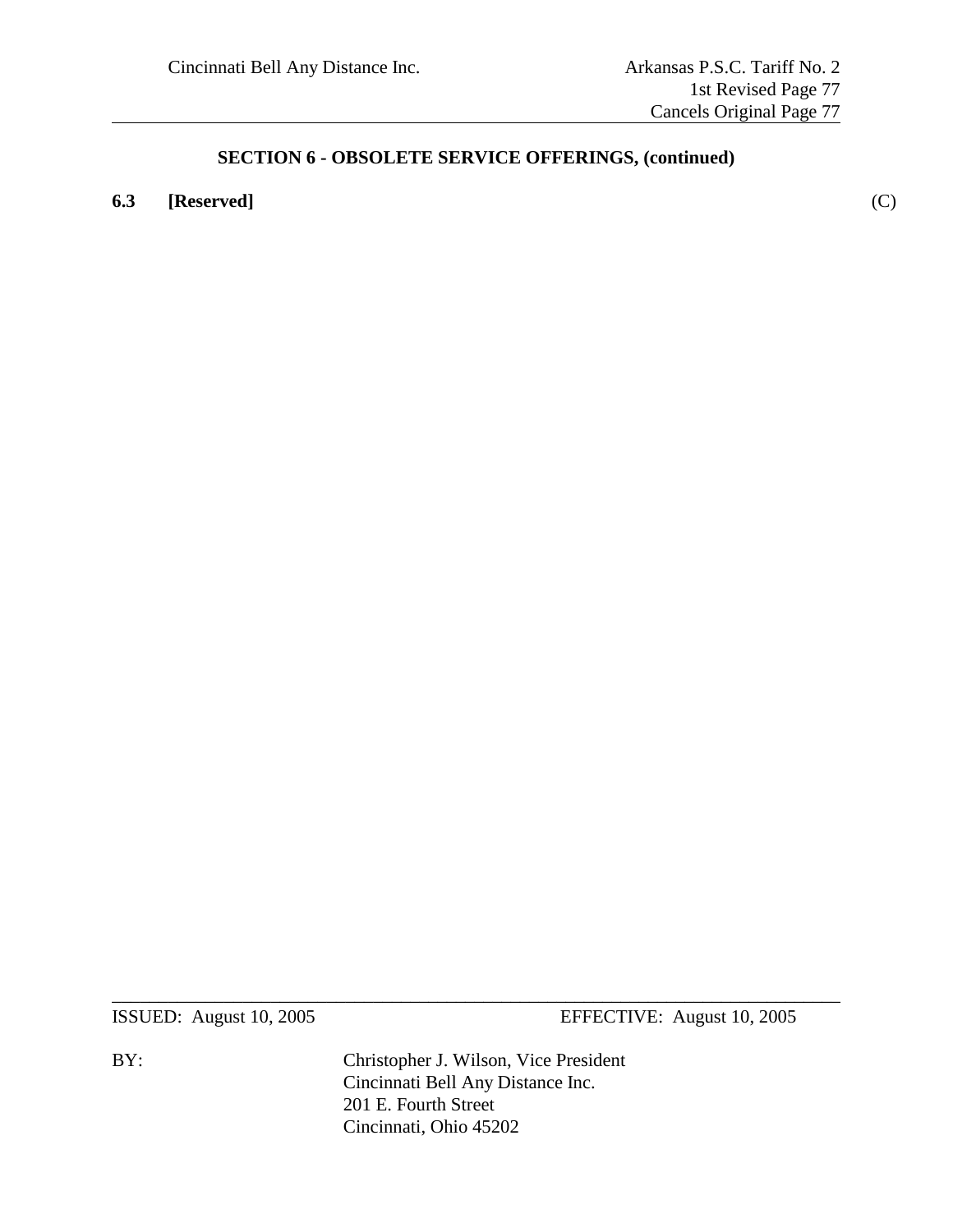**6.3 [Reserved]** (C)

ISSUED: August 10, 2005 EFFECTIVE: August 10, 2005

BY: Christopher J. Wilson, Vice President Cincinnati Bell Any Distance Inc. 201 E. Fourth Street Cincinnati, Ohio 45202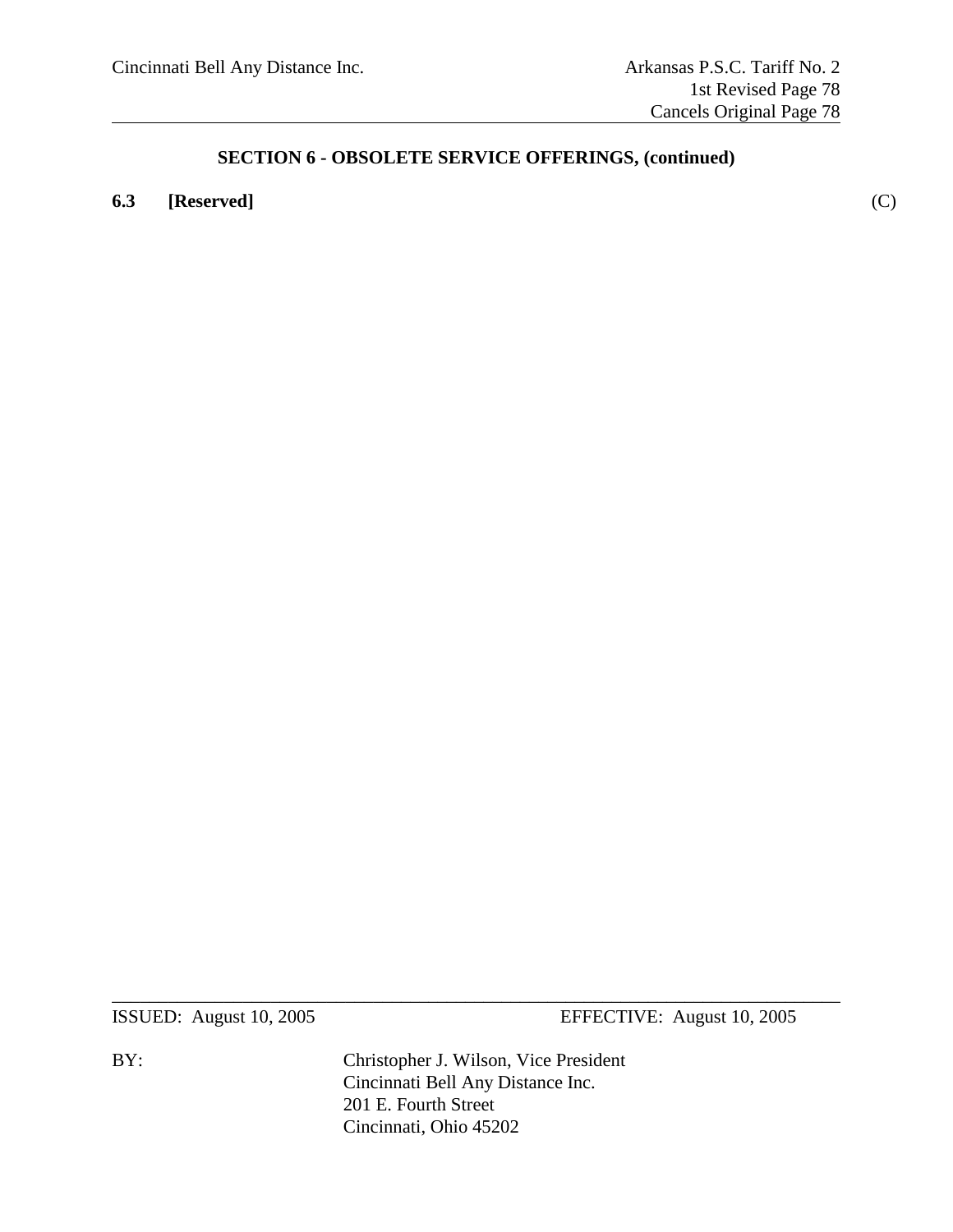### **6.3 [Reserved]** (C)

ISSUED: August 10, 2005 EFFECTIVE: August 10, 2005

BY: Christopher J. Wilson, Vice President Cincinnati Bell Any Distance Inc. 201 E. Fourth Street Cincinnati, Ohio 45202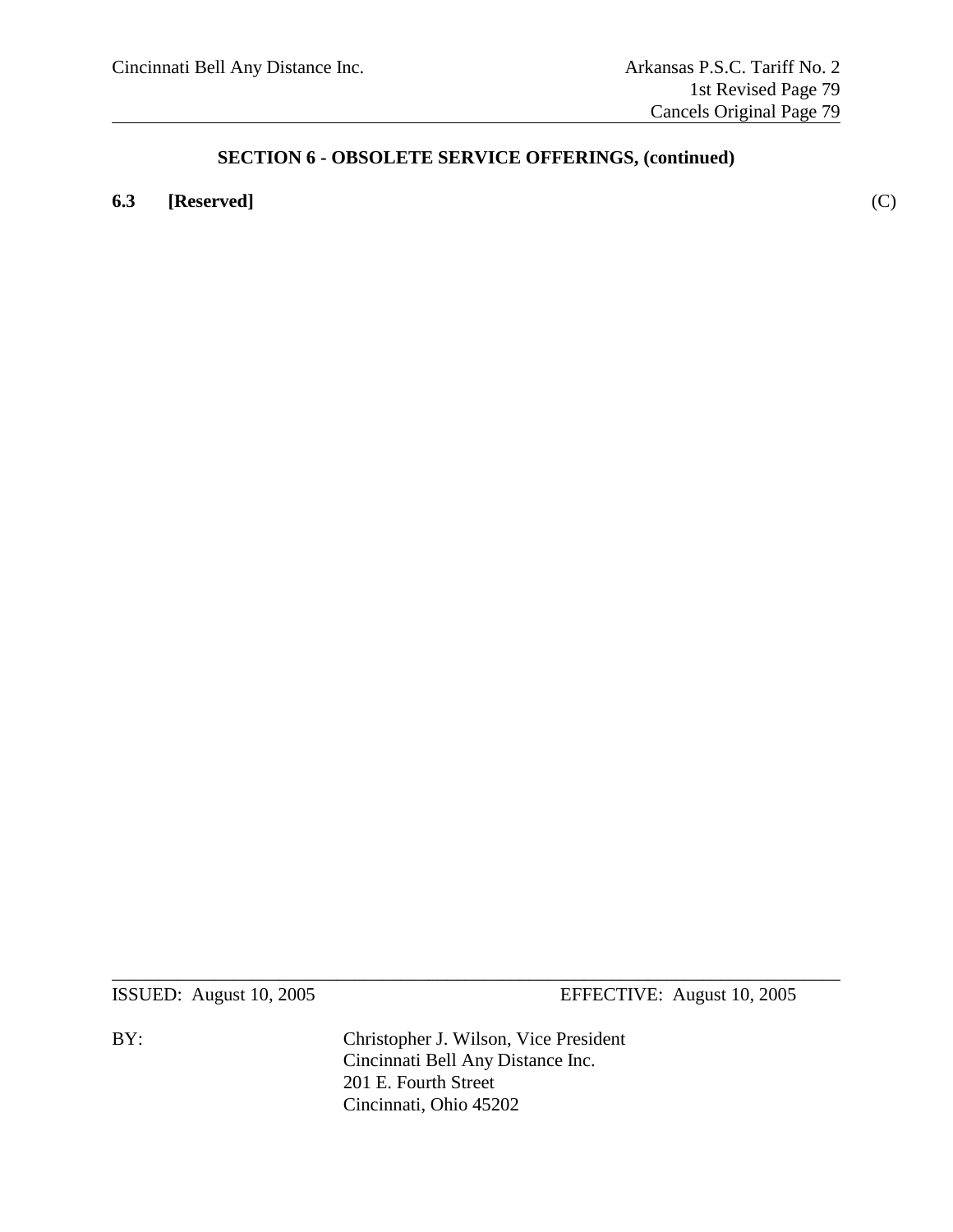### **6.3 [Reserved]** (C)

ISSUED: August 10, 2005 EFFECTIVE: August 10, 2005

BY: Christopher J. Wilson, Vice President Cincinnati Bell Any Distance Inc. 201 E. Fourth Street Cincinnati, Ohio 45202

 $\_$  , and the set of the set of the set of the set of the set of the set of the set of the set of the set of the set of the set of the set of the set of the set of the set of the set of the set of the set of the set of th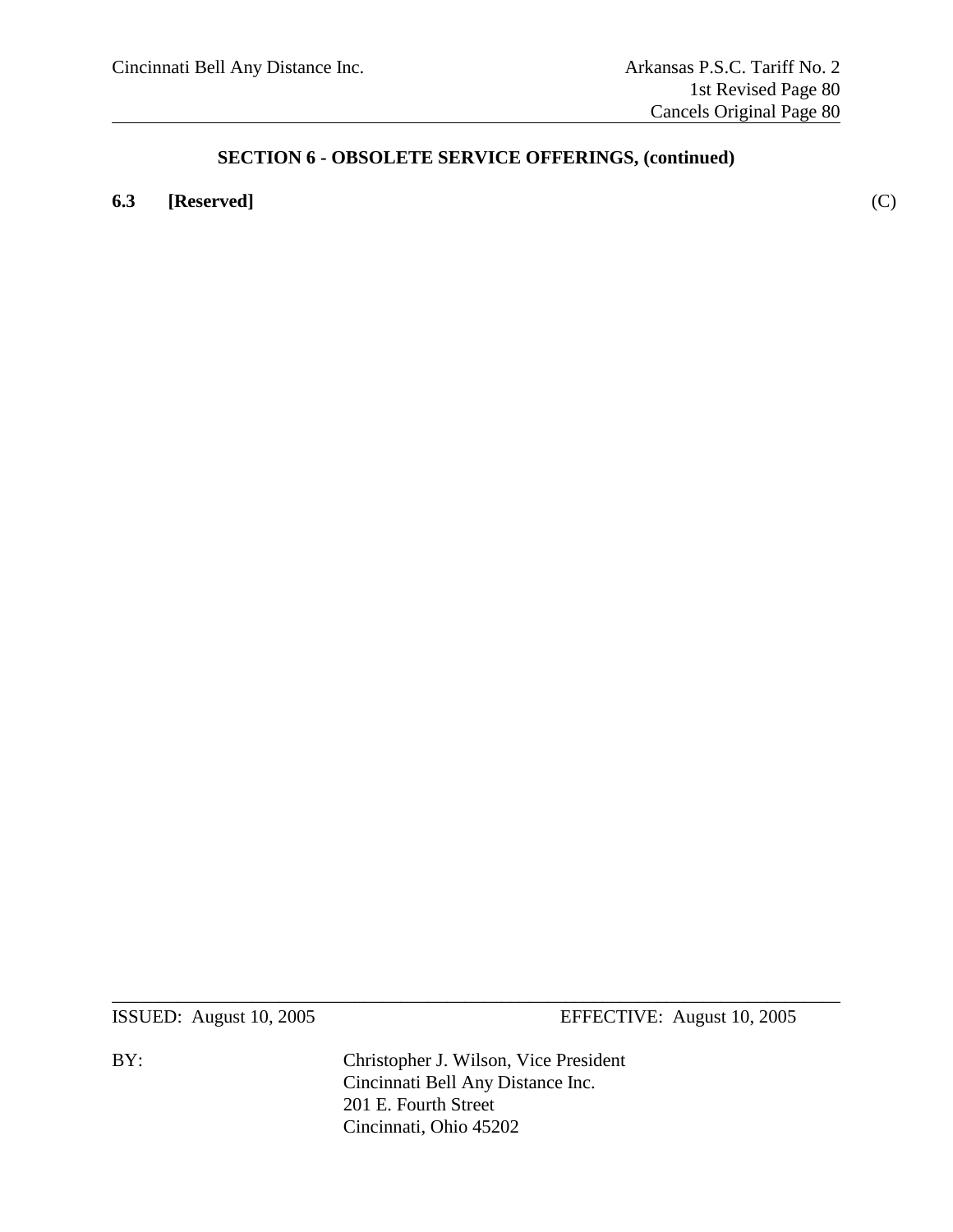### **6.3 [Reserved]** (C)

ISSUED: August 10, 2005 EFFECTIVE: August 10, 2005

BY: Christopher J. Wilson, Vice President Cincinnati Bell Any Distance Inc. 201 E. Fourth Street Cincinnati, Ohio 45202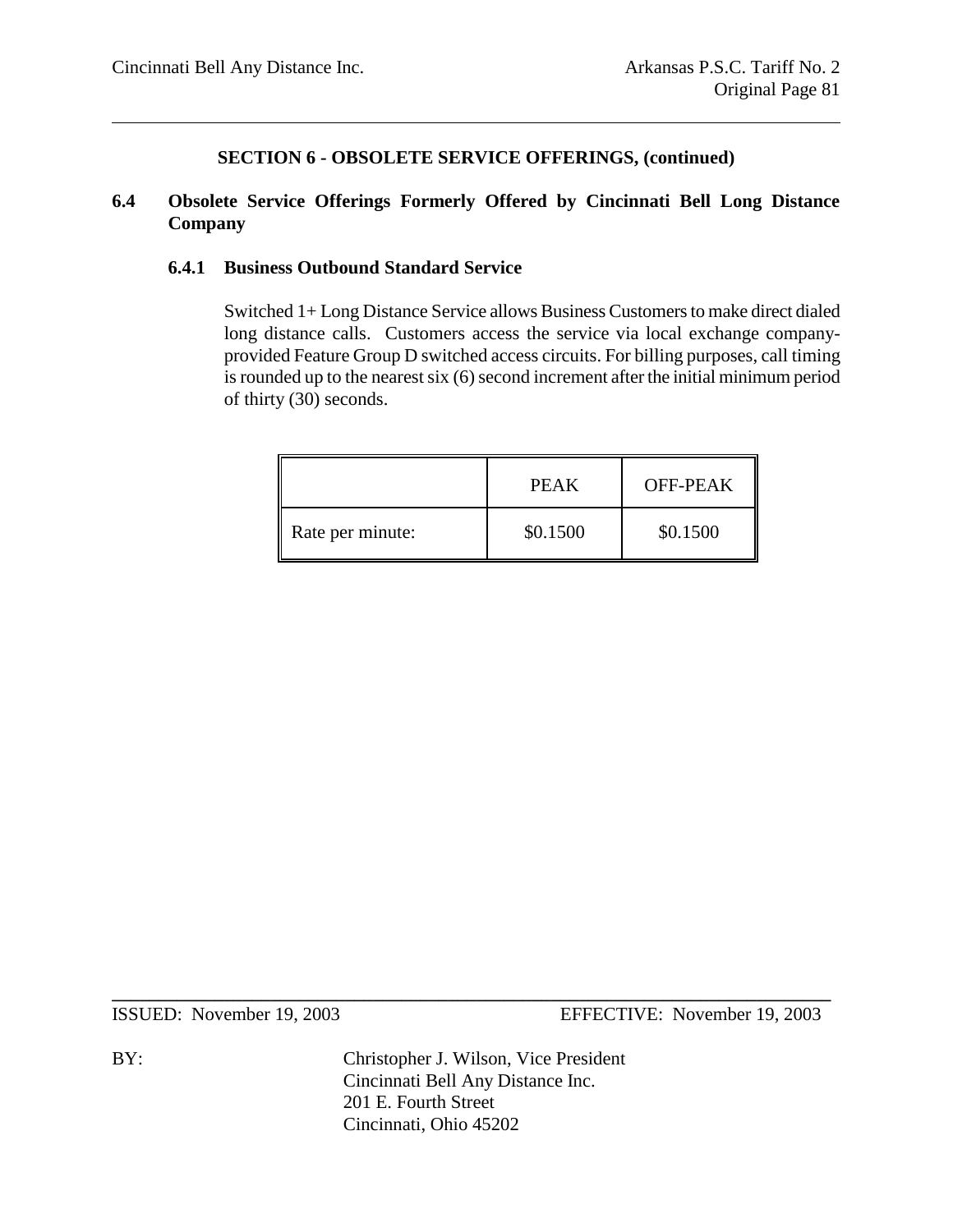### **6.4 Obsolete Service Offerings Formerly Offered by Cincinnati Bell Long Distance Company**

#### **6.4.1 Business Outbound Standard Service**

Switched 1+ Long Distance Service allows Business Customers to make direct dialed long distance calls. Customers access the service via local exchange companyprovided Feature Group D switched access circuits. For billing purposes, call timing is rounded up to the nearest six (6) second increment after the initial minimum period of thirty (30) seconds.

|                  | PEAK     | OFF-PEAK |
|------------------|----------|----------|
| Rate per minute: | \$0.1500 | \$0.1500 |

ISSUED: November 19, 2003 EFFECTIVE: November 19, 2003

BY: Christopher J. Wilson, Vice President Cincinnati Bell Any Distance Inc. 201 E. Fourth Street Cincinnati, Ohio 45202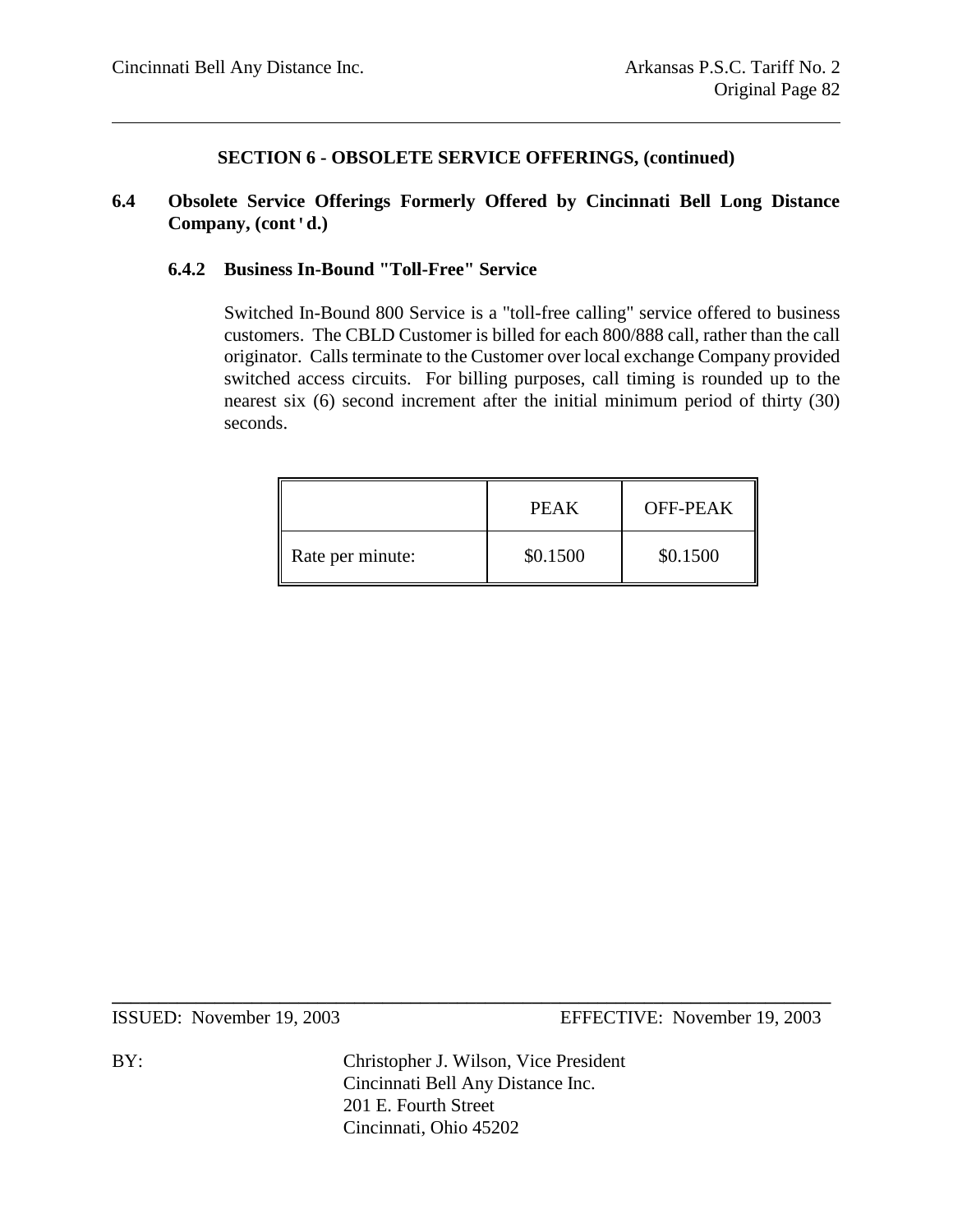#### **6.4 Obsolete Service Offerings Formerly Offered by Cincinnati Bell Long Distance Company, (cont'd.)**

#### **6.4.2 Business In-Bound "Toll-Free" Service**

Switched In-Bound 800 Service is a "toll-free calling" service offered to business customers. The CBLD Customer is billed for each 800/888 call, rather than the call originator. Calls terminate to the Customer over local exchange Company provided switched access circuits. For billing purposes, call timing is rounded up to the nearest six (6) second increment after the initial minimum period of thirty (30) seconds.

|                  | PEAK     | OFF-PEAK |
|------------------|----------|----------|
| Rate per minute: | \$0.1500 | \$0.1500 |

ISSUED: November 19, 2003 EFFECTIVE: November 19, 2003

BY: Christopher J. Wilson, Vice President Cincinnati Bell Any Distance Inc. 201 E. Fourth Street Cincinnati, Ohio 45202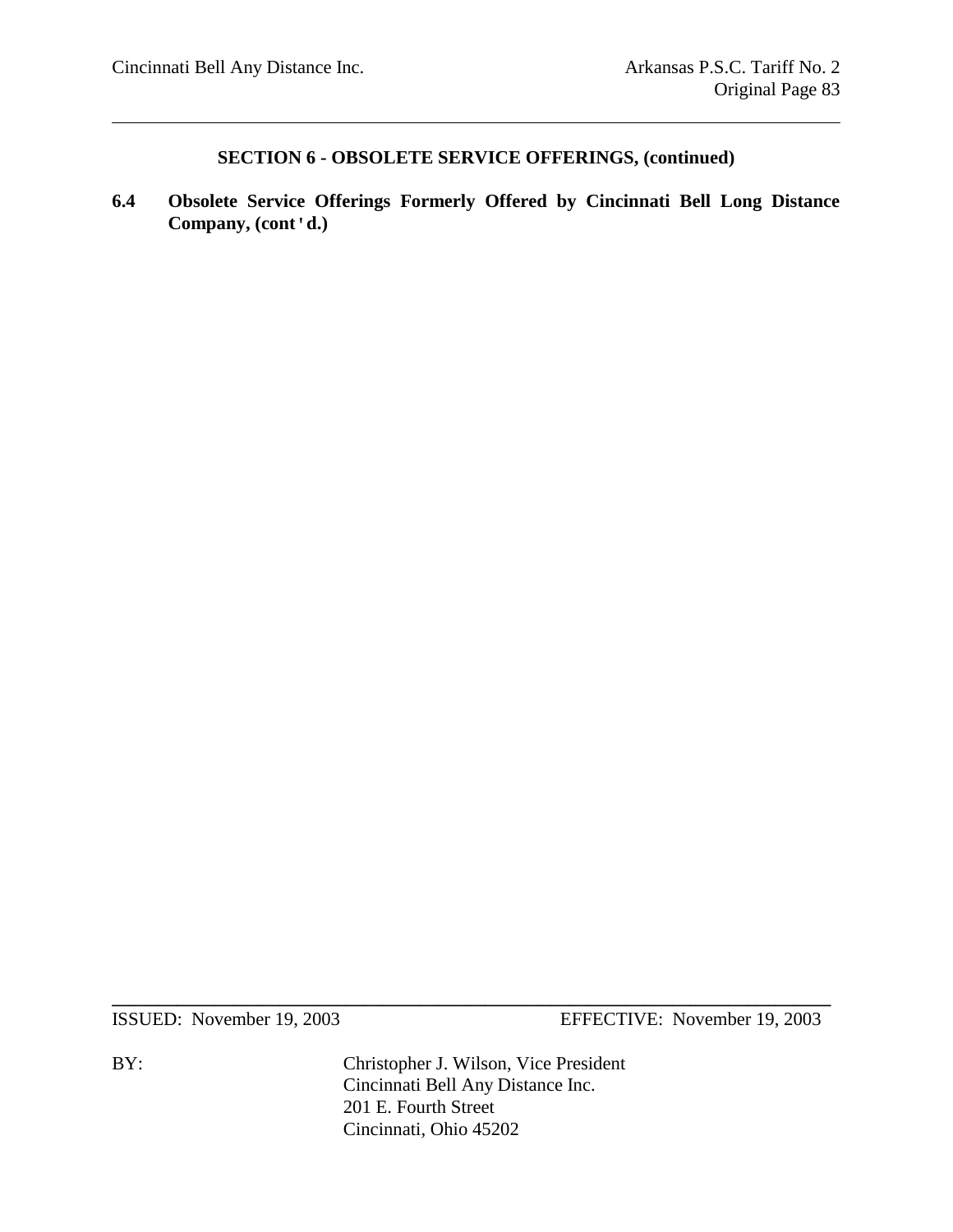**6.4 Obsolete Service Offerings Formerly Offered by Cincinnati Bell Long Distance Company, (cont'd.)**

ISSUED: November 19, 2003 EFFECTIVE: November 19, 2003

BY: Christopher J. Wilson, Vice President Cincinnati Bell Any Distance Inc. 201 E. Fourth Street Cincinnati, Ohio 45202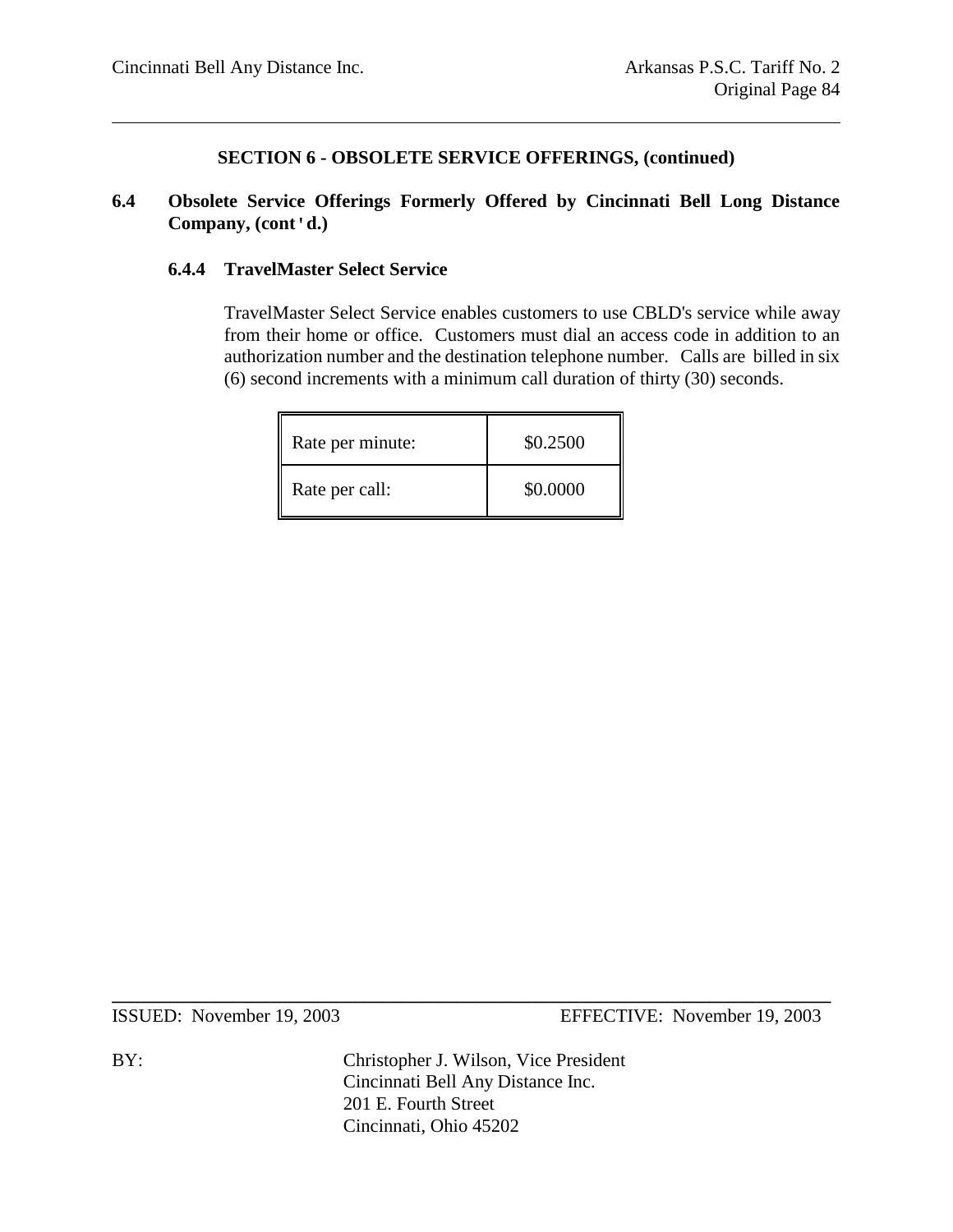#### **6.4 Obsolete Service Offerings Formerly Offered by Cincinnati Bell Long Distance Company, (cont'd.)**

#### **6.4.4 TravelMaster Select Service**

TravelMaster Select Service enables customers to use CBLD's service while away from their home or office. Customers must dial an access code in addition to an authorization number and the destination telephone number. Calls are billed in six (6) second increments with a minimum call duration of thirty (30) seconds.

| Rate per minute: | \$0.2500 |
|------------------|----------|
| Rate per call:   | \$0.0000 |

ISSUED: November 19, 2003 EFFECTIVE: November 19, 2003

BY: Christopher J. Wilson, Vice President Cincinnati Bell Any Distance Inc. 201 E. Fourth Street Cincinnati, Ohio 45202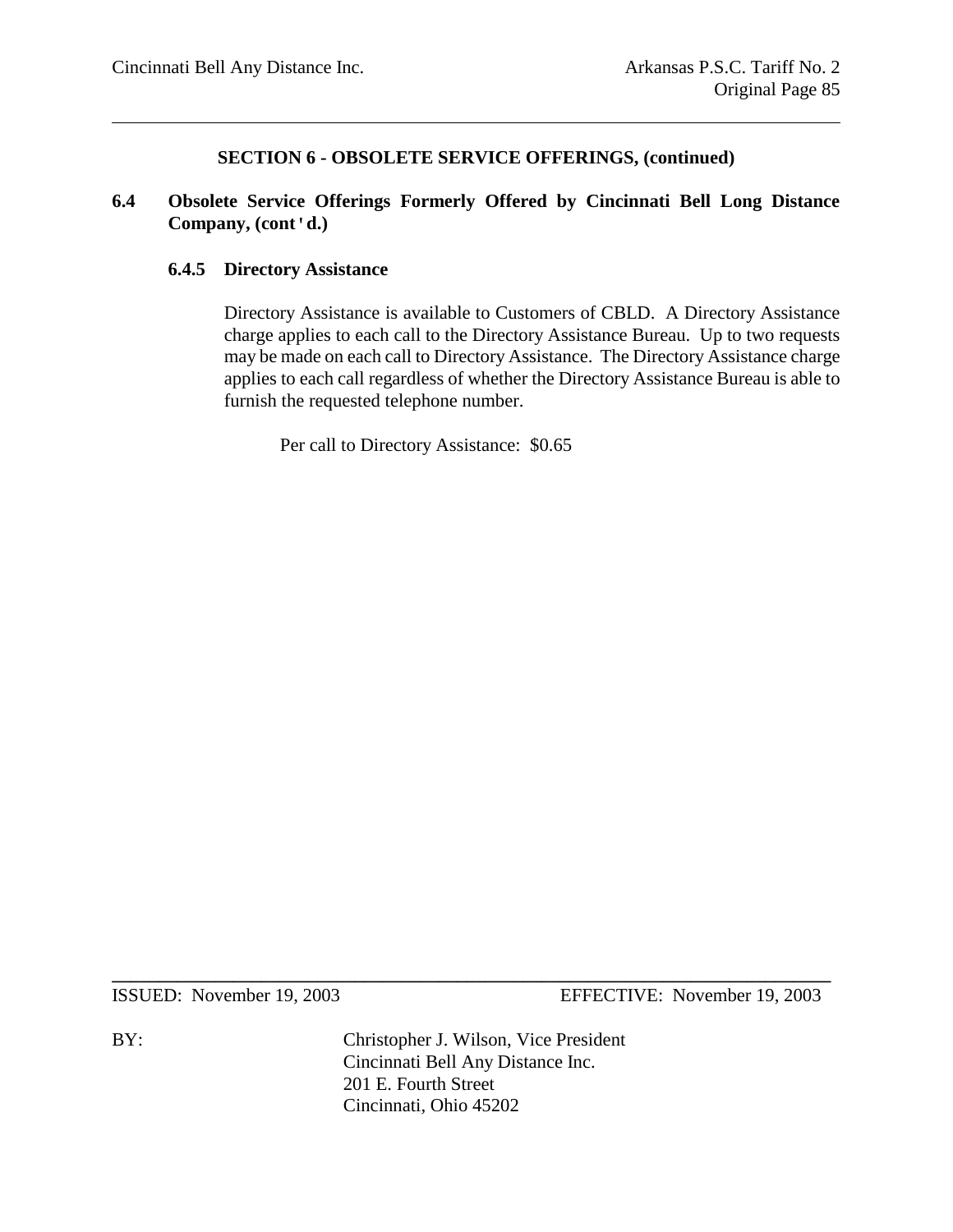### **6.4 Obsolete Service Offerings Formerly Offered by Cincinnati Bell Long Distance Company, (cont'd.)**

#### **6.4.5 Directory Assistance**

Directory Assistance is available to Customers of CBLD. A Directory Assistance charge applies to each call to the Directory Assistance Bureau. Up to two requests may be made on each call to Directory Assistance. The Directory Assistance charge applies to each call regardless of whether the Directory Assistance Bureau is able to furnish the requested telephone number.

Per call to Directory Assistance: \$0.65

ISSUED: November 19, 2003 EFFECTIVE: November 19, 2003

BY: Christopher J. Wilson, Vice President Cincinnati Bell Any Distance Inc. 201 E. Fourth Street Cincinnati, Ohio 45202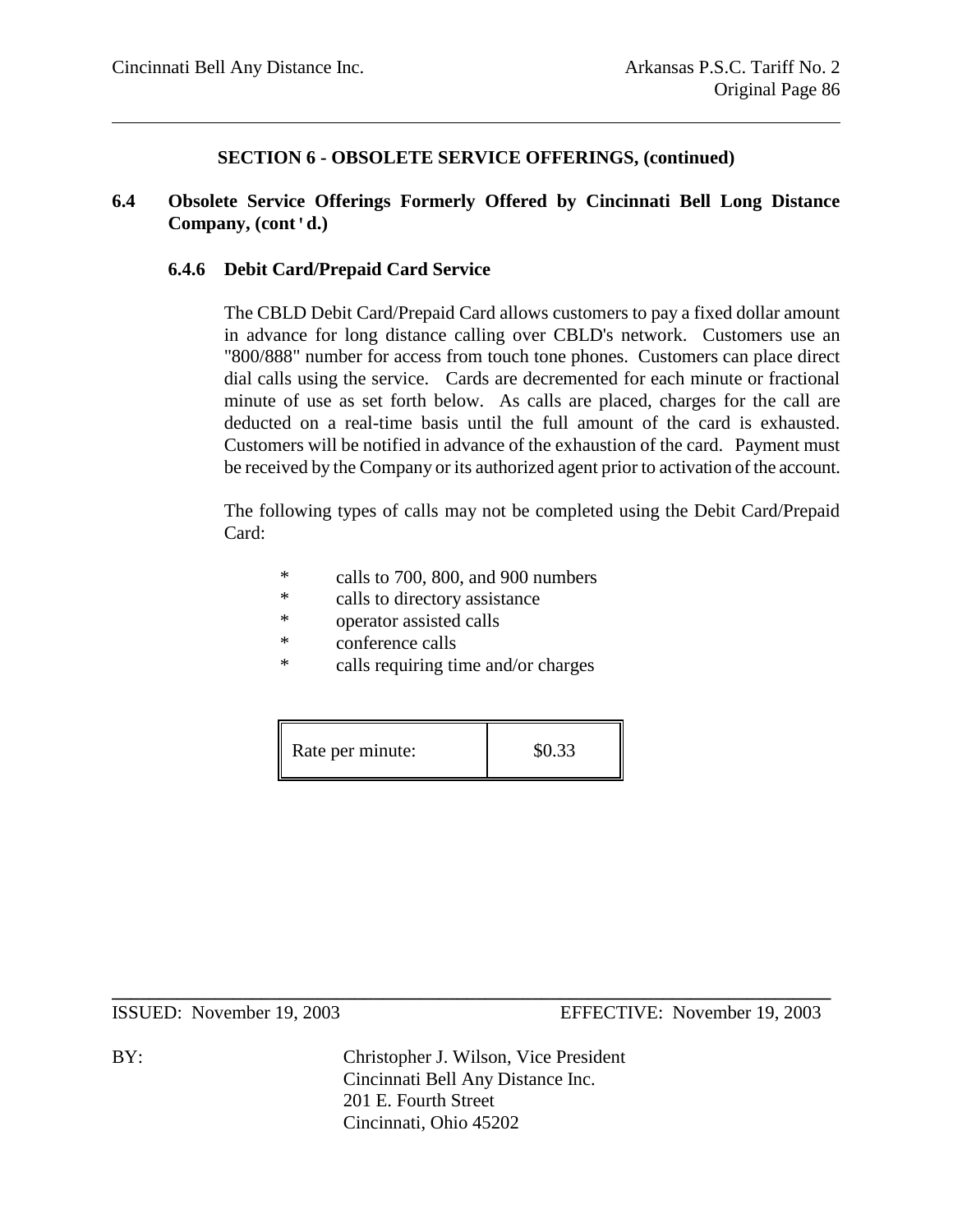#### **6.4 Obsolete Service Offerings Formerly Offered by Cincinnati Bell Long Distance Company, (cont'd.)**

#### **6.4.6 Debit Card/Prepaid Card Service**

The CBLD Debit Card/Prepaid Card allows customers to pay a fixed dollar amount in advance for long distance calling over CBLD's network. Customers use an "800/888" number for access from touch tone phones. Customers can place direct dial calls using the service. Cards are decremented for each minute or fractional minute of use as set forth below. As calls are placed, charges for the call are deducted on a real-time basis until the full amount of the card is exhausted. Customers will be notified in advance of the exhaustion of the card. Payment must be received by the Company or its authorized agent prior to activation of the account.

The following types of calls may not be completed using the Debit Card/Prepaid Card:

- \* calls to 700, 800, and 900 numbers
- \* calls to directory assistance
- \* operator assisted calls
- \* conference calls
- \* calls requiring time and/or charges

| Rate per minute: | \$0.33 |
|------------------|--------|
|------------------|--------|

ISSUED: November 19, 2003 EFFECTIVE: November 19, 2003

BY: Christopher J. Wilson, Vice President Cincinnati Bell Any Distance Inc. 201 E. Fourth Street Cincinnati, Ohio 45202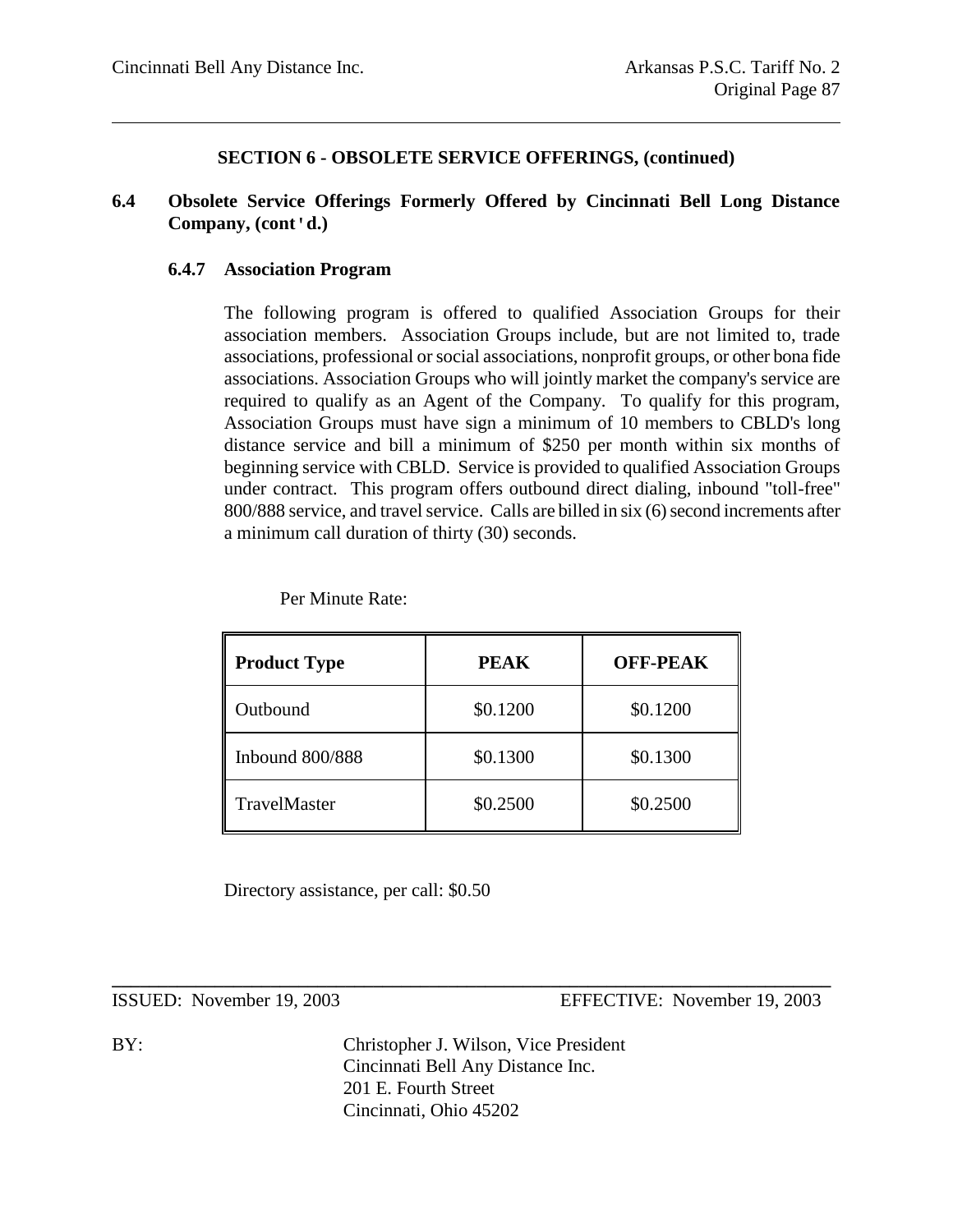#### **6.4 Obsolete Service Offerings Formerly Offered by Cincinnati Bell Long Distance Company, (cont'd.)**

#### **6.4.7 Association Program**

The following program is offered to qualified Association Groups for their association members. Association Groups include, but are not limited to, trade associations, professional or social associations, nonprofit groups, or other bona fide associations. Association Groups who will jointly market the company's service are required to qualify as an Agent of the Company. To qualify for this program, Association Groups must have sign a minimum of 10 members to CBLD's long distance service and bill a minimum of \$250 per month within six months of beginning service with CBLD. Service is provided to qualified Association Groups under contract. This program offers outbound direct dialing, inbound "toll-free" 800/888 service, and travel service. Calls are billed in six (6) second increments after a minimum call duration of thirty (30) seconds.

| <b>Product Type</b>    | <b>PEAK</b> | <b>OFF-PEAK</b> |  |
|------------------------|-------------|-----------------|--|
| Outbound               | \$0.1200    | \$0.1200        |  |
| <b>Inbound 800/888</b> | \$0.1300    | \$0.1300        |  |
| TravelMaster           | \$0.2500    | \$0.2500        |  |

Per Minute Rate:

Directory assistance, per call: \$0.50

ISSUED: November 19, 2003 EFFECTIVE: November 19, 2003

BY: Christopher J. Wilson, Vice President Cincinnati Bell Any Distance Inc. 201 E. Fourth Street Cincinnati, Ohio 45202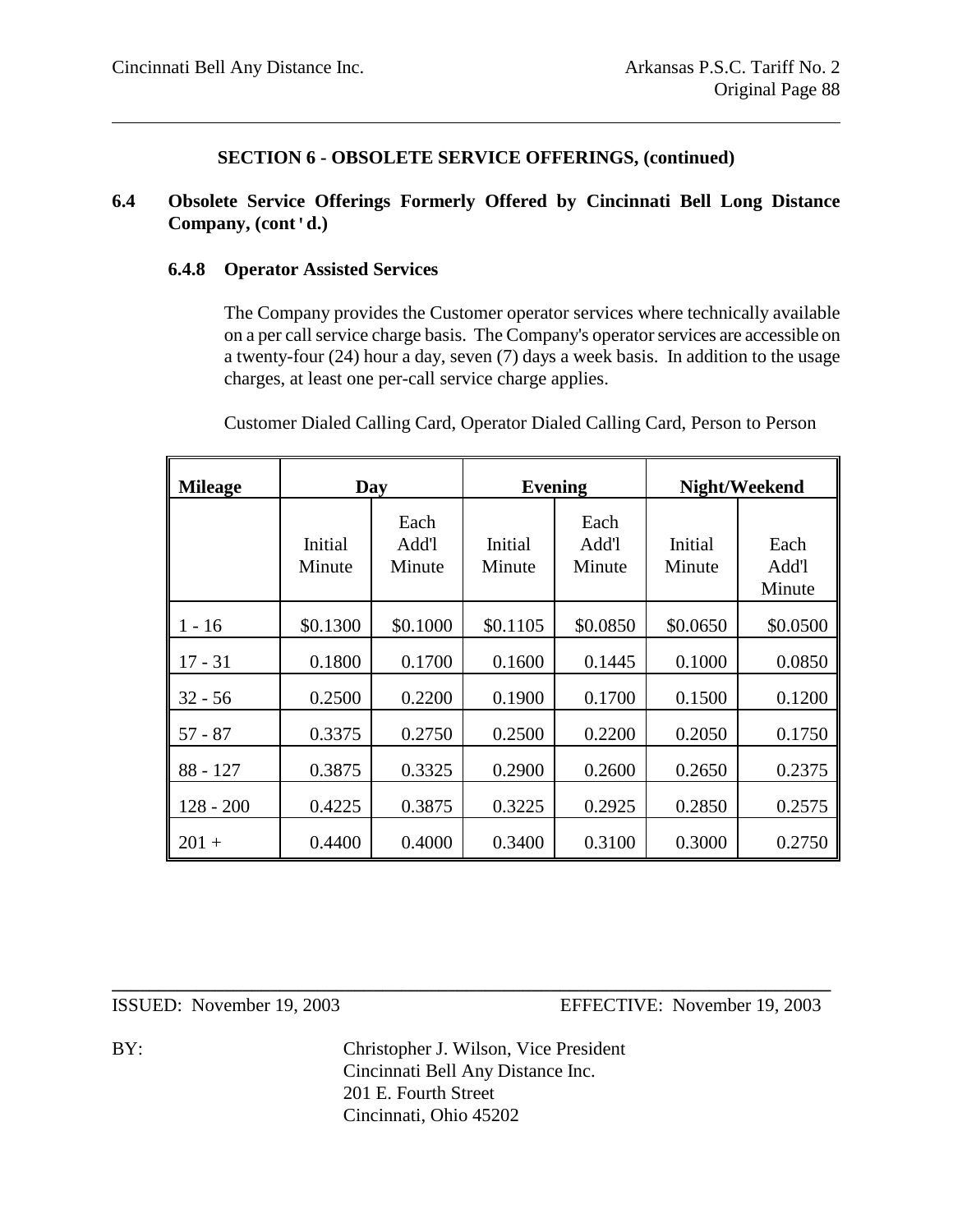#### **6.4 Obsolete Service Offerings Formerly Offered by Cincinnati Bell Long Distance Company, (cont'd.)**

#### **6.4.8 Operator Assisted Services**

The Company provides the Customer operator services where technically available on a per call service charge basis. The Company's operator services are accessible on a twenty-four (24) hour a day, seven (7) days a week basis. In addition to the usage charges, at least one per-call service charge applies.

**Mileage Day Evening Night/Weekend** Initial Minute Each Add'l Minute Initial Minute Each Add'l Minute Initial Minute Each Add'l Minute  $1 - 16$  \$0.1300 \$0.1000 \$0.1105 \$0.0850 \$0.0650 \$0.0500 17 - 31 0.1800 | 0.1700 | 0.1600 | 0.1445 | 0.1000 | 0.0850 32 - 56 0.2500 0.2200 0.1900 0.1700 0.1500 0.1200 57 - 87 0.3375 0.2750 0.2500 0.2200 0.2050 0.1750 88 - 127 | 0.3875 | 0.3325 | 0.2900 | 0.2600 | 0.2650 | 0.2375 128 - 200 | 0.4225 | 0.3875 | 0.3225 | 0.2925 | 0.2850 | 0.2575  $201 +$  0.4400 0.4000 0.3400 0.3100 0.3000 0.2750

Customer Dialed Calling Card, Operator Dialed Calling Card, Person to Person

ISSUED: November 19, 2003 EFFECTIVE: November 19, 2003

BY: Christopher J. Wilson, Vice President Cincinnati Bell Any Distance Inc. 201 E. Fourth Street Cincinnati, Ohio 45202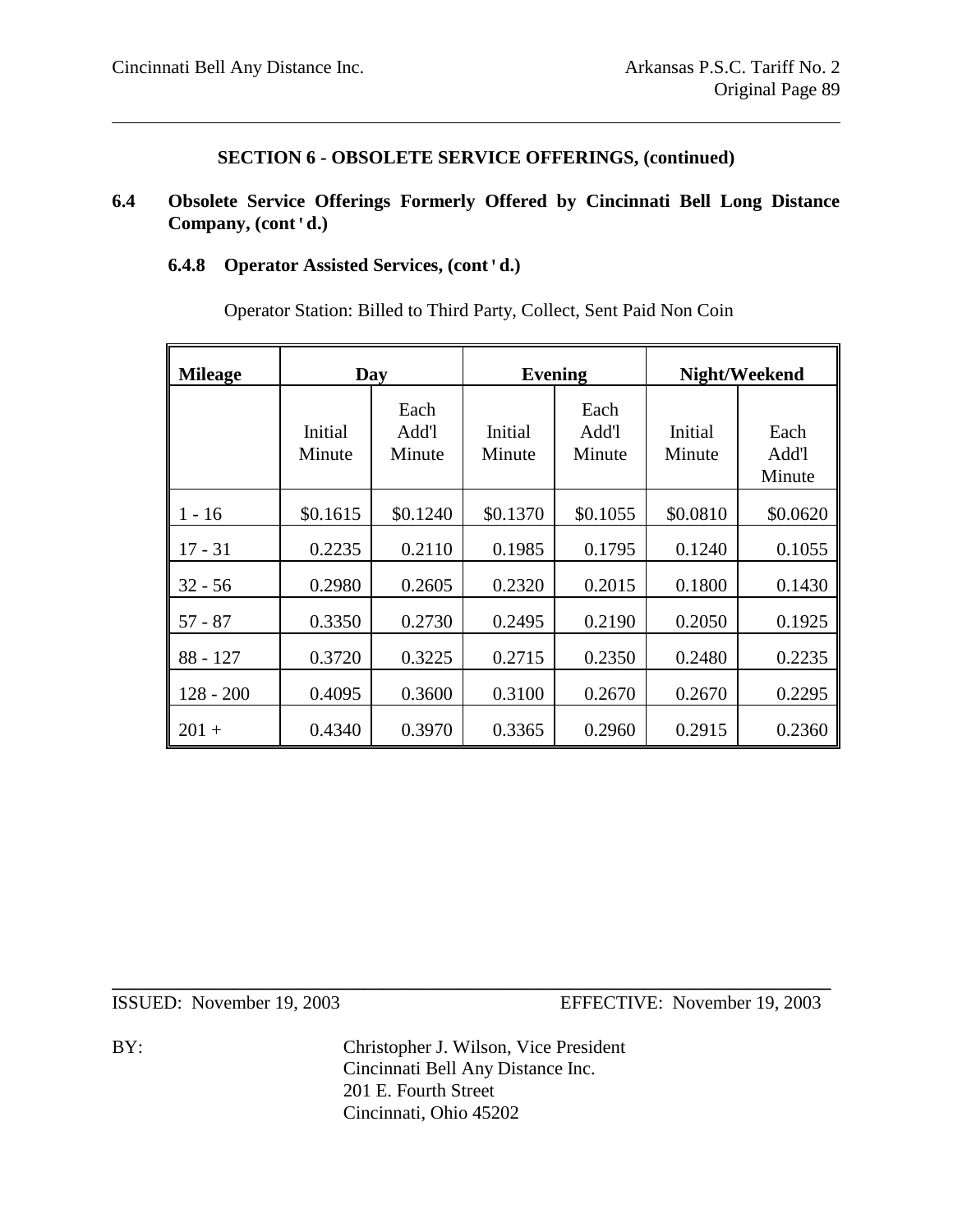## **6.4 Obsolete Service Offerings Formerly Offered by Cincinnati Bell Long Distance Company, (cont'd.)**

### **6.4.8 Operator Assisted Services, (cont'd.)**

| <b>Mileage</b> | Day               |                         |                   | <b>Evening</b>          |                   | Night/Weekend           |
|----------------|-------------------|-------------------------|-------------------|-------------------------|-------------------|-------------------------|
|                | Initial<br>Minute | Each<br>Add'l<br>Minute | Initial<br>Minute | Each<br>Add'l<br>Minute | Initial<br>Minute | Each<br>Add'l<br>Minute |
| $1 - 16$       | \$0.1615          | \$0.1240                | \$0.1370          | \$0.1055                | \$0.0810          | \$0.0620                |
| $17 - 31$      | 0.2235            | 0.2110                  | 0.1985            | 0.1795                  | 0.1240            | 0.1055                  |
| $32 - 56$      | 0.2980            | 0.2605                  | 0.2320            | 0.2015                  | 0.1800            | 0.1430                  |
| $57 - 87$      | 0.3350            | 0.2730                  | 0.2495            | 0.2190                  | 0.2050            | 0.1925                  |
| 88 - 127       | 0.3720            | 0.3225                  | 0.2715            | 0.2350                  | 0.2480            | 0.2235                  |
| 128 - 200      | 0.4095            | 0.3600                  | 0.3100            | 0.2670                  | 0.2670            | 0.2295                  |
| $201 +$        | 0.4340            | 0.3970                  | 0.3365            | 0.2960                  | 0.2915            | 0.2360                  |

Operator Station: Billed to Third Party, Collect, Sent Paid Non Coin

BY: Christopher J. Wilson, Vice President Cincinnati Bell Any Distance Inc. 201 E. Fourth Street Cincinnati, Ohio 45202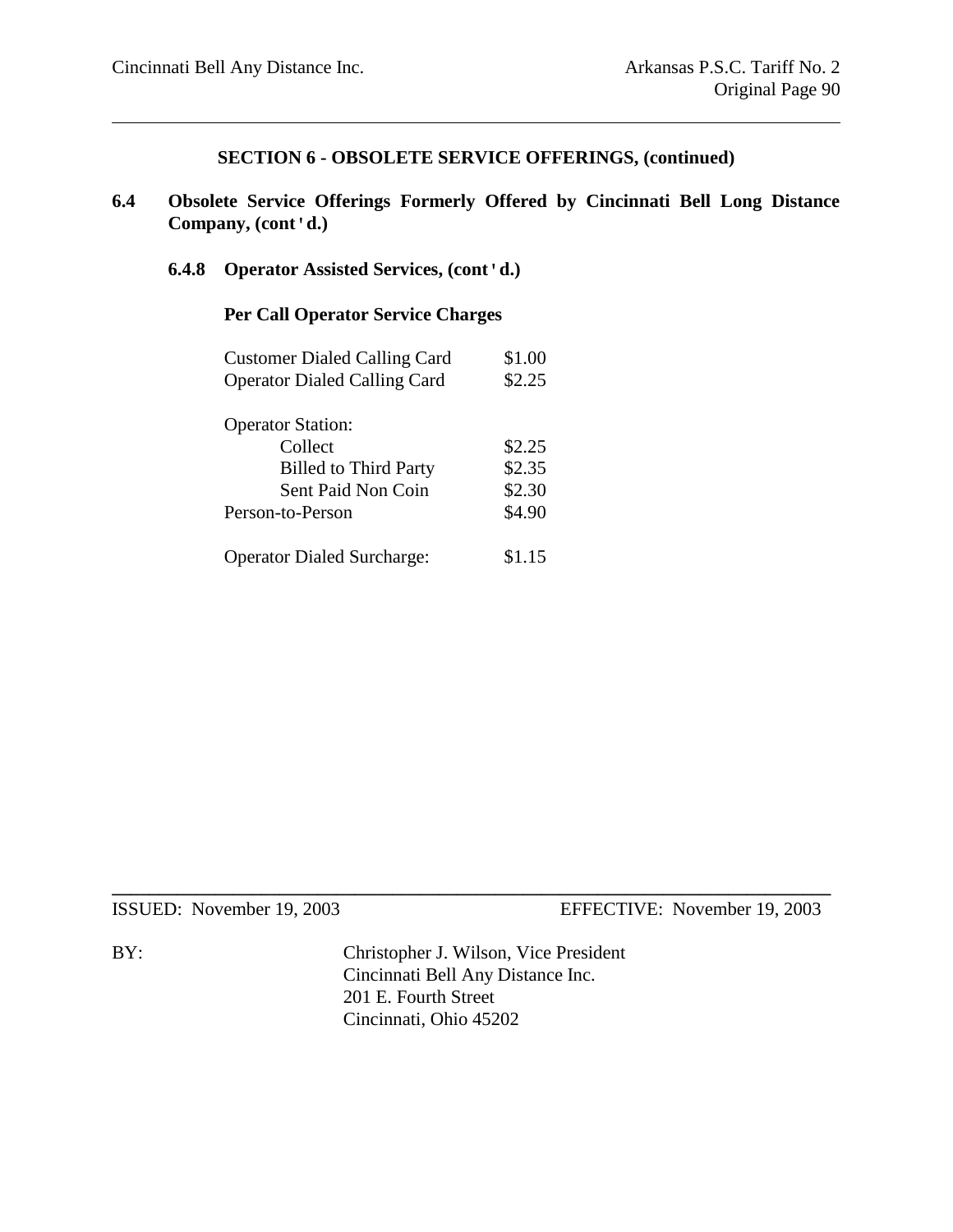- **6.4 Obsolete Service Offerings Formerly Offered by Cincinnati Bell Long Distance Company, (cont'd.)**
	- **6.4.8 Operator Assisted Services, (cont'd.)**

#### **Per Call Operator Service Charges**

| <b>Customer Dialed Calling Card</b> | \$1.00 |
|-------------------------------------|--------|
| <b>Operator Dialed Calling Card</b> | \$2.25 |
|                                     |        |
| <b>Operator Station:</b>            |        |
| Collect                             | \$2.25 |
| <b>Billed to Third Party</b>        | \$2.35 |
| Sent Paid Non Coin                  | \$2.30 |
| Person-to-Person                    | \$4.90 |
| <b>Operator Dialed Surcharge:</b>   | \$1.15 |

ISSUED: November 19, 2003 EFFECTIVE: November 19, 2003

BY: Christopher J. Wilson, Vice President Cincinnati Bell Any Distance Inc. 201 E. Fourth Street Cincinnati, Ohio 45202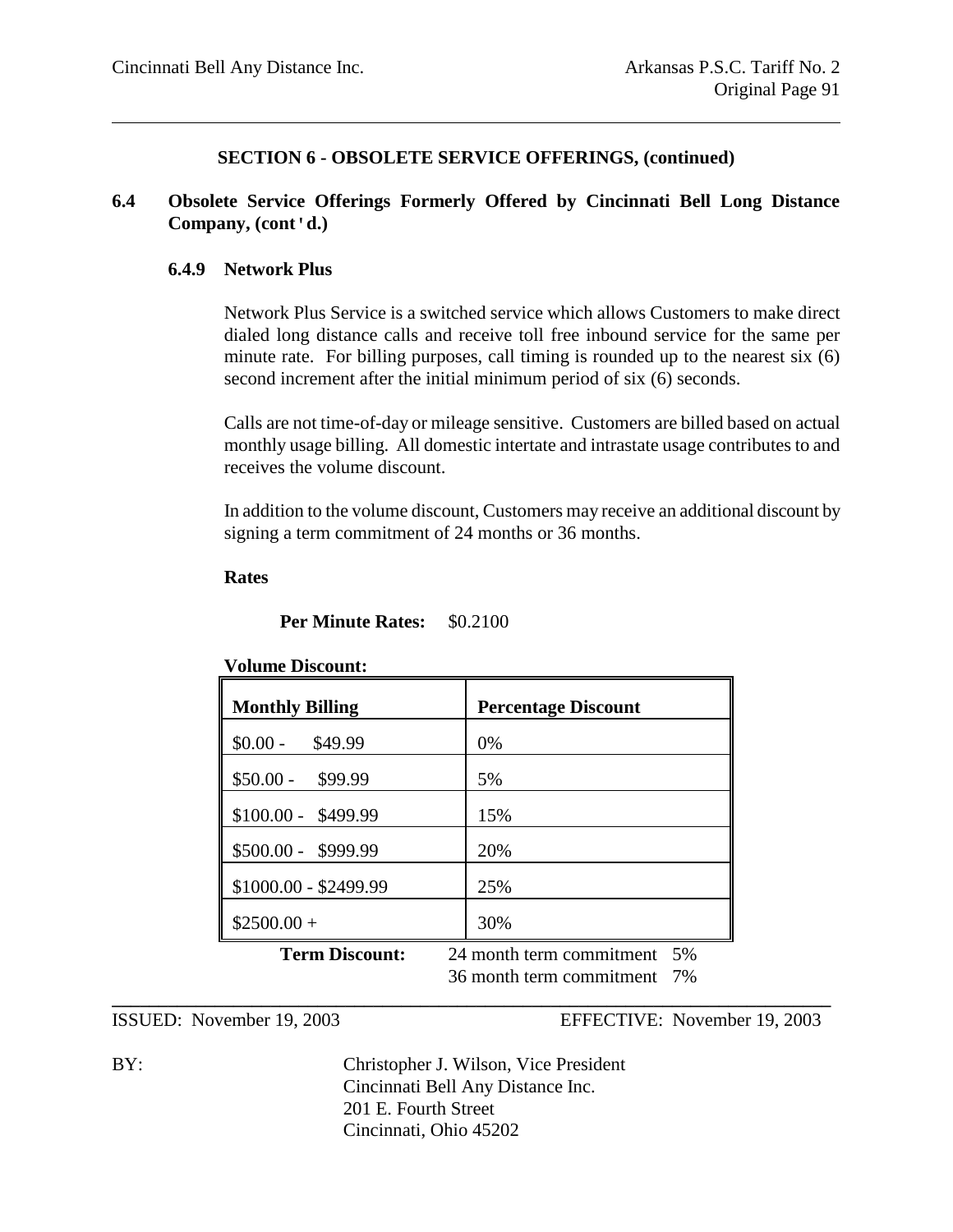#### **6.4 Obsolete Service Offerings Formerly Offered by Cincinnati Bell Long Distance Company, (cont'd.)**

#### **6.4.9 Network Plus**

Network Plus Service is a switched service which allows Customers to make direct dialed long distance calls and receive toll free inbound service for the same per minute rate. For billing purposes, call timing is rounded up to the nearest six (6) second increment after the initial minimum period of six (6) seconds.

Calls are not time-of-day or mileage sensitive. Customers are billed based on actual monthly usage billing. All domestic intertate and intrastate usage contributes to and receives the volume discount.

In addition to the volume discount, Customers may receive an additional discount by signing a term commitment of 24 months or 36 months.

**Rates**

**Per Minute Rates:** \$0.2100

# **Volume Discount: Monthly Billing Percentage Discount**  $$0.00 - $49.99$  0%  $$50.00 - $99.99$  5%  $$100.00 - $499.99$  15% \$500.00 - \$999.99 20% \$1000.00 - \$2499.99 25%  $$2500.00 +$  30% **Term Discount:** 24 month term commitment 5% 36 month term commitment 7%

ISSUED: November 19, 2003 EFFECTIVE: November 19, 2003

BY: Christopher J. Wilson, Vice President Cincinnati Bell Any Distance Inc. 201 E. Fourth Street Cincinnati, Ohio 45202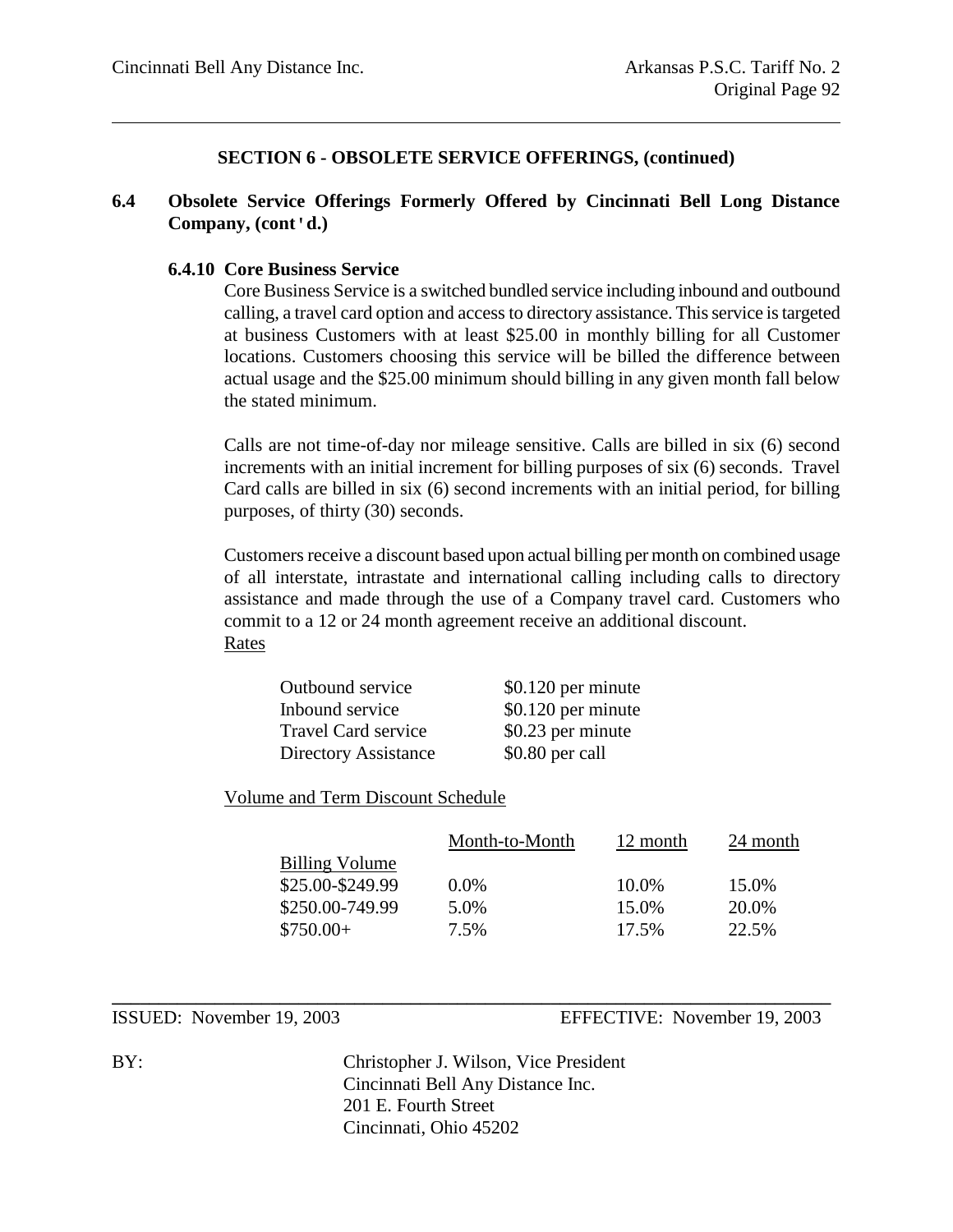#### **6.4 Obsolete Service Offerings Formerly Offered by Cincinnati Bell Long Distance Company, (cont'd.)**

#### **6.4.10 Core Business Service**

Core Business Service is a switched bundled service including inbound and outbound calling, a travel card option and access to directory assistance. This service is targeted at business Customers with at least \$25.00 in monthly billing for all Customer locations. Customers choosing this service will be billed the difference between actual usage and the \$25.00 minimum should billing in any given month fall below the stated minimum.

Calls are not time-of-day nor mileage sensitive. Calls are billed in six (6) second increments with an initial increment for billing purposes of six (6) seconds. Travel Card calls are billed in six (6) second increments with an initial period, for billing purposes, of thirty (30) seconds.

Customers receive a discount based upon actual billing per month on combined usage of all interstate, intrastate and international calling including calls to directory assistance and made through the use of a Company travel card. Customers who commit to a 12 or 24 month agreement receive an additional discount. Rates

| Outbound service           | \$0.120 per minute |
|----------------------------|--------------------|
| Inbound service            | \$0.120 per minute |
| <b>Travel Card service</b> | \$0.23 per minute  |
| Directory Assistance       | \$0.80 per call    |

Volume and Term Discount Schedule

|                       | Month-to-Month | 12 month | 24 month |
|-----------------------|----------------|----------|----------|
| <b>Billing Volume</b> |                |          |          |
| \$25.00-\$249.99      | $0.0\%$        | 10.0%    | 15.0%    |
| \$250.00-749.99       | 5.0%           | 15.0%    | 20.0%    |
| $$750.00+$            | 7.5%           | 17.5%    | 22.5%    |

ISSUED: November 19, 2003 EFFECTIVE: November 19, 2003

BY: Christopher J. Wilson, Vice President Cincinnati Bell Any Distance Inc. 201 E. Fourth Street Cincinnati, Ohio 45202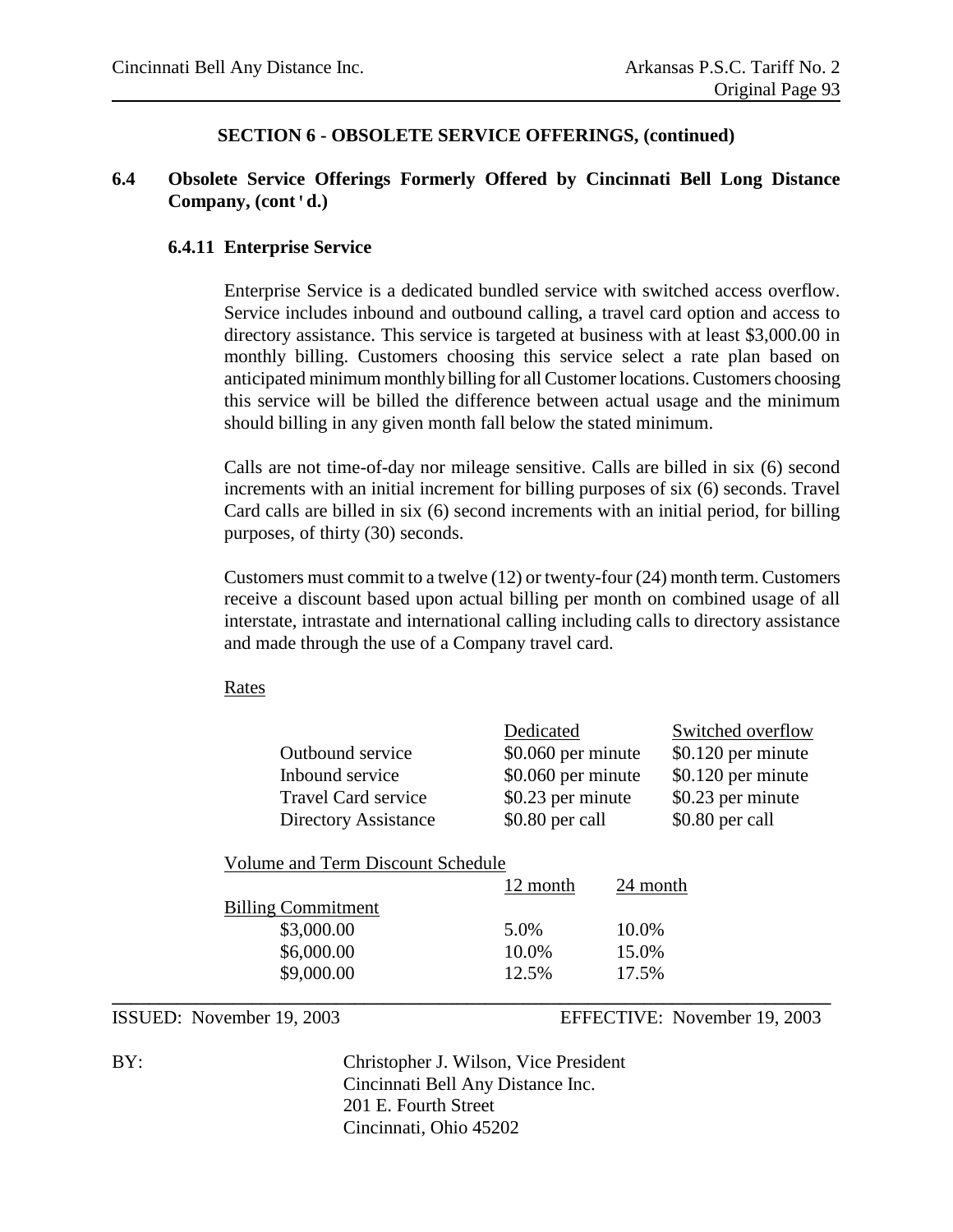#### **6.4 Obsolete Service Offerings Formerly Offered by Cincinnati Bell Long Distance Company, (cont'd.)**

#### **6.4.11 Enterprise Service**

Enterprise Service is a dedicated bundled service with switched access overflow. Service includes inbound and outbound calling, a travel card option and access to directory assistance. This service is targeted at business with at least \$3,000.00 in monthly billing. Customers choosing this service select a rate plan based on anticipated minimum monthly billing for all Customer locations. Customers choosing this service will be billed the difference between actual usage and the minimum should billing in any given month fall below the stated minimum.

Calls are not time-of-day nor mileage sensitive. Calls are billed in six (6) second increments with an initial increment for billing purposes of six (6) seconds. Travel Card calls are billed in six (6) second increments with an initial period, for billing purposes, of thirty (30) seconds.

Customers must commit to a twelve (12) or twenty-four (24) month term. Customers receive a discount based upon actual billing per month on combined usage of all interstate, intrastate and international calling including calls to directory assistance and made through the use of a Company travel card.

#### Rates

|                                  | Outbound service<br>Inbound service<br><b>Travel Card service</b><br><b>Directory Assistance</b> | Dedicated<br>\$0.060 per minute<br>\$0.060 per minute<br>\$0.23 per minute<br>\$0.80 per call |              | Switched overflow<br>\$0.120 per minute<br>\$0.120 per minute<br>\$0.23 per minute<br>\$0.80 per call                                                                                                                                                                                                                                                                                |
|----------------------------------|--------------------------------------------------------------------------------------------------|-----------------------------------------------------------------------------------------------|--------------|--------------------------------------------------------------------------------------------------------------------------------------------------------------------------------------------------------------------------------------------------------------------------------------------------------------------------------------------------------------------------------------|
|                                  | Volume and Term Discount Schedule                                                                |                                                                                               |              |                                                                                                                                                                                                                                                                                                                                                                                      |
|                                  |                                                                                                  | 12 month                                                                                      | 24 month     |                                                                                                                                                                                                                                                                                                                                                                                      |
|                                  | <b>Billing Commitment</b>                                                                        |                                                                                               |              |                                                                                                                                                                                                                                                                                                                                                                                      |
|                                  | \$3,000.00                                                                                       | 5.0%                                                                                          | 10.0%        |                                                                                                                                                                                                                                                                                                                                                                                      |
|                                  | \$6,000.00                                                                                       | 10.0%                                                                                         | 15.0%        |                                                                                                                                                                                                                                                                                                                                                                                      |
|                                  | \$9,000.00                                                                                       | 12.5%                                                                                         | 17.5%        |                                                                                                                                                                                                                                                                                                                                                                                      |
| <b>TO OT TER</b><br>$\mathbf{1}$ | 10.000                                                                                           |                                                                                               | DDDD OGUL ID | $\overline{1}$ $\overline{1}$ $\overline{1}$ $\overline{1}$ $\overline{1}$ $\overline{1}$ $\overline{1}$ $\overline{1}$ $\overline{1}$ $\overline{1}$ $\overline{1}$ $\overline{1}$ $\overline{1}$ $\overline{1}$ $\overline{1}$ $\overline{1}$ $\overline{1}$ $\overline{1}$ $\overline{1}$ $\overline{1}$ $\overline{1}$ $\overline{1}$ $\overline{1}$ $\overline{1}$ $\overline{$ |

ISSUED: November 19, 2003 EFFECTIVE: November 19, 2003

BY: Christopher J. Wilson, Vice President Cincinnati Bell Any Distance Inc. 201 E. Fourth Street Cincinnati, Ohio 45202